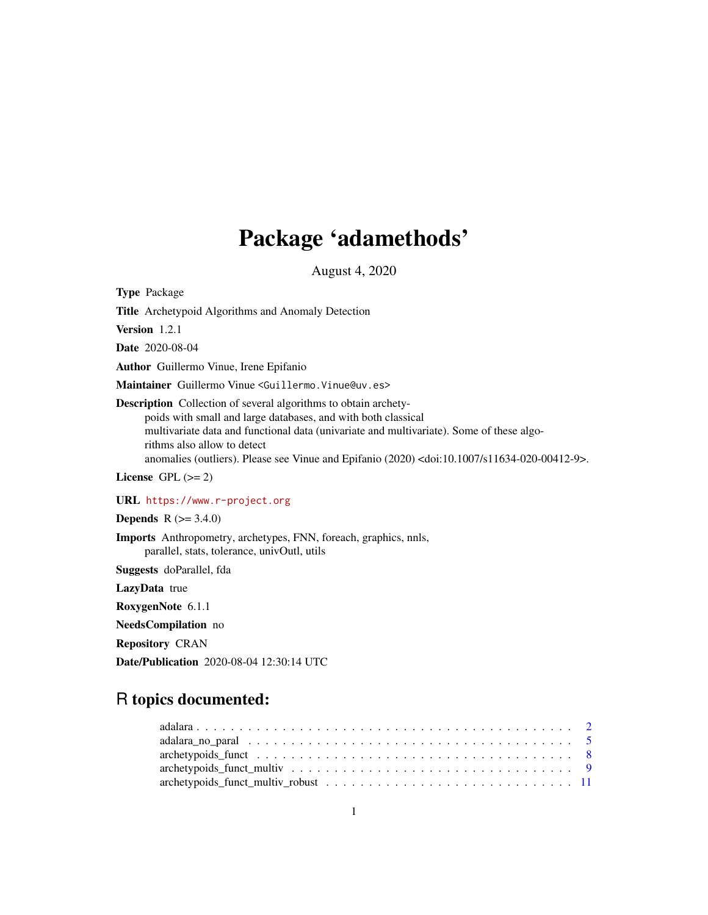# Package 'adamethods'

August 4, 2020

<span id="page-0-0"></span>Type Package Title Archetypoid Algorithms and Anomaly Detection Version 1.2.1 Date 2020-08-04 Author Guillermo Vinue, Irene Epifanio Maintainer Guillermo Vinue <Guillermo.Vinue@uv.es> Description Collection of several algorithms to obtain archetypoids with small and large databases, and with both classical multivariate data and functional data (univariate and multivariate). Some of these algorithms also allow to detect anomalies (outliers). Please see Vinue and Epifanio (2020) <doi:10.1007/s11634-020-00412-9>. License GPL  $(>= 2)$ URL <https://www.r-project.org> **Depends** R  $(>= 3.4.0)$ 

Imports Anthropometry, archetypes, FNN, foreach, graphics, nnls, parallel, stats, tolerance, univOutl, utils

Suggests doParallel, fda

LazyData true

RoxygenNote 6.1.1

NeedsCompilation no

Repository CRAN

Date/Publication 2020-08-04 12:30:14 UTC

# R topics documented:

| $arehetypoids_funct \dots \dots \dots \dots \dots \dots \dots \dots \dots \dots \dots \dots \dots \dots \dots \dots$ |  |
|----------------------------------------------------------------------------------------------------------------------|--|
|                                                                                                                      |  |
|                                                                                                                      |  |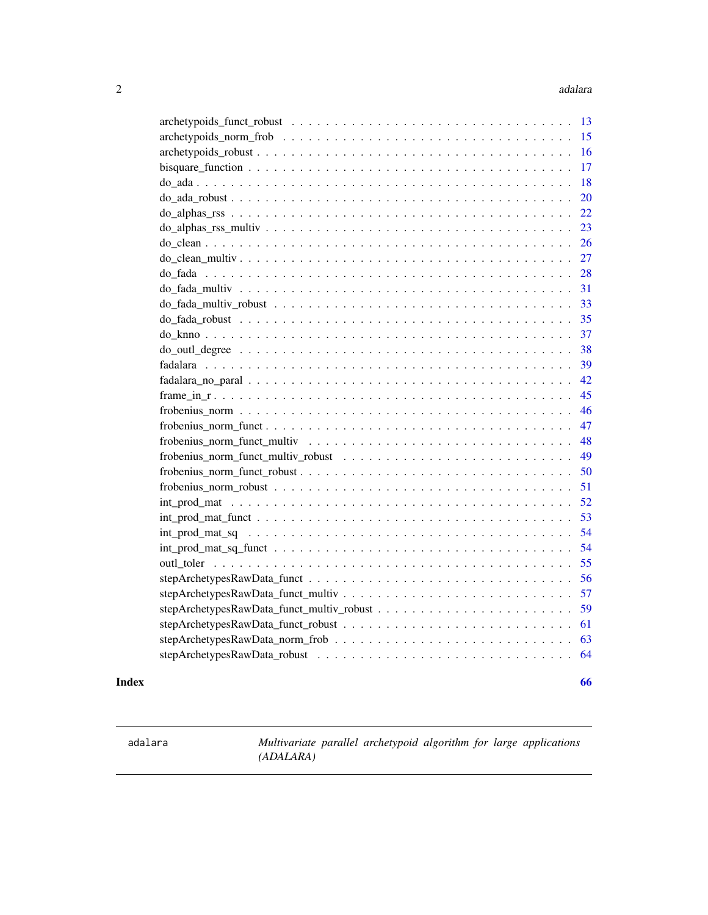<span id="page-1-0"></span>

| 17 |
|----|
| 18 |
| 20 |
|    |
|    |
|    |
| 27 |
| 28 |
| 31 |
| 33 |
| 35 |
| 37 |
| 38 |
| 39 |
| 42 |
| 45 |
| 46 |
| 47 |
| 48 |
| 49 |
| 50 |
| 51 |
| 52 |
| 53 |
| 54 |
| 54 |
| 55 |
| 56 |
| 57 |
| 59 |
| 61 |
| 63 |
| 64 |
|    |

#### **Index** [66](#page-65-0)

<span id="page-1-1"></span>adalara *Multivariate parallel archetypoid algorithm for large applications (ADALARA)*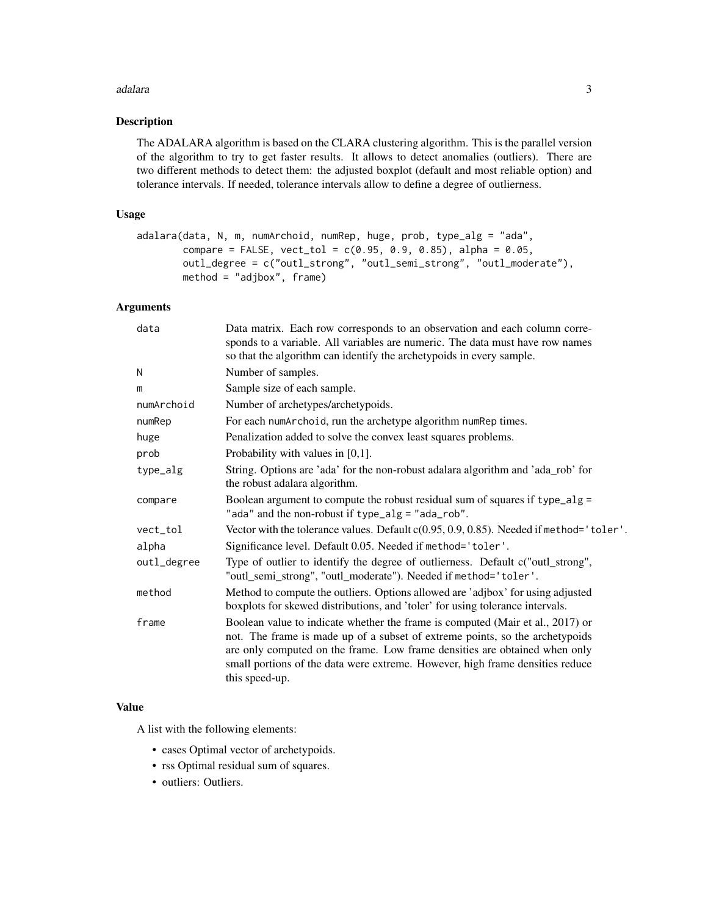#### adalara 30 km ambao amin'ny fivondronan-kaominin'i North Communication ao amin'ny fivondronan-kaominin'i North Communication amin'ny fivondronan-kaominin'i North Communication ao amin'ny fivondronan-kaominin'i North Commun

# Description

The ADALARA algorithm is based on the CLARA clustering algorithm. This is the parallel version of the algorithm to try to get faster results. It allows to detect anomalies (outliers). There are two different methods to detect them: the adjusted boxplot (default and most reliable option) and tolerance intervals. If needed, tolerance intervals allow to define a degree of outlierness.

# Usage

```
adalara(data, N, m, numArchoid, numRep, huge, prob, type_alg = "ada",
       compare = FALSE, vect\_tol = c(0.95, 0.9, 0.85), alpha = 0.05,
       outl_degree = c("outl_strong", "outl_semi_strong", "outl_moderate"),
       method = "adjbox", frame)
```
# Arguments

| data        | Data matrix. Each row corresponds to an observation and each column corre-<br>sponds to a variable. All variables are numeric. The data must have row names<br>so that the algorithm can identify the archetypoids in every sample.                                                                                                             |
|-------------|-------------------------------------------------------------------------------------------------------------------------------------------------------------------------------------------------------------------------------------------------------------------------------------------------------------------------------------------------|
| N           | Number of samples.                                                                                                                                                                                                                                                                                                                              |
| m           | Sample size of each sample.                                                                                                                                                                                                                                                                                                                     |
| numArchoid  | Number of archetypes/archetypoids.                                                                                                                                                                                                                                                                                                              |
| numRep      | For each numArchoid, run the archetype algorithm numRep times.                                                                                                                                                                                                                                                                                  |
| huge        | Penalization added to solve the convex least squares problems.                                                                                                                                                                                                                                                                                  |
| prob        | Probability with values in $[0,1]$ .                                                                                                                                                                                                                                                                                                            |
| type_alg    | String. Options are 'ada' for the non-robust adalara algorithm and 'ada_rob' for<br>the robust adalara algorithm.                                                                                                                                                                                                                               |
| compare     | Boolean argument to compute the robust residual sum of squares if type_alg =<br>"ada" and the non-robust if type_alg = "ada_rob".                                                                                                                                                                                                               |
| vect_tol    | Vector with the tolerance values. Default c(0.95, 0.9, 0.85). Needed if method='toler'.                                                                                                                                                                                                                                                         |
| alpha       | Significance level. Default 0.05. Needed if method='toler'.                                                                                                                                                                                                                                                                                     |
| outl_degree | Type of outlier to identify the degree of outlierness. Default c("outl_strong",<br>"outl_semi_strong", "outl_moderate"). Needed if method='toler'.                                                                                                                                                                                              |
| method      | Method to compute the outliers. Options allowed are 'adjbox' for using adjusted<br>boxplots for skewed distributions, and 'toler' for using tolerance intervals.                                                                                                                                                                                |
| frame       | Boolean value to indicate whether the frame is computed (Mair et al., 2017) or<br>not. The frame is made up of a subset of extreme points, so the archetypoids<br>are only computed on the frame. Low frame densities are obtained when only<br>small portions of the data were extreme. However, high frame densities reduce<br>this speed-up. |

## Value

A list with the following elements:

- cases Optimal vector of archetypoids.
- rss Optimal residual sum of squares.
- outliers: Outliers.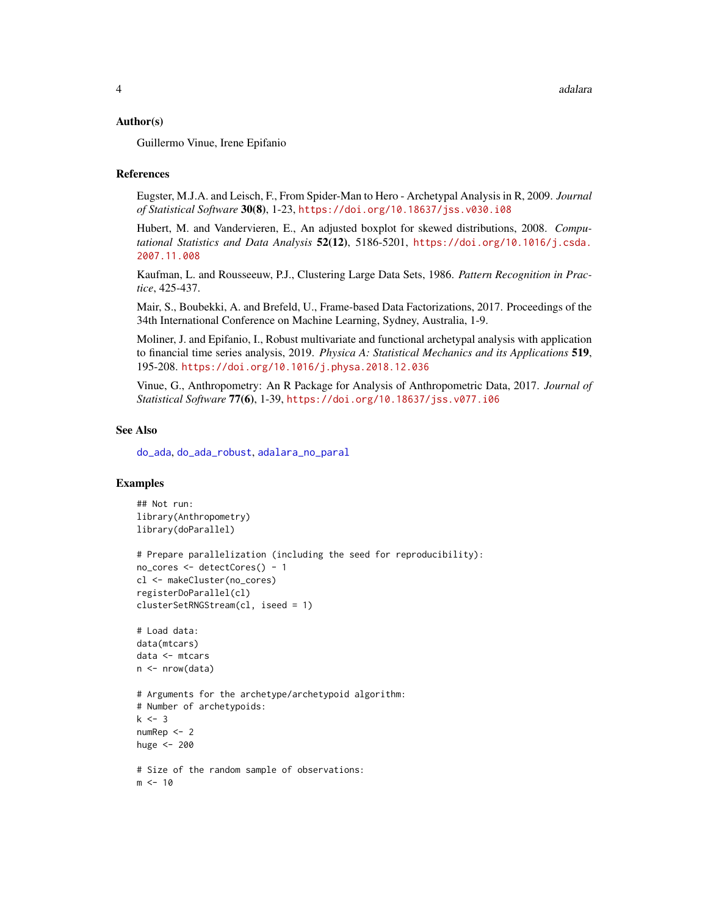## <span id="page-3-0"></span>Author(s)

Guillermo Vinue, Irene Epifanio

#### References

Eugster, M.J.A. and Leisch, F., From Spider-Man to Hero - Archetypal Analysis in R, 2009. *Journal of Statistical Software* 30(8), 1-23, <https://doi.org/10.18637/jss.v030.i08>

Hubert, M. and Vandervieren, E., An adjusted boxplot for skewed distributions, 2008. *Computational Statistics and Data Analysis* 52(12), 5186-5201, [https://doi.org/10.1016/j.csda.](https://doi.org/10.1016/j.csda.2007.11.008) [2007.11.008](https://doi.org/10.1016/j.csda.2007.11.008)

Kaufman, L. and Rousseeuw, P.J., Clustering Large Data Sets, 1986. *Pattern Recognition in Practice*, 425-437.

Mair, S., Boubekki, A. and Brefeld, U., Frame-based Data Factorizations, 2017. Proceedings of the 34th International Conference on Machine Learning, Sydney, Australia, 1-9.

Moliner, J. and Epifanio, I., Robust multivariate and functional archetypal analysis with application to financial time series analysis, 2019. *Physica A: Statistical Mechanics and its Applications* 519, 195-208. <https://doi.org/10.1016/j.physa.2018.12.036>

Vinue, G., Anthropometry: An R Package for Analysis of Anthropometric Data, 2017. *Journal of Statistical Software* 77(6), 1-39, <https://doi.org/10.18637/jss.v077.i06>

#### See Also

[do\\_ada](#page-17-1), [do\\_ada\\_robust](#page-19-1), [adalara\\_no\\_paral](#page-4-1)

```
## Not run:
library(Anthropometry)
library(doParallel)
# Prepare parallelization (including the seed for reproducibility):
no_cores <- detectCores() - 1
cl <- makeCluster(no_cores)
registerDoParallel(cl)
clusterSetRNGStream(cl, iseed = 1)
# Load data:
data(mtcars)
data <- mtcars
n <- nrow(data)
# Arguments for the archetype/archetypoid algorithm:
# Number of archetypoids:
k < -3numRep <- 2
huge <- 200
# Size of the random sample of observations:
m < -10
```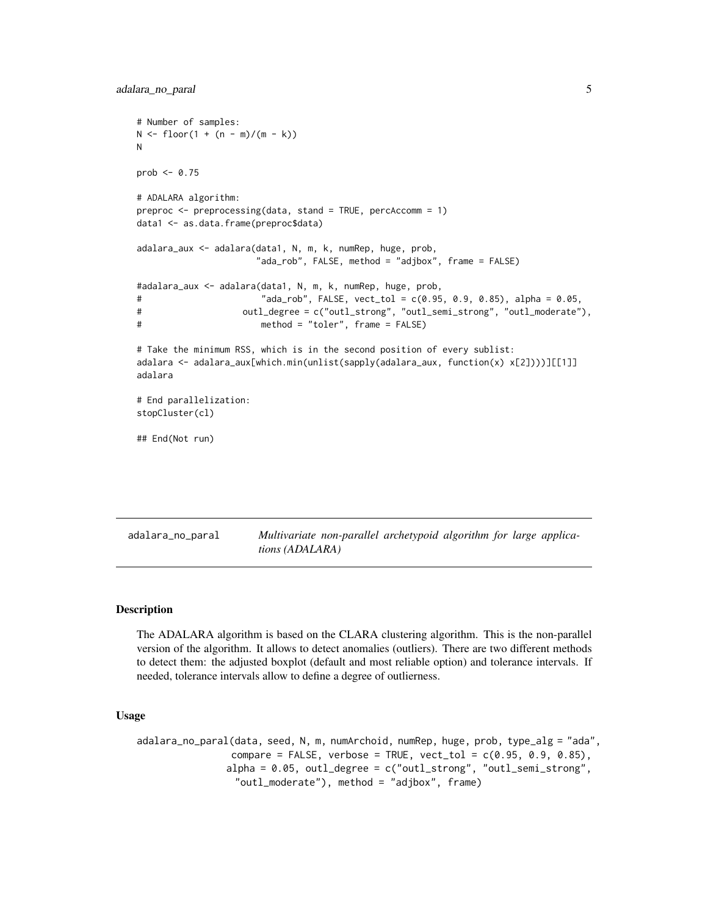```
# Number of samples:
N \leq f \text{loor}(1 + (n - m)/(m - k))N
prob \leq -0.75# ADALARA algorithm:
preproc <- preprocessing(data, stand = TRUE, percAccomm = 1)
data1 <- as.data.frame(preproc$data)
adalara_aux <- adalara(data1, N, m, k, numRep, huge, prob,
                      "ada_rob", FALSE, method = "adjbox", frame = FALSE)
#adalara_aux <- adalara(data1, N, m, k, numRep, huge, prob,
# "ada_rob", FALSE, vect_tol = c(0.95, 0.9, 0.85), alpha = 0.05,
# outl_degree = c("outl_strong", "outl_semi_strong", "outl_moderate"),
# method = "toler", frame = FALSE)
# Take the minimum RSS, which is in the second position of every sublist:
adalara <- adalara_aux[which.min(unlist(sapply(adalara_aux, function(x) x[2])))][[1]]
adalara
# End parallelization:
stopCluster(cl)
## End(Not run)
```
<span id="page-4-1"></span>adalara\_no\_paral *Multivariate non-parallel archetypoid algorithm for large applications (ADALARA)*

## Description

The ADALARA algorithm is based on the CLARA clustering algorithm. This is the non-parallel version of the algorithm. It allows to detect anomalies (outliers). There are two different methods to detect them: the adjusted boxplot (default and most reliable option) and tolerance intervals. If needed, tolerance intervals allow to define a degree of outlierness.

#### Usage

```
adalara_no_paral(data, seed, N, m, numArchoid, numRep, huge, prob, type_alg = "ada",
                compare = FALSE, verbose = TRUE, vect_tol = c(0.95, 0.9, 0.85),
               alpha = 0.05, outl_degree = c("outl_strong", "outl_semi_strong",
                 "outl_moderate"), method = "adjbox", frame)
```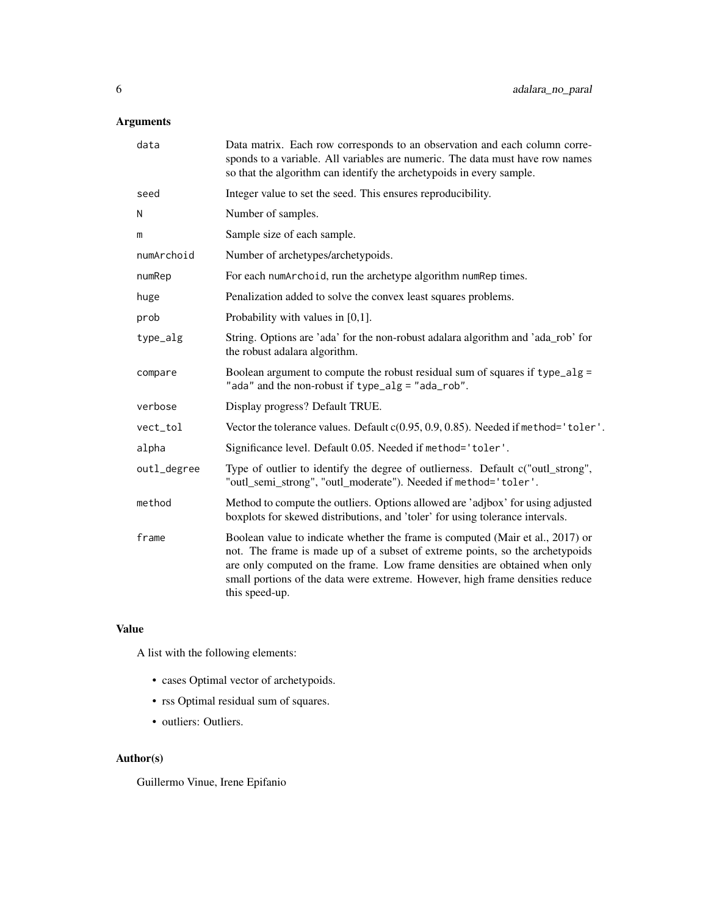# Arguments

| data        | Data matrix. Each row corresponds to an observation and each column corre-<br>sponds to a variable. All variables are numeric. The data must have row names<br>so that the algorithm can identify the archetypoids in every sample.                                                                                                             |
|-------------|-------------------------------------------------------------------------------------------------------------------------------------------------------------------------------------------------------------------------------------------------------------------------------------------------------------------------------------------------|
| seed        | Integer value to set the seed. This ensures reproducibility.                                                                                                                                                                                                                                                                                    |
| N           | Number of samples.                                                                                                                                                                                                                                                                                                                              |
| m           | Sample size of each sample.                                                                                                                                                                                                                                                                                                                     |
| numArchoid  | Number of archetypes/archetypoids.                                                                                                                                                                                                                                                                                                              |
| numRep      | For each numArchoid, run the archetype algorithm numRep times.                                                                                                                                                                                                                                                                                  |
| huge        | Penalization added to solve the convex least squares problems.                                                                                                                                                                                                                                                                                  |
| prob        | Probability with values in $[0,1]$ .                                                                                                                                                                                                                                                                                                            |
| type_alg    | String. Options are 'ada' for the non-robust adalara algorithm and 'ada_rob' for<br>the robust adalara algorithm.                                                                                                                                                                                                                               |
| compare     | Boolean argument to compute the robust residual sum of squares if type_alg =<br>"ada" and the non-robust if type_alg = "ada_rob".                                                                                                                                                                                                               |
| verbose     | Display progress? Default TRUE.                                                                                                                                                                                                                                                                                                                 |
| vect_tol    | Vector the tolerance values. Default c(0.95, 0.9, 0.85). Needed if method='toler'.                                                                                                                                                                                                                                                              |
| alpha       | Significance level. Default 0.05. Needed if method='toler'.                                                                                                                                                                                                                                                                                     |
| outl_degree | Type of outlier to identify the degree of outlierness. Default c("outl_strong",<br>"outl_semi_strong", "outl_moderate"). Needed if method='toler'.                                                                                                                                                                                              |
| method      | Method to compute the outliers. Options allowed are 'adjbox' for using adjusted<br>boxplots for skewed distributions, and 'toler' for using tolerance intervals.                                                                                                                                                                                |
| frame       | Boolean value to indicate whether the frame is computed (Mair et al., 2017) or<br>not. The frame is made up of a subset of extreme points, so the archetypoids<br>are only computed on the frame. Low frame densities are obtained when only<br>small portions of the data were extreme. However, high frame densities reduce<br>this speed-up. |

# Value

A list with the following elements:

- cases Optimal vector of archetypoids.
- rss Optimal residual sum of squares.
- outliers: Outliers.

# Author(s)

Guillermo Vinue, Irene Epifanio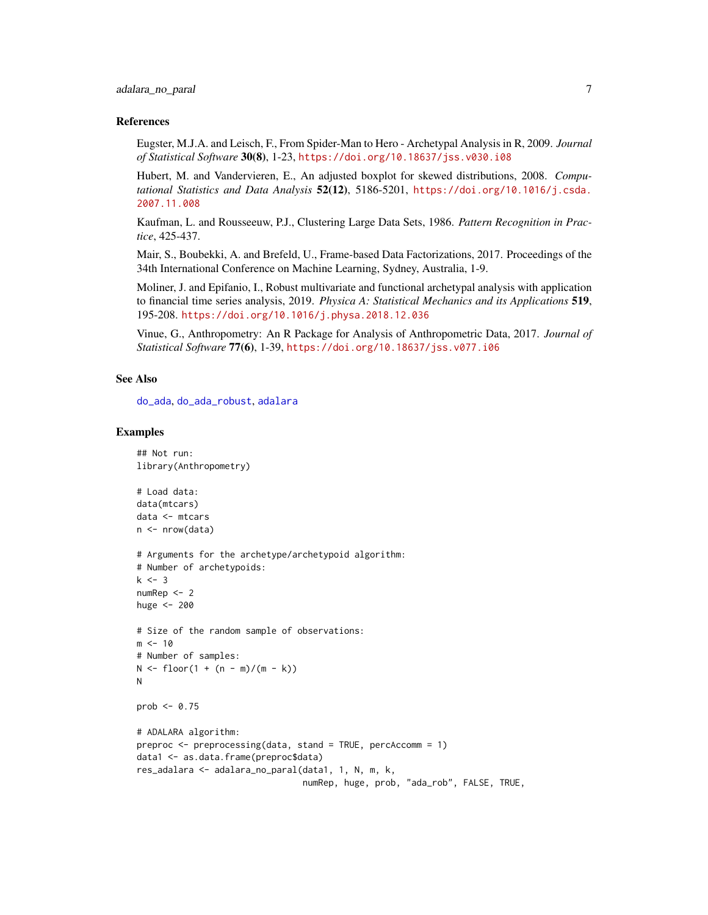#### <span id="page-6-0"></span>References

Eugster, M.J.A. and Leisch, F., From Spider-Man to Hero - Archetypal Analysis in R, 2009. *Journal of Statistical Software* 30(8), 1-23, <https://doi.org/10.18637/jss.v030.i08>

Hubert, M. and Vandervieren, E., An adjusted boxplot for skewed distributions, 2008. *Computational Statistics and Data Analysis* 52(12), 5186-5201, [https://doi.org/10.1016/j.csda.](https://doi.org/10.1016/j.csda.2007.11.008) [2007.11.008](https://doi.org/10.1016/j.csda.2007.11.008)

Kaufman, L. and Rousseeuw, P.J., Clustering Large Data Sets, 1986. *Pattern Recognition in Practice*, 425-437.

Mair, S., Boubekki, A. and Brefeld, U., Frame-based Data Factorizations, 2017. Proceedings of the 34th International Conference on Machine Learning, Sydney, Australia, 1-9.

Moliner, J. and Epifanio, I., Robust multivariate and functional archetypal analysis with application to financial time series analysis, 2019. *Physica A: Statistical Mechanics and its Applications* 519, 195-208. <https://doi.org/10.1016/j.physa.2018.12.036>

Vinue, G., Anthropometry: An R Package for Analysis of Anthropometric Data, 2017. *Journal of Statistical Software* 77(6), 1-39, <https://doi.org/10.18637/jss.v077.i06>

# See Also

[do\\_ada](#page-17-1), [do\\_ada\\_robust](#page-19-1), [adalara](#page-1-1)

```
## Not run:
library(Anthropometry)
# Load data:
data(mtcars)
data <- mtcars
n <- nrow(data)
# Arguments for the archetype/archetypoid algorithm:
# Number of archetypoids:
k < -3numRep <- 2
huge <-200# Size of the random sample of observations:
m < -10# Number of samples:
N \le floor(1 + (n - m)/(m - k))N
prob <- 0.75
# ADALARA algorithm:
preproc <- preprocessing(data, stand = TRUE, percAccomm = 1)
data1 <- as.data.frame(preproc$data)
res_adalara <- adalara_no_paral(data1, 1, N, m, k,
                                numRep, huge, prob, "ada_rob", FALSE, TRUE,
```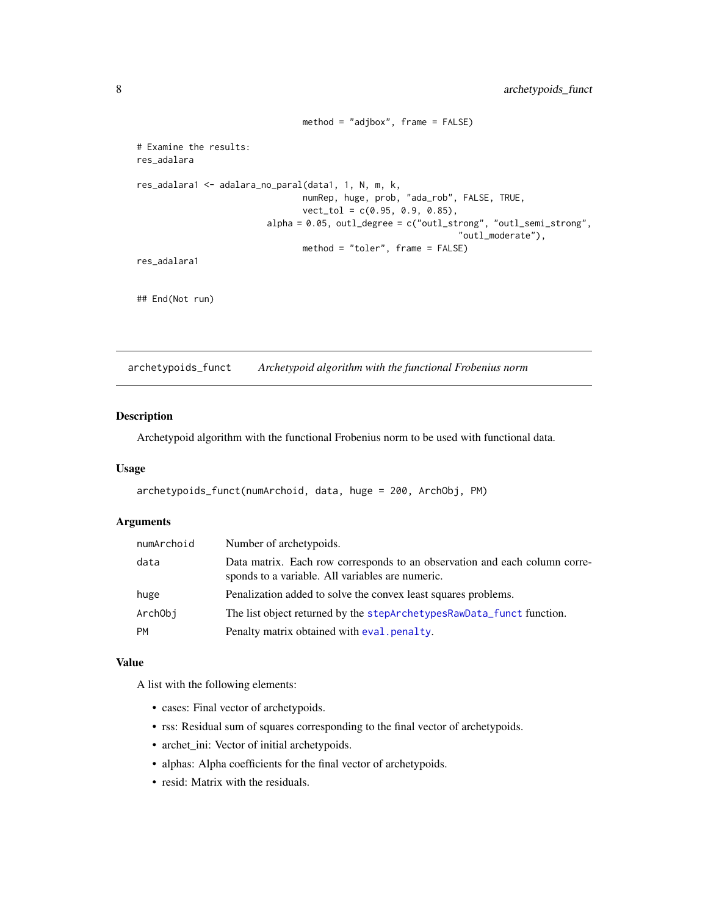```
method = "adjbox", frame = FALSE)
# Examine the results:
res_adalara
res_adalara1 <- adalara_no_paral(data1, 1, N, m, k,
                                numRep, huge, prob, "ada_rob", FALSE, TRUE,
                                vect_tol = c(0.95, 0.9, 0.85),
                         alpha = 0.05, outl_degree = c("outl_strong", "outl_semi_strong",
                                                               "outl_moderate"),
                                method = "toler", frame = FALSE)
res_adalara1
## End(Not run)
```
<span id="page-7-1"></span>archetypoids\_funct *Archetypoid algorithm with the functional Frobenius norm*

#### Description

Archetypoid algorithm with the functional Frobenius norm to be used with functional data.

# Usage

```
archetypoids_funct(numArchoid, data, huge = 200, ArchObj, PM)
```
# Arguments

| numArchoid | Number of archetypoids.                                                                                                        |
|------------|--------------------------------------------------------------------------------------------------------------------------------|
| data       | Data matrix. Each row corresponds to an observation and each column corre-<br>sponds to a variable. All variables are numeric. |
| huge       | Penalization added to solve the convex least squares problems.                                                                 |
| ArchObi    | The list object returned by the stepArchetypesRawData_funct function.                                                          |
| <b>PM</b>  | Penalty matrix obtained with eval penalty.                                                                                     |

## Value

A list with the following elements:

- cases: Final vector of archetypoids.
- rss: Residual sum of squares corresponding to the final vector of archetypoids.
- archet\_ini: Vector of initial archetypoids.
- alphas: Alpha coefficients for the final vector of archetypoids.
- resid: Matrix with the residuals.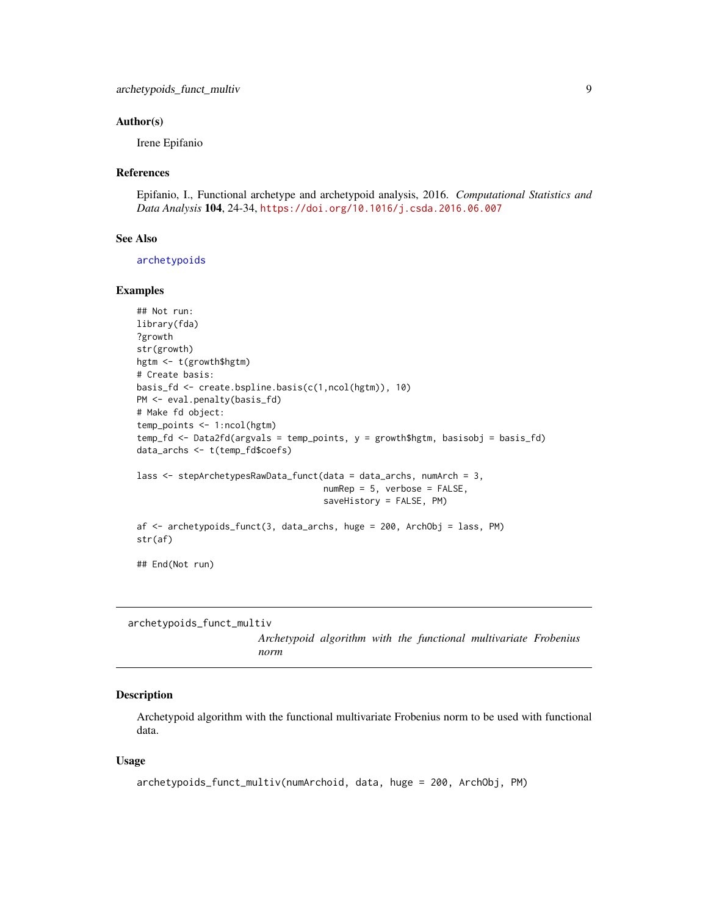## <span id="page-8-0"></span>Author(s)

Irene Epifanio

#### References

Epifanio, I., Functional archetype and archetypoid analysis, 2016. *Computational Statistics and Data Analysis* 104, 24-34, <https://doi.org/10.1016/j.csda.2016.06.007>

## See Also

[archetypoids](#page-0-0)

## Examples

```
## Not run:
library(fda)
?growth
str(growth)
hgtm <- t(growth$hgtm)
# Create basis:
basis_fd <- create.bspline.basis(c(1,ncol(hgtm)), 10)
PM <- eval.penalty(basis_fd)
# Make fd object:
temp_points <- 1:ncol(hgtm)
temp_fd <- Data2fd(argvals = temp_points, y = growth$hgtm, basisobj = basis_fd)
data_archs <- t(temp_fd$coefs)
lass <- stepArchetypesRawData_funct(data = data_archs, numArch = 3,
                                    numRep = 5, verbose = FALSE,
                                    saveHistory = FALSE, PM)
af <- archetypoids_funct(3, data_archs, huge = 200, ArchObj = lass, PM)
str(af)
## End(Not run)
```

```
archetypoids_funct_multiv
                        Archetypoid algorithm with the functional multivariate Frobenius
                        norm
```
## Description

Archetypoid algorithm with the functional multivariate Frobenius norm to be used with functional data.

## Usage

```
archetypoids_funct_multiv(numArchoid, data, huge = 200, ArchObj, PM)
```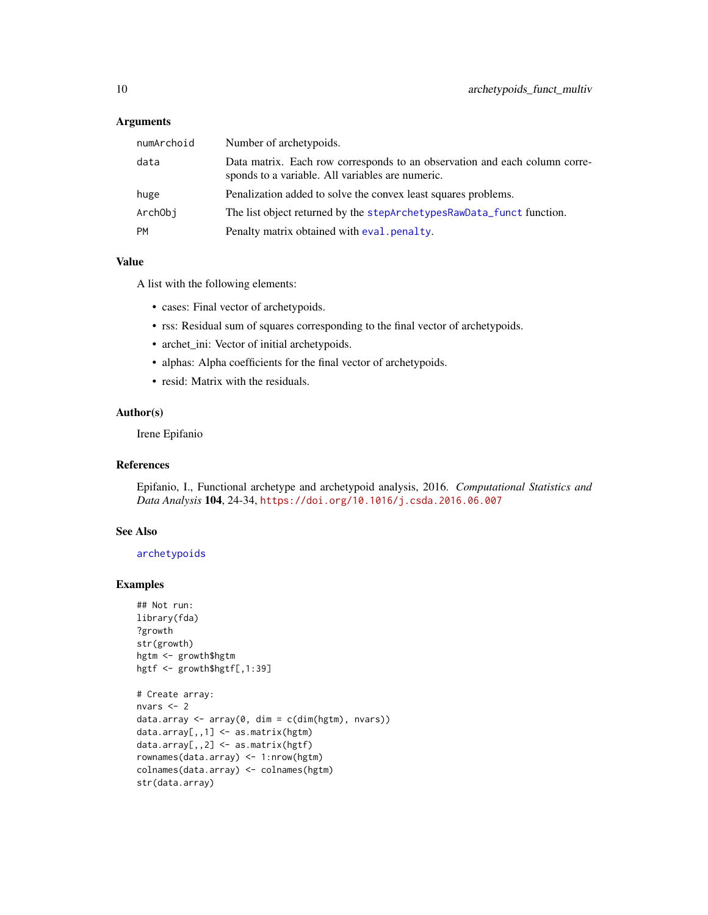## <span id="page-9-0"></span>**Arguments**

| numArchoid | Number of archetypoids.                                                                                                        |
|------------|--------------------------------------------------------------------------------------------------------------------------------|
| data       | Data matrix. Each row corresponds to an observation and each column corre-<br>sponds to a variable. All variables are numeric. |
| huge       | Penalization added to solve the convex least squares problems.                                                                 |
| ArchObj    | The list object returned by the stepArchetypesRawData_funct function.                                                          |
| <b>PM</b>  | Penalty matrix obtained with eval penalty.                                                                                     |

#### Value

A list with the following elements:

- cases: Final vector of archetypoids.
- rss: Residual sum of squares corresponding to the final vector of archetypoids.
- archet\_ini: Vector of initial archetypoids.
- alphas: Alpha coefficients for the final vector of archetypoids.
- resid: Matrix with the residuals.

# Author(s)

Irene Epifanio

# References

Epifanio, I., Functional archetype and archetypoid analysis, 2016. *Computational Statistics and Data Analysis* 104, 24-34, <https://doi.org/10.1016/j.csda.2016.06.007>

# See Also

[archetypoids](#page-0-0)

```
## Not run:
library(fda)
?growth
str(growth)
hgtm <- growth$hgtm
hgtf <- growth$hgtf[,1:39]
# Create array:
nvars <- 2
data.array \leq array(0, dim = c(dim(hgtm), nvars))
data.array[,,1] <- as.matrix(hgtm)
```

```
data.array[,,2] <- as.matrix(hgtf)
rownames(data.array) <- 1:nrow(hgtm)
colnames(data.array) <- colnames(hgtm)
str(data.array)
```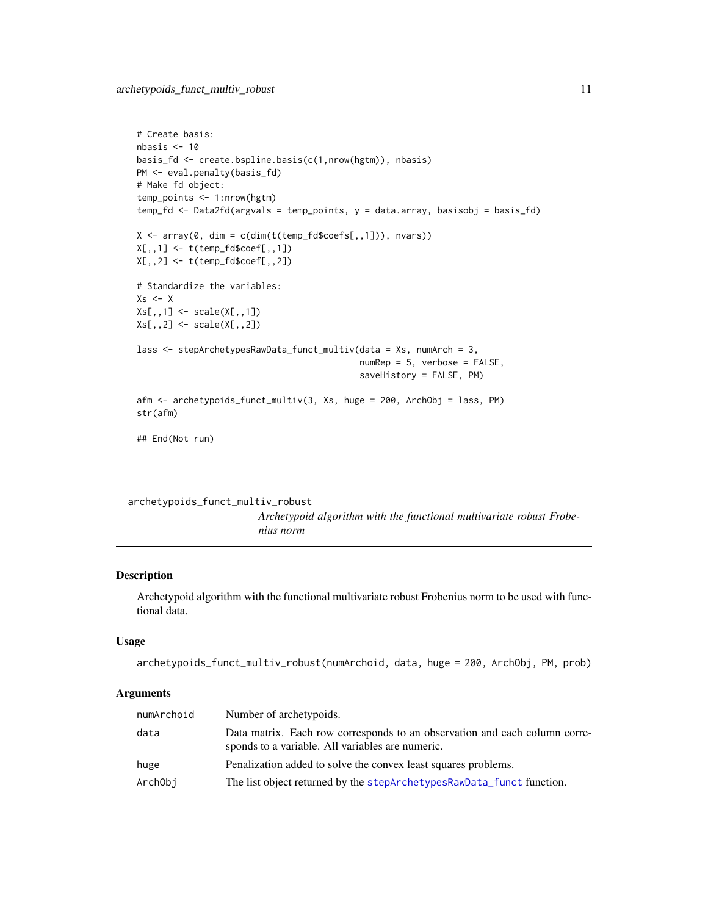```
# Create basis:
nbasis <- 10
basis_fd <- create.bspline.basis(c(1,nrow(hgtm)), nbasis)
PM <- eval.penalty(basis_fd)
# Make fd object:
temp_points <- 1:nrow(hgtm)
temp_fd <- Data2fd(argvals = temp_points, y = data.array, basisobj = basis_fd)
X \leftarrow \text{array}(\emptyset, \text{dim} = \text{c}(\text{dim}(t(\text{temp}_f \text{d}\text{%coeffs}[0,1])), nvars))
X[,,1] <- t(temp_fd$coef[,,1])
X[,,2] <- t(temp_fd$coef[,,2])
# Standardize the variables:
Xs < - XXs[,,1] <- scale(X[,,1])Xs[,,2] <- scale(X[,,2])
lass <- stepArchetypesRawData_funct_multiv(data = Xs, numArch = 3,
                                                numRep = 5, verbose = FALSE,
                                                saveHistory = FALSE, PM)
afm <- archetypoids_funct_multiv(3, Xs, huge = 200, ArchObj = lass, PM)
str(afm)
## End(Not run)
```
<span id="page-10-1"></span>archetypoids\_funct\_multiv\_robust

*Archetypoid algorithm with the functional multivariate robust Frobenius norm*

# Description

Archetypoid algorithm with the functional multivariate robust Frobenius norm to be used with functional data.

# Usage

```
archetypoids_funct_multiv_robust(numArchoid, data, huge = 200, ArchObj, PM, prob)
```
# Arguments

| numArchoid | Number of archetypoids.                                                                                                        |
|------------|--------------------------------------------------------------------------------------------------------------------------------|
| data       | Data matrix. Each row corresponds to an observation and each column corre-<br>sponds to a variable. All variables are numeric. |
| huge       | Penalization added to solve the convex least squares problems.                                                                 |
| ArchObi    | The list object returned by the stepArchetypesRawData_funct function.                                                          |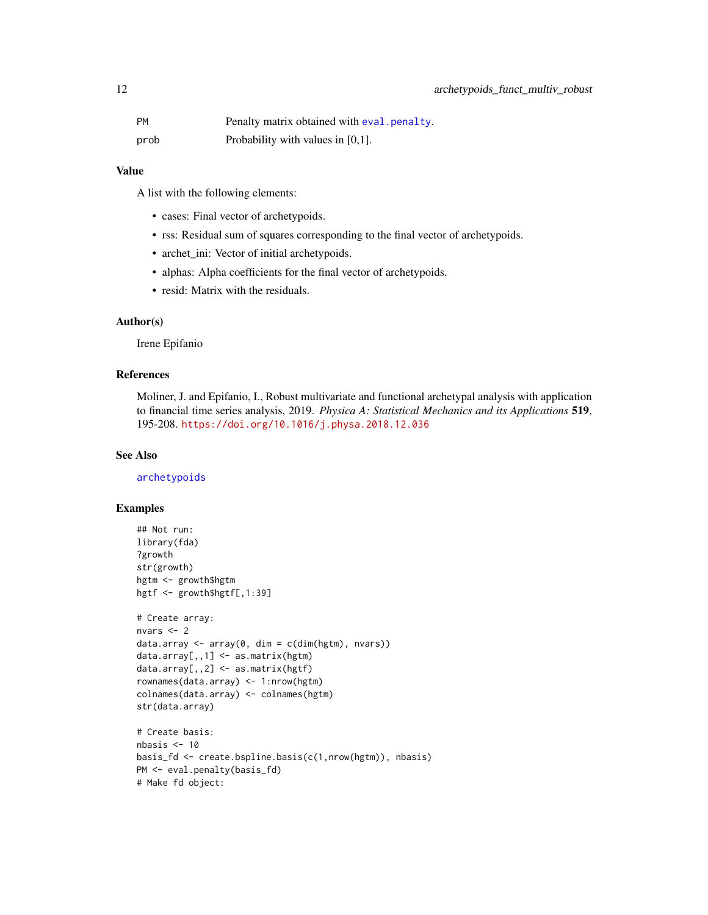<span id="page-11-0"></span>

| <b>PM</b> | Penalty matrix obtained with eval penalty. |
|-----------|--------------------------------------------|
| prob      | Probability with values in $[0,1]$ .       |

## Value

A list with the following elements:

- cases: Final vector of archetypoids.
- rss: Residual sum of squares corresponding to the final vector of archetypoids.
- archet\_ini: Vector of initial archetypoids.
- alphas: Alpha coefficients for the final vector of archetypoids.
- resid: Matrix with the residuals.

## Author(s)

Irene Epifanio

# References

Moliner, J. and Epifanio, I., Robust multivariate and functional archetypal analysis with application to financial time series analysis, 2019. *Physica A: Statistical Mechanics and its Applications* 519, 195-208. <https://doi.org/10.1016/j.physa.2018.12.036>

## See Also

[archetypoids](#page-0-0)

```
## Not run:
library(fda)
?growth
str(growth)
hgtm <- growth$hgtm
hgtf <- growth$hgtf[,1:39]
# Create array:
nvars <- 2
data.array \leq array(0, dim = c(dim(hgtm), nvars))
data.array[,, 1] \leq -as_matrix(hgtm)data.array[,,2] <- as.matrix(hgtf)
rownames(data.array) <- 1:nrow(hgtm)
colnames(data.array) <- colnames(hgtm)
str(data.array)
# Create basis:
nbasis < -10basis_fd <- create.bspline.basis(c(1,nrow(hgtm)), nbasis)
PM <- eval.penalty(basis_fd)
# Make fd object:
```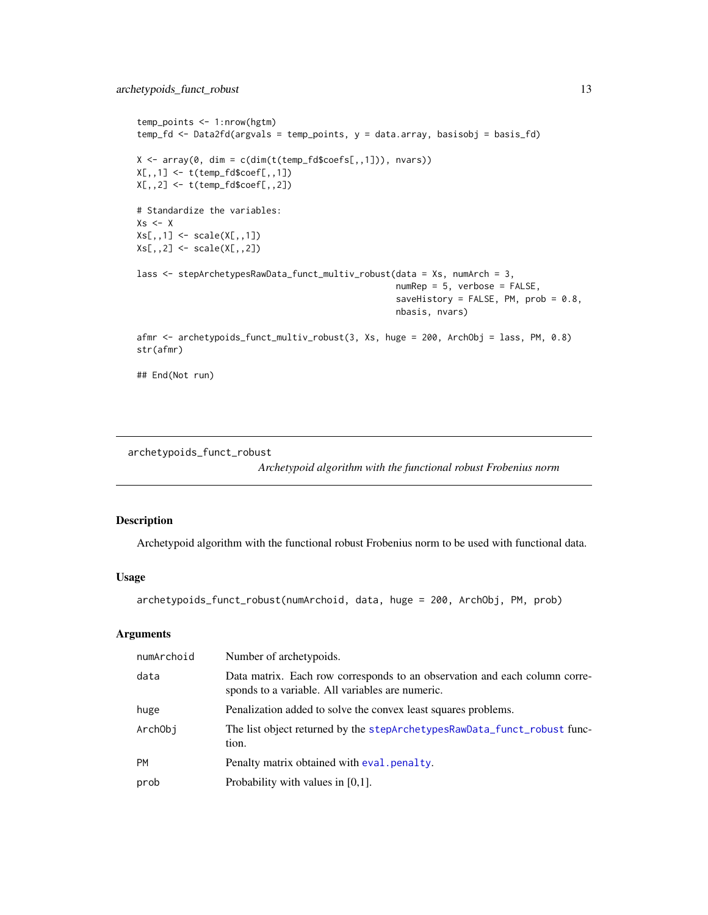```
temp_points <- 1:nrow(hgtm)
temp_fd <- Data2fd(argvals = temp_points, y = data.array, basisobj = basis_fd)
X \leq \arctan(\theta, \text{dim} = \text{cdim}(t(\text{temp_fd}\$coeffs[, 1])), nvars))
X[,, 1] <- t(temp_fd$coef[,,1])
X[,,2] <- t(temp_fd$coef[,,2])
# Standardize the variables:
Xs < -XXs[,, 1] <- scale(X[,,1])
Xs[,,2] <- scale(X[,,2])
lass <- stepArchetypesRawData_funct_multiv_robust(data = Xs, numArch = 3,
                                                     numRep = 5, verbose = FALSE,
                                                     saveHistory = FALSE, PM, prob = 0.8,nbasis, nvars)
afmr <- archetypoids_funct_multiv_robust(3, Xs, huge = 200, ArchObj = lass, PM, 0.8)
str(afmr)
## End(Not run)
```
<span id="page-12-1"></span>archetypoids\_funct\_robust

*Archetypoid algorithm with the functional robust Frobenius norm*

# Description

Archetypoid algorithm with the functional robust Frobenius norm to be used with functional data.

## Usage

```
archetypoids_funct_robust(numArchoid, data, huge = 200, ArchObj, PM, prob)
```
## Arguments

| numArchoid | Number of archetypoids.                                                                                                        |
|------------|--------------------------------------------------------------------------------------------------------------------------------|
| data       | Data matrix. Each row corresponds to an observation and each column corre-<br>sponds to a variable. All variables are numeric. |
| huge       | Penalization added to solve the convex least squares problems.                                                                 |
| ArchObi    | The list object returned by the stepArchetypesRawData_funct_robust func-<br>tion.                                              |
| <b>PM</b>  | Penalty matrix obtained with eval penalty.                                                                                     |
| prob       | Probability with values in $[0,1]$ .                                                                                           |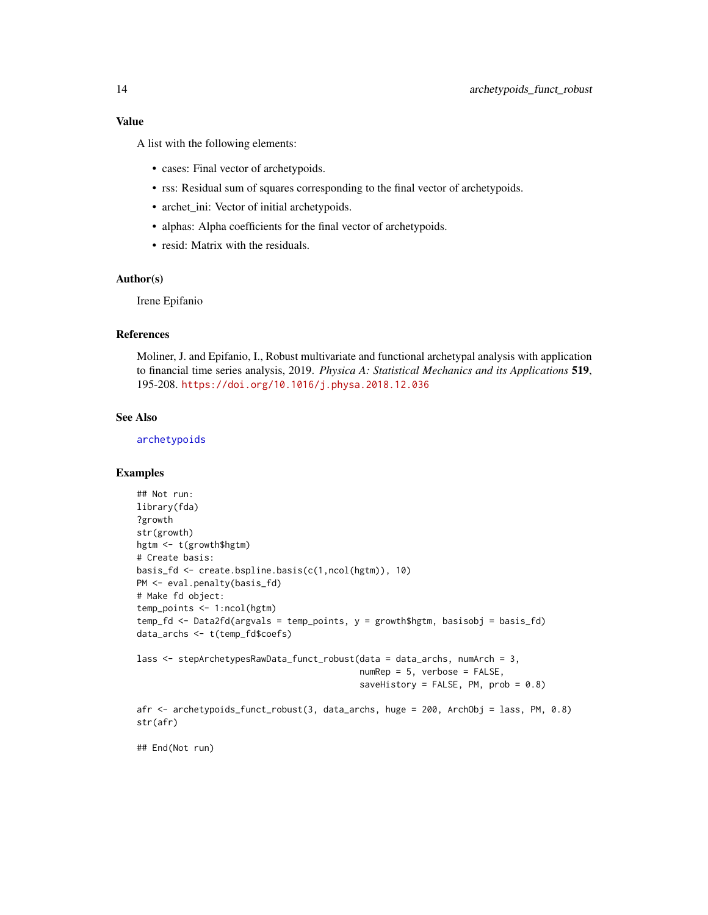# <span id="page-13-0"></span>Value

A list with the following elements:

- cases: Final vector of archetypoids.
- rss: Residual sum of squares corresponding to the final vector of archetypoids.
- archet\_ini: Vector of initial archetypoids.
- alphas: Alpha coefficients for the final vector of archetypoids.
- resid: Matrix with the residuals.

# Author(s)

Irene Epifanio

## References

Moliner, J. and Epifanio, I., Robust multivariate and functional archetypal analysis with application to financial time series analysis, 2019. *Physica A: Statistical Mechanics and its Applications* 519, 195-208. <https://doi.org/10.1016/j.physa.2018.12.036>

## See Also

[archetypoids](#page-0-0)

#### Examples

```
## Not run:
library(fda)
?growth
str(growth)
hgtm <- t(growth$hgtm)
# Create basis:
basis_fd <- create.bspline.basis(c(1,ncol(hgtm)), 10)
PM <- eval.penalty(basis_fd)
# Make fd object:
temp_points <- 1:ncol(hgtm)
temp_fd <- Data2fd(argvals = temp_points, y = growth$hgtm, basisobj = basis_fd)
data_archs <- t(temp_fd$coefs)
lass <- stepArchetypesRawData_funct_robust(data = data_archs, numArch = 3,
                                           numRep = 5, verbose = FALSE,
                                           saveHistory = FALSE, PM, prob = 0.8)afr <- archetypoids_funct_robust(3, data_archs, huge = 200, ArchObj = lass, PM, 0.8)
str(afr)
```
## End(Not run)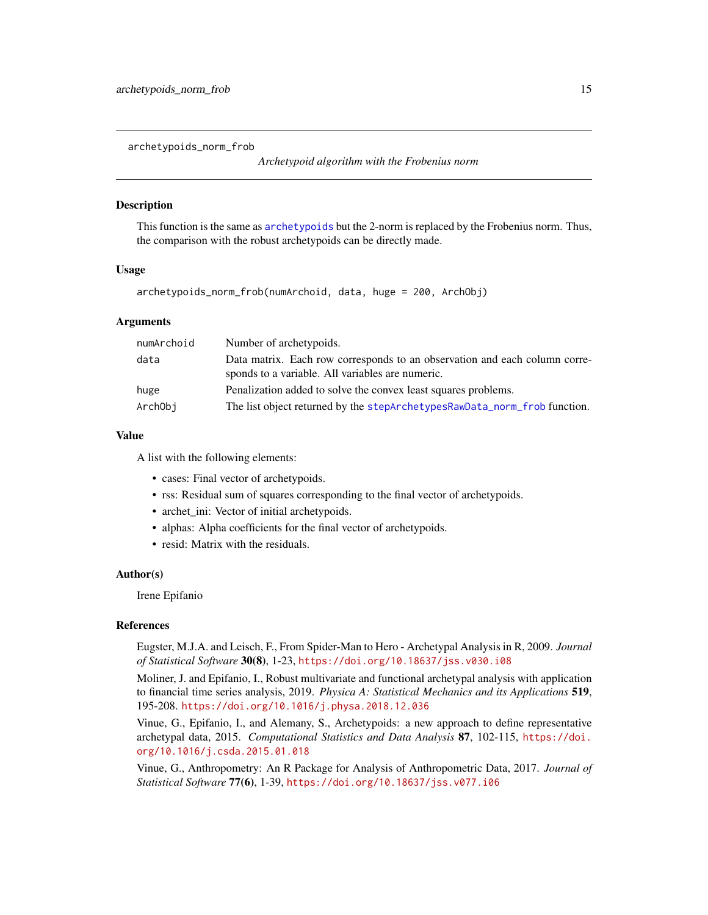<span id="page-14-1"></span><span id="page-14-0"></span>archetypoids\_norm\_frob

*Archetypoid algorithm with the Frobenius norm*

# **Description**

This function is the same as [archetypoids](#page-0-0) but the 2-norm is replaced by the Frobenius norm. Thus, the comparison with the robust archetypoids can be directly made.

#### Usage

archetypoids\_norm\_frob(numArchoid, data, huge = 200, ArchObj)

# **Arguments**

| numArchoid | Number of archetypoids.                                                                                                        |
|------------|--------------------------------------------------------------------------------------------------------------------------------|
| data       | Data matrix. Each row corresponds to an observation and each column corre-<br>sponds to a variable. All variables are numeric. |
| huge       | Penalization added to solve the convex least squares problems.                                                                 |
| ArchObi    | The list object returned by the stepArchetypesRawData_norm_frob function.                                                      |

#### Value

A list with the following elements:

- cases: Final vector of archetypoids.
- rss: Residual sum of squares corresponding to the final vector of archetypoids.
- archet\_ini: Vector of initial archetypoids.
- alphas: Alpha coefficients for the final vector of archetypoids.
- resid: Matrix with the residuals.

#### Author(s)

Irene Epifanio

#### References

Eugster, M.J.A. and Leisch, F., From Spider-Man to Hero - Archetypal Analysis in R, 2009. *Journal of Statistical Software* 30(8), 1-23, <https://doi.org/10.18637/jss.v030.i08>

Moliner, J. and Epifanio, I., Robust multivariate and functional archetypal analysis with application to financial time series analysis, 2019. *Physica A: Statistical Mechanics and its Applications* 519, 195-208. <https://doi.org/10.1016/j.physa.2018.12.036>

Vinue, G., Epifanio, I., and Alemany, S., Archetypoids: a new approach to define representative archetypal data, 2015. *Computational Statistics and Data Analysis* 87, 102-115, [https://doi.](https://doi.org/10.1016/j.csda.2015.01.018) [org/10.1016/j.csda.2015.01.018](https://doi.org/10.1016/j.csda.2015.01.018)

Vinue, G., Anthropometry: An R Package for Analysis of Anthropometric Data, 2017. *Journal of Statistical Software* 77(6), 1-39, <https://doi.org/10.18637/jss.v077.i06>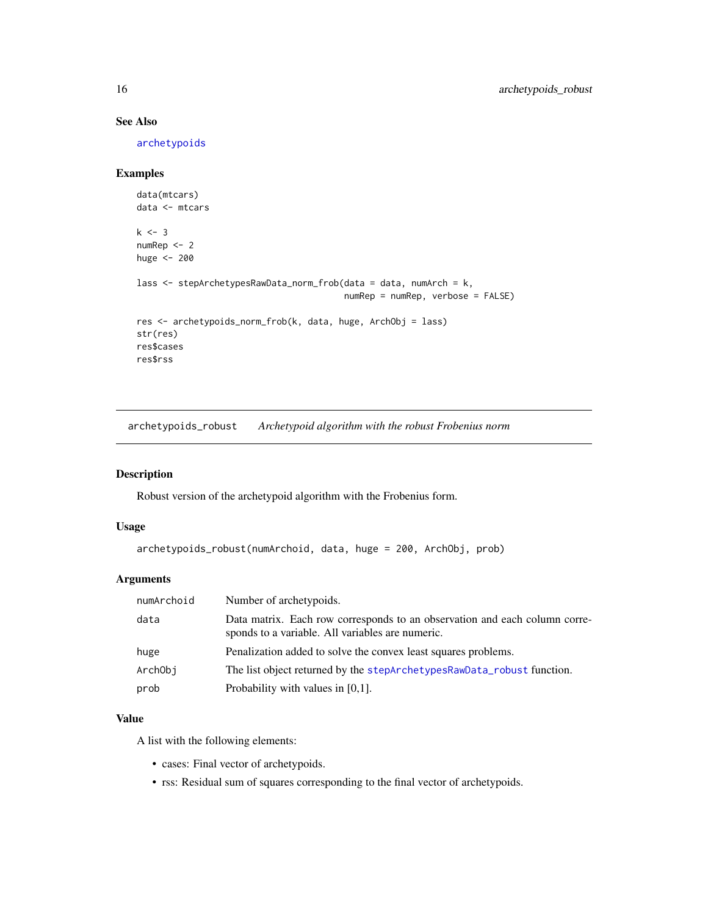# See Also

[archetypoids](#page-0-0)

# Examples

```
data(mtcars)
data <- mtcars
k < -3numRep <- 2
huge <- 200
lass <- stepArchetypesRawData_norm_frob(data = data, numArch = k,
                                        numRep = numRep, verbose = FALSE)
res <- archetypoids_norm_frob(k, data, huge, ArchObj = lass)
str(res)
res$cases
res$rss
```
<span id="page-15-1"></span>archetypoids\_robust *Archetypoid algorithm with the robust Frobenius norm*

# Description

Robust version of the archetypoid algorithm with the Frobenius form.

# Usage

```
archetypoids_robust(numArchoid, data, huge = 200, ArchObj, prob)
```
# Arguments

| numArchoid | Number of archetypoids.                                                                                                        |
|------------|--------------------------------------------------------------------------------------------------------------------------------|
| data       | Data matrix. Each row corresponds to an observation and each column corre-<br>sponds to a variable. All variables are numeric. |
| huge       | Penalization added to solve the convex least squares problems.                                                                 |
| ArchObj    | The list object returned by the stepArchetypesRawData_robust function.                                                         |
| prob       | Probability with values in $[0,1]$ .                                                                                           |

# Value

A list with the following elements:

- cases: Final vector of archetypoids.
- rss: Residual sum of squares corresponding to the final vector of archetypoids.

<span id="page-15-0"></span>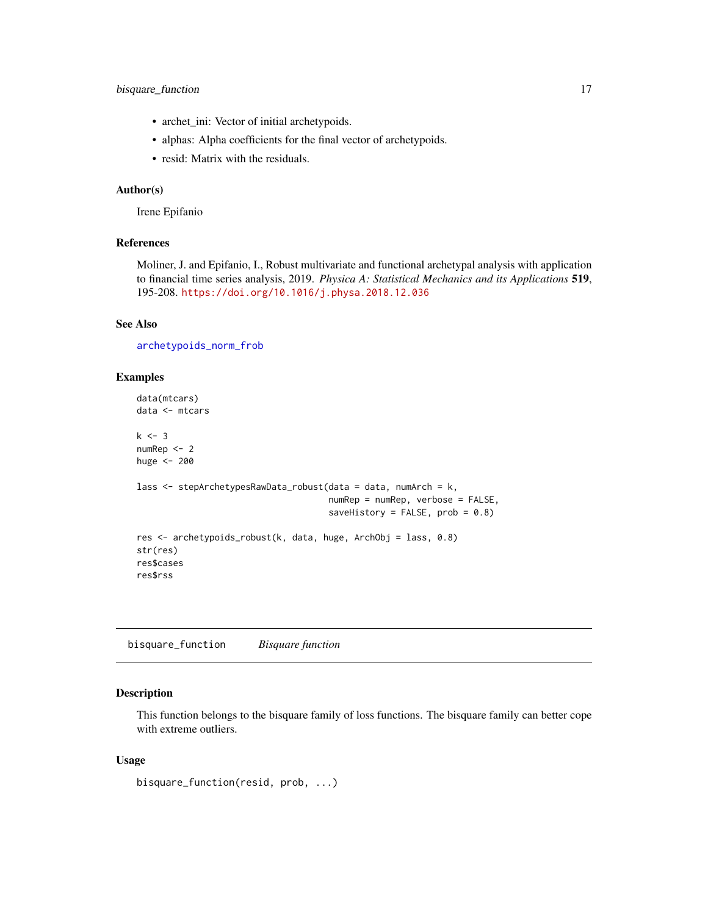- <span id="page-16-0"></span>• archet\_ini: Vector of initial archetypoids.
- alphas: Alpha coefficients for the final vector of archetypoids.
- resid: Matrix with the residuals.

# Author(s)

Irene Epifanio

#### References

Moliner, J. and Epifanio, I., Robust multivariate and functional archetypal analysis with application to financial time series analysis, 2019. *Physica A: Statistical Mechanics and its Applications* 519, 195-208. <https://doi.org/10.1016/j.physa.2018.12.036>

# See Also

[archetypoids\\_norm\\_frob](#page-14-1)

## Examples

```
data(mtcars)
data <- mtcars
k < -3numRep <- 2
huge <- 200
lass <- stepArchetypesRawData_robust(data = data, numArch = k,
                                     numRep = numRep, verbose = FALSE,
                                     saveHistory = FALSE, prob = 0.8)
res <- archetypoids_robust(k, data, huge, ArchObj = lass, 0.8)
str(res)
res$cases
res$rss
```
bisquare\_function *Bisquare function*

# Description

This function belongs to the bisquare family of loss functions. The bisquare family can better cope with extreme outliers.

## Usage

```
bisquare_function(resid, prob, ...)
```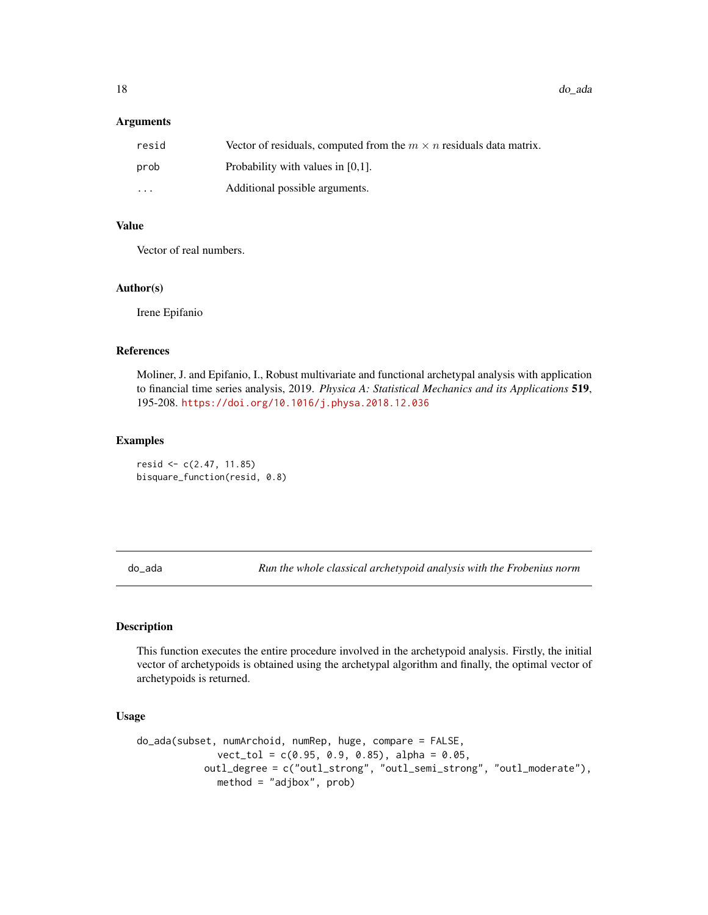<span id="page-17-0"></span>18 do\_ada

#### **Arguments**

| resid                   | Vector of residuals, computed from the $m \times n$ residuals data matrix. |
|-------------------------|----------------------------------------------------------------------------|
| prob                    | Probability with values in $[0,1]$ .                                       |
| $\cdot$ $\cdot$ $\cdot$ | Additional possible arguments.                                             |

# Value

Vector of real numbers.

## Author(s)

Irene Epifanio

## References

Moliner, J. and Epifanio, I., Robust multivariate and functional archetypal analysis with application to financial time series analysis, 2019. *Physica A: Statistical Mechanics and its Applications* 519, 195-208. <https://doi.org/10.1016/j.physa.2018.12.036>

#### Examples

resid <- c(2.47, 11.85) bisquare\_function(resid, 0.8)

<span id="page-17-1"></span>do\_ada *Run the whole classical archetypoid analysis with the Frobenius norm*

# Description

This function executes the entire procedure involved in the archetypoid analysis. Firstly, the initial vector of archetypoids is obtained using the archetypal algorithm and finally, the optimal vector of archetypoids is returned.

## Usage

```
do_ada(subset, numArchoid, numRep, huge, compare = FALSE,
              vect_tol = c(0.95, 0.9, 0.85), alpha = 0.05,
           outl_degree = c("outl_strong", "outl_semi_strong", "outl_moderate"),
              method = "adjbox", prob)
```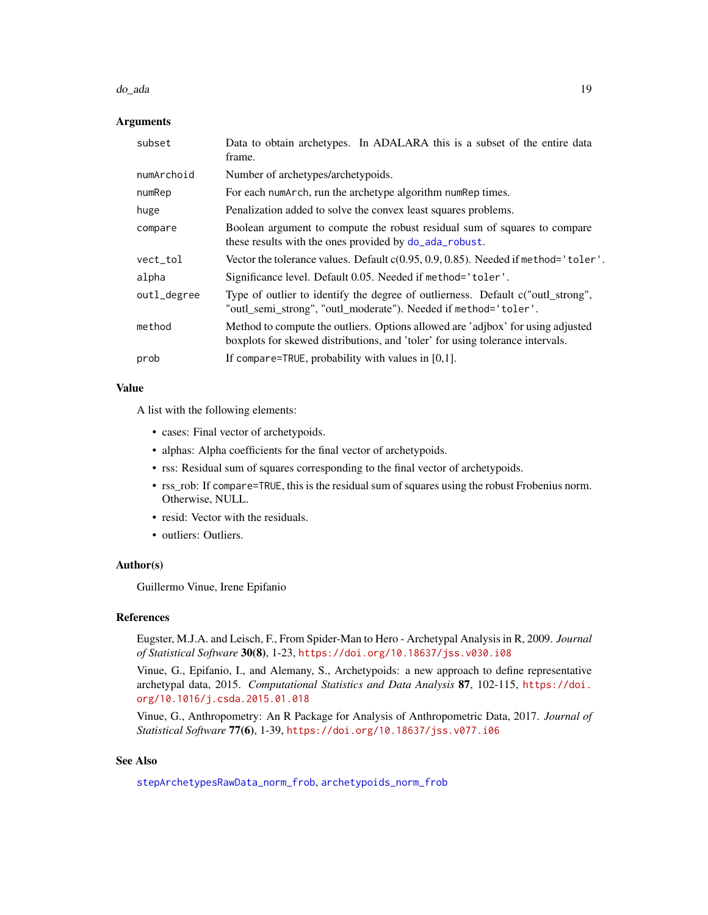#### <span id="page-18-0"></span>do\_ada 19

## Arguments

| subset      | Data to obtain archetypes. In ADALARA this is a subset of the entire data<br>frame.                                                                              |
|-------------|------------------------------------------------------------------------------------------------------------------------------------------------------------------|
| numArchoid  | Number of archetypes/archetypoids.                                                                                                                               |
| numRep      | For each numArch, run the archetype algorithm numRep times.                                                                                                      |
| huge        | Penalization added to solve the convex least squares problems.                                                                                                   |
| compare     | Boolean argument to compute the robust residual sum of squares to compare<br>these results with the ones provided by do_ada_robust.                              |
| vect_tol    | Vector the tolerance values. Default $c(0.95, 0.9, 0.85)$ . Needed if method='toler'.                                                                            |
| alpha       | Significance level. Default 0.05. Needed if method='toler'.                                                                                                      |
| outl_degree | Type of outlier to identify the degree of outlierness. Default c("outl_strong",<br>"outl_semi_strong", "outl_moderate"). Needed if method='toler'.               |
| method      | Method to compute the outliers. Options allowed are 'adjbox' for using adjusted<br>boxplots for skewed distributions, and 'toler' for using tolerance intervals. |
| prob        | If compare=TRUE, probability with values in $[0,1]$ .                                                                                                            |

# Value

A list with the following elements:

- cases: Final vector of archetypoids.
- alphas: Alpha coefficients for the final vector of archetypoids.
- rss: Residual sum of squares corresponding to the final vector of archetypoids.
- rss\_rob: If compare=TRUE, this is the residual sum of squares using the robust Frobenius norm. Otherwise, NULL.
- resid: Vector with the residuals.
- outliers: Outliers.

# Author(s)

Guillermo Vinue, Irene Epifanio

# References

Eugster, M.J.A. and Leisch, F., From Spider-Man to Hero - Archetypal Analysis in R, 2009. *Journal of Statistical Software* 30(8), 1-23, <https://doi.org/10.18637/jss.v030.i08>

Vinue, G., Epifanio, I., and Alemany, S., Archetypoids: a new approach to define representative archetypal data, 2015. *Computational Statistics and Data Analysis* 87, 102-115, [https://doi.](https://doi.org/10.1016/j.csda.2015.01.018) [org/10.1016/j.csda.2015.01.018](https://doi.org/10.1016/j.csda.2015.01.018)

Vinue, G., Anthropometry: An R Package for Analysis of Anthropometric Data, 2017. *Journal of Statistical Software* 77(6), 1-39, <https://doi.org/10.18637/jss.v077.i06>

# See Also

[stepArchetypesRawData\\_norm\\_frob](#page-62-1), [archetypoids\\_norm\\_frob](#page-14-1)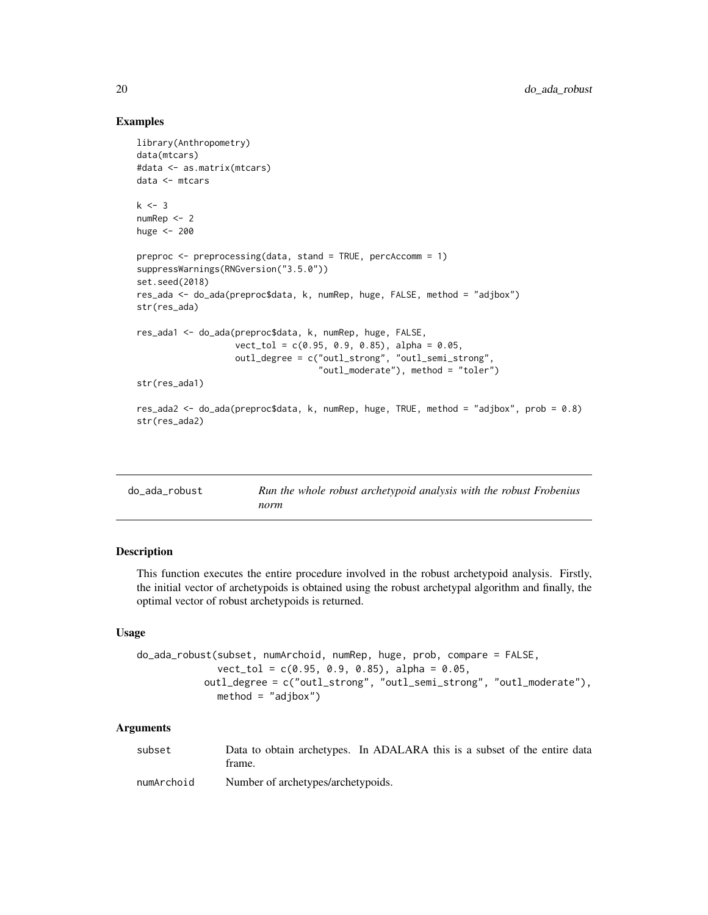# Examples

```
library(Anthropometry)
data(mtcars)
#data <- as.matrix(mtcars)
data <- mtcars
k < -3numRep <- 2
huge <- 200
preproc \leq preprocessing(data, stand = TRUE, percAccomm = 1)
suppressWarnings(RNGversion("3.5.0"))
set.seed(2018)
res_ada <- do_ada(preproc$data, k, numRep, huge, FALSE, method = "adjbox")
str(res_ada)
res_ada1 <- do_ada(preproc$data, k, numRep, huge, FALSE,
                   vect\_tol = c(0.95, 0.9, 0.85), alpha = 0.05,outl_degree = c("outl_strong", "outl_semi_strong",
                                    "outl_moderate"), method = "toler")
str(res_ada1)
res_ada2 <- do_ada(preproc$data, k, numRep, huge, TRUE, method = "adjbox", prob = 0.8)
str(res_ada2)
```
<span id="page-19-1"></span>

| do_ada_robust | Run the whole robust archetypoid analysis with the robust Frobenius |
|---------------|---------------------------------------------------------------------|
|               | norm                                                                |

## Description

This function executes the entire procedure involved in the robust archetypoid analysis. Firstly, the initial vector of archetypoids is obtained using the robust archetypal algorithm and finally, the optimal vector of robust archetypoids is returned.

## Usage

```
do_ada_robust(subset, numArchoid, numRep, huge, prob, compare = FALSE,
             vect\_tol = c(0.95, 0.9, 0.85), alpha = 0.05,outl_degree = c("outl_strong", "outl_semi_strong", "outl_moderate"),
             method = "adjbox")
```
#### Arguments

| subset | Data to obtain archetypes. In ADALARA this is a subset of the entire data |  |  |  |
|--------|---------------------------------------------------------------------------|--|--|--|
|        | trame.                                                                    |  |  |  |

numArchoid Number of archetypes/archetypoids.

<span id="page-19-0"></span>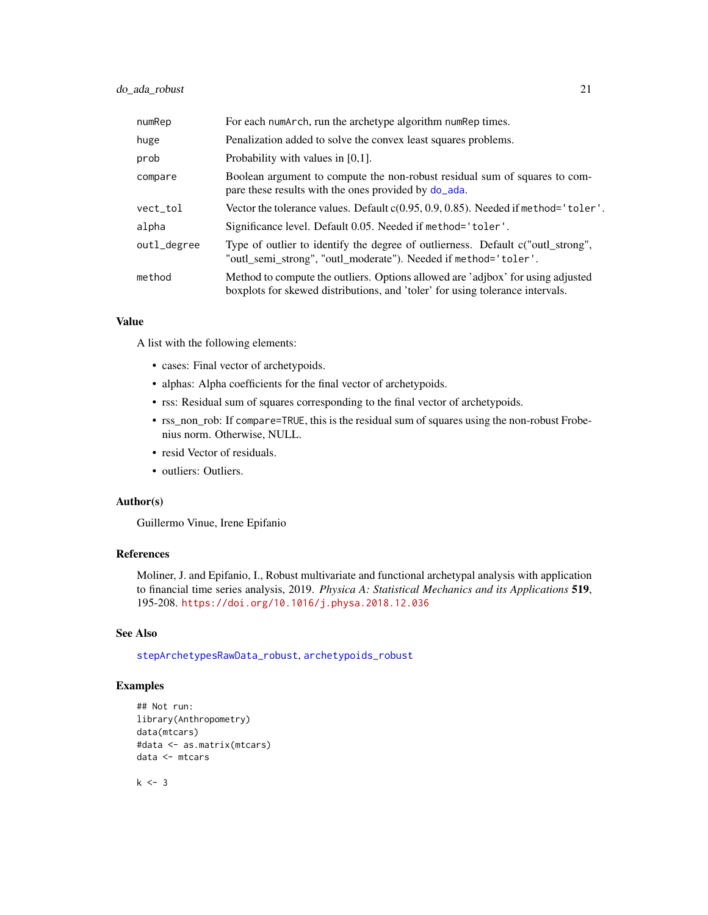# <span id="page-20-0"></span>do\_ada\_robust 21

| numRep      | For each numarch, run the archetype algorithm num Rep times.                                                                                                     |
|-------------|------------------------------------------------------------------------------------------------------------------------------------------------------------------|
| huge        | Penalization added to solve the convex least squares problems.                                                                                                   |
| prob        | Probability with values in $[0,1]$ .                                                                                                                             |
| compare     | Boolean argument to compute the non-robust residual sum of squares to com-<br>pare these results with the ones provided by do_ada.                               |
| vect_tol    | Vector the tolerance values. Default c(0.95, 0.9, 0.85). Needed if method='toler'.                                                                               |
| alpha       | Significance level. Default 0.05. Needed if method='toler'.                                                                                                      |
| outl_degree | Type of outlier to identify the degree of outlierness. Default c("outl strong",<br>"outl_semi_strong", "outl_moderate"). Needed if method='toler'.               |
| method      | Method to compute the outliers. Options allowed are 'adjbox' for using adjusted<br>boxplots for skewed distributions, and 'toler' for using tolerance intervals. |

## Value

A list with the following elements:

- cases: Final vector of archetypoids.
- alphas: Alpha coefficients for the final vector of archetypoids.
- rss: Residual sum of squares corresponding to the final vector of archetypoids.
- rss\_non\_rob: If compare=TRUE, this is the residual sum of squares using the non-robust Frobenius norm. Otherwise, NULL.
- resid Vector of residuals.
- outliers: Outliers.

## Author(s)

Guillermo Vinue, Irene Epifanio

## References

Moliner, J. and Epifanio, I., Robust multivariate and functional archetypal analysis with application to financial time series analysis, 2019. *Physica A: Statistical Mechanics and its Applications* 519, 195-208. <https://doi.org/10.1016/j.physa.2018.12.036>

## See Also

[stepArchetypesRawData\\_robust](#page-63-1), [archetypoids\\_robust](#page-15-1)

# Examples

```
## Not run:
library(Anthropometry)
data(mtcars)
#data <- as.matrix(mtcars)
data <- mtcars
```
 $k < -3$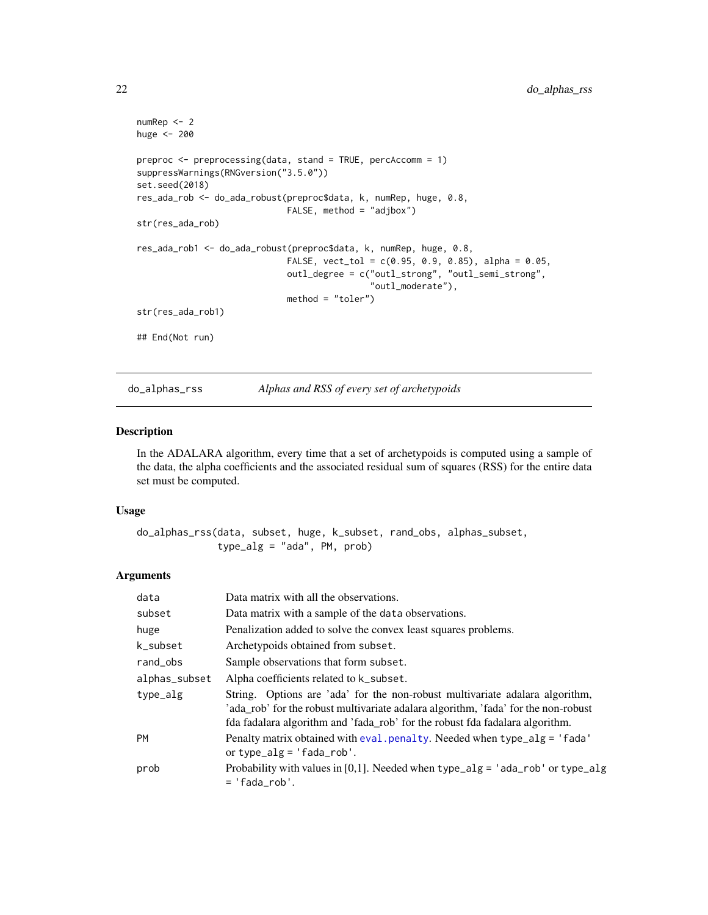```
numRep <- 2
huge <- 200
preproc <- preprocessing(data, stand = TRUE, percAccomm = 1)
suppressWarnings(RNGversion("3.5.0"))
set.seed(2018)
res_ada_rob <- do_ada_robust(preproc$data, k, numRep, huge, 0.8,
                             FALSE, method = "adjbox")
str(res_ada_rob)
res_ada_rob1 <- do_ada_robust(preproc$data, k, numRep, huge, 0.8,
                             FALSE, vect\_tol = c(0.95, 0.9, 0.85), alpha = 0.05,
                             outl_degree = c("outl_strong", "outl_semi_strong",
                                              .<br>"outl_moderate"),
                             method = "toler")
str(res_ada_rob1)
## End(Not run)
```

```
do_alphas_rss Alphas and RSS of every set of archetypoids
```
## Description

In the ADALARA algorithm, every time that a set of archetypoids is computed using a sample of the data, the alpha coefficients and the associated residual sum of squares (RSS) for the entire data set must be computed.

### Usage

```
do_alphas_rss(data, subset, huge, k_subset, rand_obs, alphas_subset,
              type_alg = "ada", PM, prob)
```
## Arguments

| data          | Data matrix with all the observations.                                                                                                                                                                                                             |
|---------------|----------------------------------------------------------------------------------------------------------------------------------------------------------------------------------------------------------------------------------------------------|
| subset        | Data matrix with a sample of the data observations.                                                                                                                                                                                                |
| huge          | Penalization added to solve the convex least squares problems.                                                                                                                                                                                     |
| k_subset      | Archetypoids obtained from subset.                                                                                                                                                                                                                 |
| rand_obs      | Sample observations that form subset.                                                                                                                                                                                                              |
| alphas_subset | Alpha coefficients related to k_subset.                                                                                                                                                                                                            |
| type_alg      | String. Options are 'ada' for the non-robust multivariate adalara algorithm,<br>'ada_rob' for the robust multivariate adalara algorithm, 'fada' for the non-robust<br>fda fadalara algorithm and 'fada_rob' for the robust fda fadalara algorithm. |
| PM            | Penalty matrix obtained with eval. penalty. Needed when type_alg = $'$ fada'<br>or type_alg = $'$ fada_rob'.                                                                                                                                       |
| prob          | Probability with values in [0,1]. Needed when type_alg = 'ada_rob' or type_alg<br>$=$ 'fada rob'.                                                                                                                                                  |

<span id="page-21-0"></span>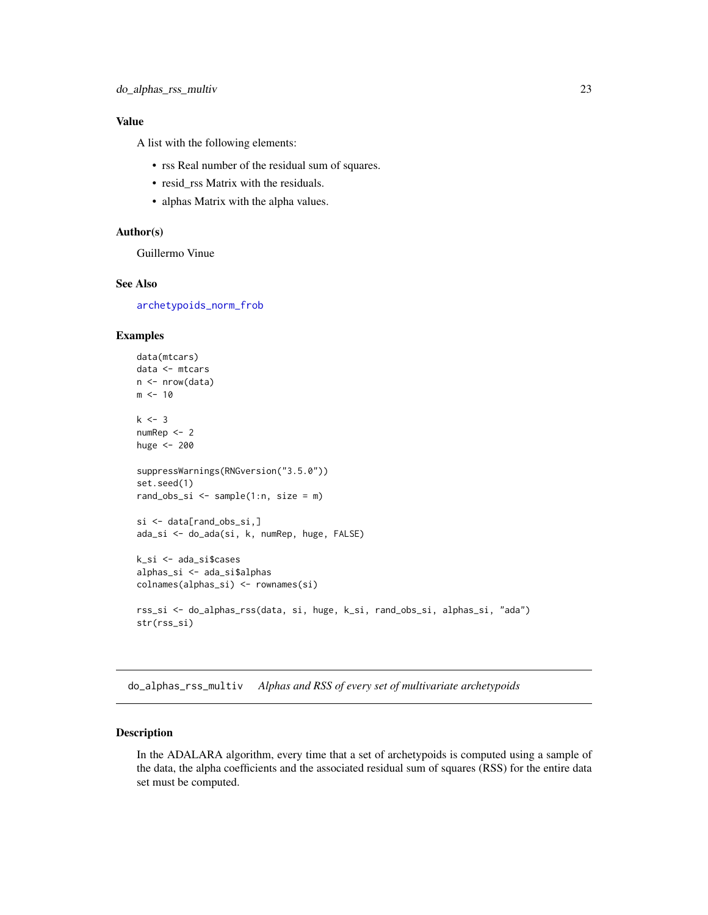# <span id="page-22-0"></span>Value

A list with the following elements:

- rss Real number of the residual sum of squares.
- resid\_rss Matrix with the residuals.
- alphas Matrix with the alpha values.

# Author(s)

Guillermo Vinue

## See Also

[archetypoids\\_norm\\_frob](#page-14-1)

# Examples

```
data(mtcars)
data <- mtcars
n <- nrow(data)
m < -10k \le -3numRep <- 2
huge <- 200
suppressWarnings(RNGversion("3.5.0"))
set.seed(1)
rand_obs_si <- sample(1:n, size = m)
si <- data[rand_obs_si,]
ada_si <- do_ada(si, k, numRep, huge, FALSE)
k_si <- ada_si$cases
alphas_si <- ada_si$alphas
colnames(alphas_si) <- rownames(si)
rss_si <- do_alphas_rss(data, si, huge, k_si, rand_obs_si, alphas_si, "ada")
str(rss_si)
```
do\_alphas\_rss\_multiv *Alphas and RSS of every set of multivariate archetypoids*

# Description

In the ADALARA algorithm, every time that a set of archetypoids is computed using a sample of the data, the alpha coefficients and the associated residual sum of squares (RSS) for the entire data set must be computed.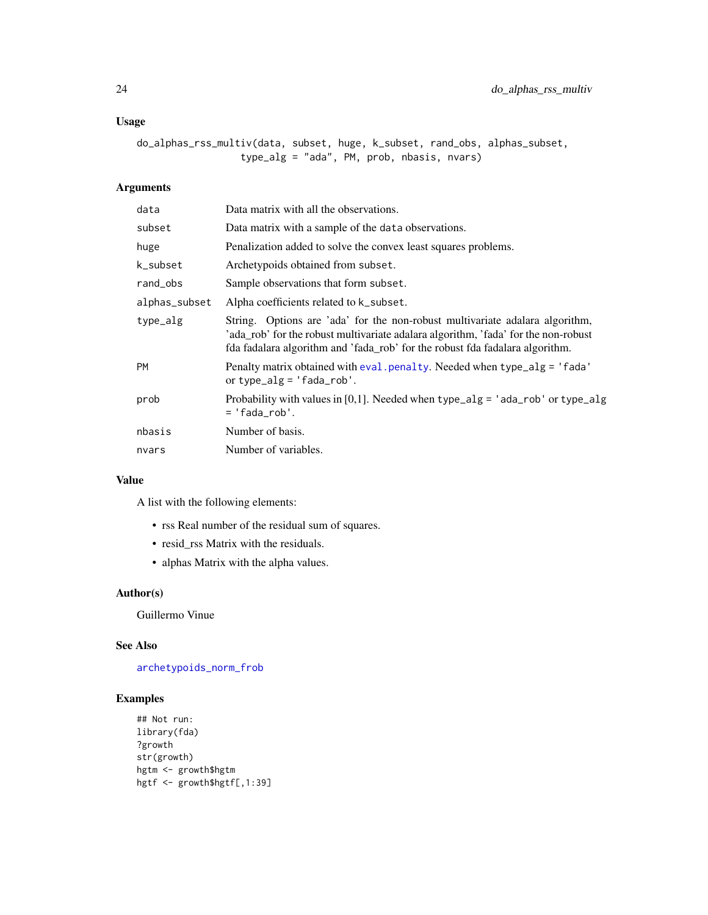# <span id="page-23-0"></span>Usage

```
do_alphas_rss_multiv(data, subset, huge, k_subset, rand_obs, alphas_subset,
                  type_alg = "ada", PM, prob, nbasis, nvars)
```
# Arguments

| data          | Data matrix with all the observations.                                                                                                                                                                                                             |
|---------------|----------------------------------------------------------------------------------------------------------------------------------------------------------------------------------------------------------------------------------------------------|
| subset        | Data matrix with a sample of the data observations.                                                                                                                                                                                                |
| huge          | Penalization added to solve the convex least squares problems.                                                                                                                                                                                     |
| k_subset      | Archetypoids obtained from subset.                                                                                                                                                                                                                 |
| rand_obs      | Sample observations that form subset.                                                                                                                                                                                                              |
| alphas_subset | Alpha coefficients related to k_subset.                                                                                                                                                                                                            |
| type_alg      | String. Options are 'ada' for the non-robust multivariate adalara algorithm,<br>'ada_rob' for the robust multivariate adalara algorithm, 'fada' for the non-robust<br>fda fadalara algorithm and 'fada_rob' for the robust fda fadalara algorithm. |
| <b>PM</b>     | Penalty matrix obtained with eval. penalty. Needed when type_alg = 'fada'<br>or type_alg = $'$ fada_rob'.                                                                                                                                          |
| prob          | Probability with values in [0,1]. Needed when type_alg = 'ada_rob' or type_alg<br>= 'fada rob'.                                                                                                                                                    |
| nbasis        | Number of basis.                                                                                                                                                                                                                                   |
| nvars         | Number of variables.                                                                                                                                                                                                                               |

# Value

A list with the following elements:

- rss Real number of the residual sum of squares.
- resid\_rss Matrix with the residuals.
- alphas Matrix with the alpha values.

# Author(s)

Guillermo Vinue

# See Also

[archetypoids\\_norm\\_frob](#page-14-1)

```
## Not run:
library(fda)
?growth
str(growth)
hgtm <- growth$hgtm
hgtf <- growth$hgtf[,1:39]
```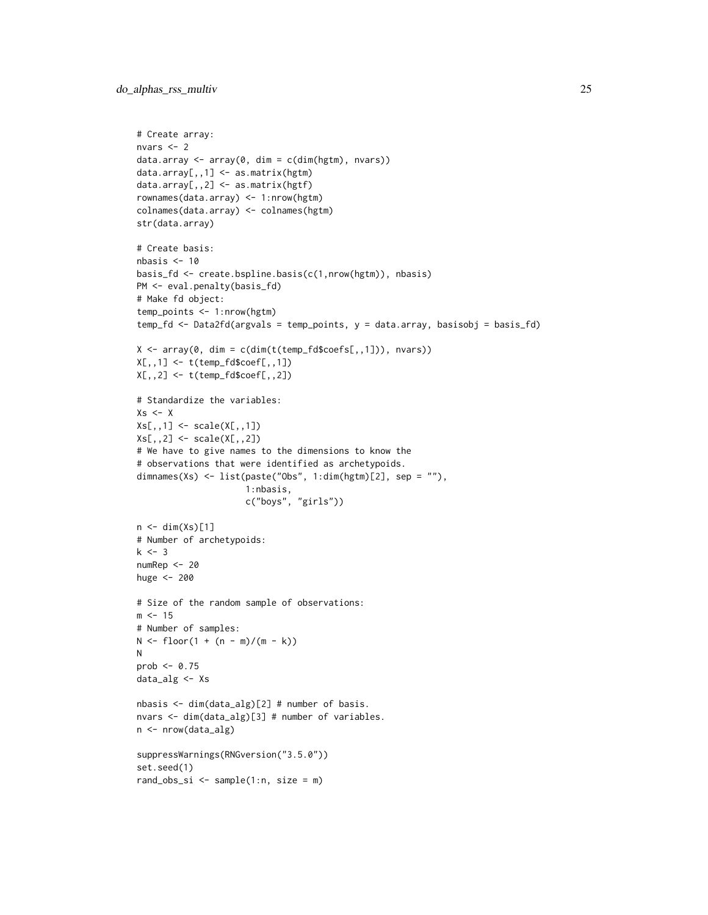```
# Create array:
nvars <-2data.array <- array(0, dim = c(dim(hgtm), nvars))data.array[,,1] <- as.matrix(hgtm)
data.array[,,2] <- as.matrix(hgtf)
rownames(data.array) <- 1:nrow(hgtm)
colnames(data.array) <- colnames(hgtm)
str(data.array)
# Create basis:
nbasis < -10basis_fd <- create.bspline.basis(c(1,nrow(hgtm)), nbasis)
PM <- eval.penalty(basis_fd)
# Make fd object:
temp_points <- 1:nrow(hgtm)
temp_fd <- Data2fd(argvals = temp_points, y = data.array, basisobj = basis_fd)
X \leftarrow \text{array}(0, \text{dim} = \text{c}(\text{dim}(t(\text{temp\_fd}\text{Scoefs}[,1])), nvars))
X[,, 1] <- t(temp_fd$coef[,,1])
X[,,2] <- t(temp_fd$coef[,,2])
# Standardize the variables:
Xs < -XXs[,,1] <- scale(X[,,1])
Xs[,,2] <- scale(X[,,2])
# We have to give names to the dimensions to know the
# observations that were identified as archetypoids.
dimnames(Xs) <- list(paste("Obs", 1:dim(hgtm)[2], sep = ""),
                      1:nbasis,
                      c("boys", "girls"))
n \leftarrow \text{dim}(Xs)[1]# Number of archetypoids:
k < -3numRep <- 20
huge <- 200
# Size of the random sample of observations:
m < -15# Number of samples:
N \le f \text{loor}(1 + (n - m)/(m - k))N
prob <- 0.75
data_alg <- Xs
nbasis <- dim(data_alg)[2] # number of basis.
nvars <- dim(data_alg)[3] # number of variables.
n <- nrow(data_alg)
suppressWarnings(RNGversion("3.5.0"))
set.seed(1)
rand_obs_si \leq sample(1:n, size = m)
```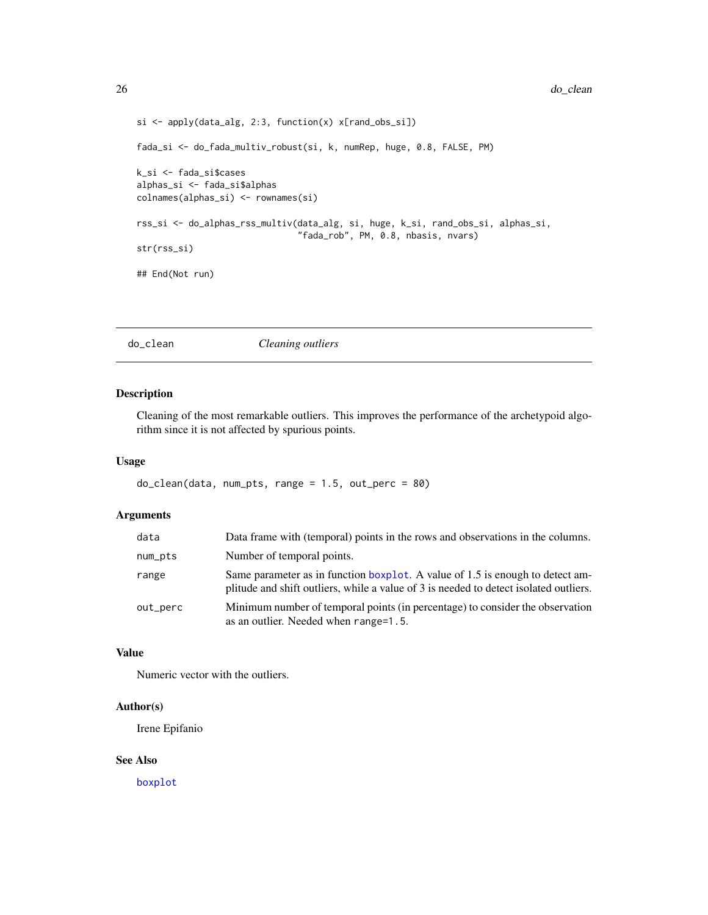```
si <- apply(data_alg, 2:3, function(x) x[rand_obs_si])
fada_si <- do_fada_multiv_robust(si, k, numRep, huge, 0.8, FALSE, PM)
k_si <- fada_si$cases
alphas_si <- fada_si$alphas
colnames(alphas_si) <- rownames(si)
rss_si <- do_alphas_rss_multiv(data_alg, si, huge, k_si, rand_obs_si, alphas_si,
                               "fada_rob", PM, 0.8, nbasis, nvars)
str(rss_si)
## End(Not run)
```
# do\_clean *Cleaning outliers*

# Description

Cleaning of the most remarkable outliers. This improves the performance of the archetypoid algorithm since it is not affected by spurious points.

## Usage

```
do_clean(data, num_pts, range = 1.5, out_perc = 80)
```
# Arguments

| data     | Data frame with (temporal) points in the rows and observations in the columns.                                                                                         |
|----------|------------------------------------------------------------------------------------------------------------------------------------------------------------------------|
| num_pts  | Number of temporal points.                                                                                                                                             |
| range    | Same parameter as in function boxplot. A value of 1.5 is enough to detect am-<br>plitude and shift outliers, while a value of 3 is needed to detect isolated outliers. |
| out_perc | Minimum number of temporal points (in percentage) to consider the observation<br>as an outlier. Needed when range=1.5.                                                 |

# Value

Numeric vector with the outliers.

# Author(s)

Irene Epifanio

## See Also

[boxplot](#page-0-0)

<span id="page-25-0"></span>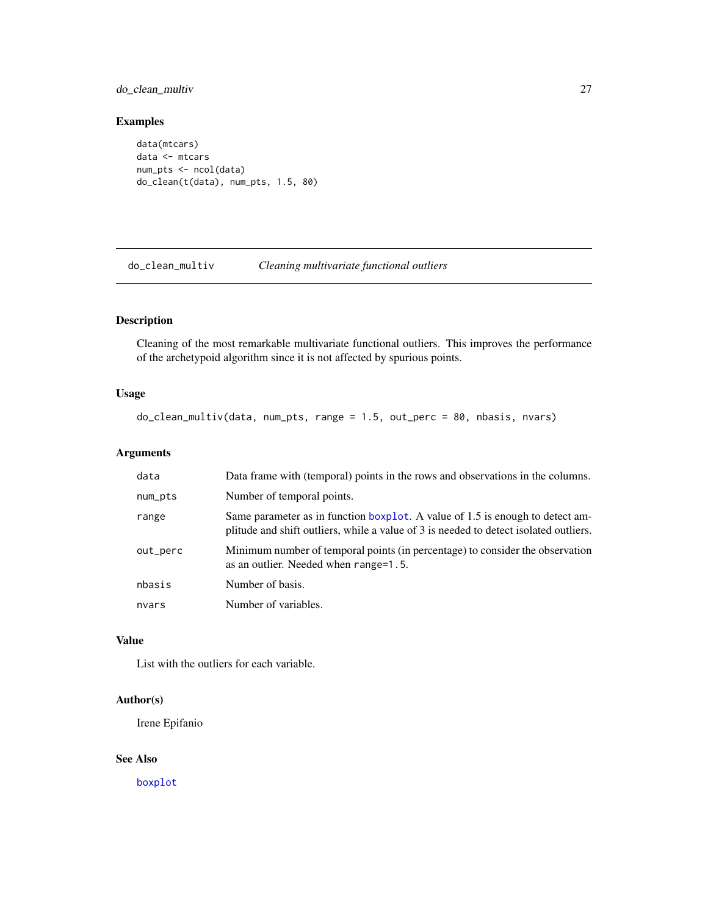# <span id="page-26-0"></span>do\_clean\_multiv 27

# Examples

```
data(mtcars)
data <- mtcars
num_pts <- ncol(data)
do_clean(t(data), num_pts, 1.5, 80)
```
do\_clean\_multiv *Cleaning multivariate functional outliers*

# Description

Cleaning of the most remarkable multivariate functional outliers. This improves the performance of the archetypoid algorithm since it is not affected by spurious points.

# Usage

```
do_clean_multiv(data, num_pts, range = 1.5, out_perc = 80, nbasis, nvars)
```
# Arguments

| data       | Data frame with (temporal) points in the rows and observations in the columns.                                                                                         |
|------------|------------------------------------------------------------------------------------------------------------------------------------------------------------------------|
| $num\_pts$ | Number of temporal points.                                                                                                                                             |
| range      | Same parameter as in function boxplot. A value of 1.5 is enough to detect am-<br>plitude and shift outliers, while a value of 3 is needed to detect isolated outliers. |
| out_perc   | Minimum number of temporal points (in percentage) to consider the observation<br>as an outlier. Needed when range=1.5.                                                 |
| nbasis     | Number of basis.                                                                                                                                                       |
| nvars      | Number of variables.                                                                                                                                                   |

## Value

List with the outliers for each variable.

# Author(s)

Irene Epifanio

## See Also

[boxplot](#page-0-0)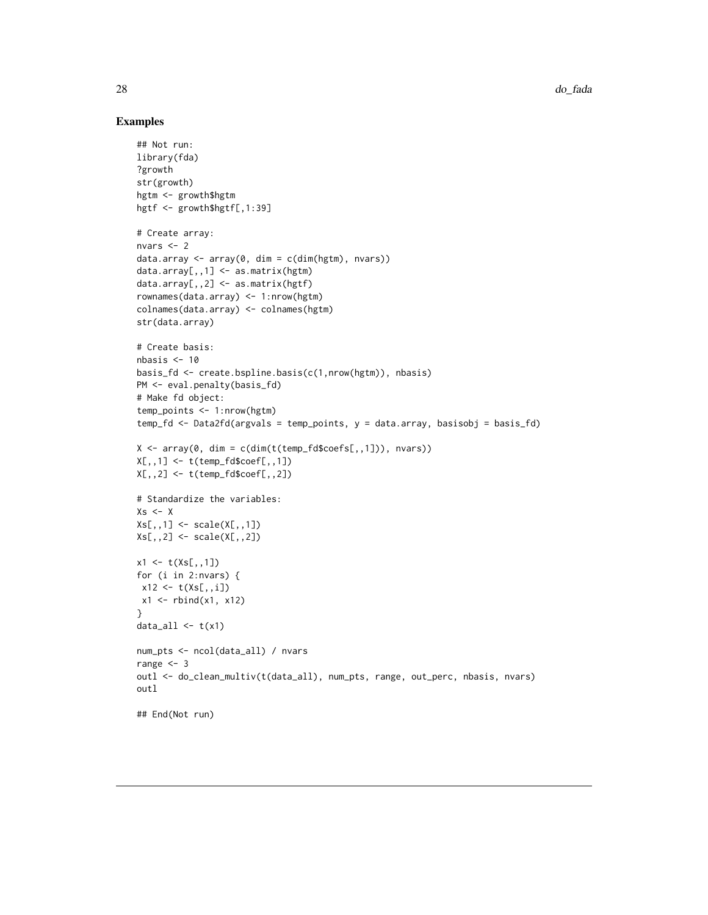```
## Not run:
library(fda)
?growth
str(growth)
hgtm <- growth$hgtm
hgtf <- growth$hgtf[,1:39]
# Create array:
nvars <- 2
data.array <- array(0, dim = c(dim(hgtm), nvars))
data.array[,,1] <- as.matrix(hgtm)
data.array[,,2] <- as.matrix(hgtf)
rownames(data.array) <- 1:nrow(hgtm)
colnames(data.array) <- colnames(hgtm)
str(data.array)
# Create basis:
nbasis <- 10
basis_fd <- create.bspline.basis(c(1,nrow(hgtm)), nbasis)
PM <- eval.penalty(basis_fd)
# Make fd object:
temp_points <- 1:nrow(hgtm)
temp_fd <- Data2fd(argvals = temp_points, y = data.array, basisobj = basis_fd)
X \leftarrow \text{array}(0, \text{dim} = \text{c}(\text{dim}(t(\text{temp}_f \text{d} \text{%}) \text{cos} f s[, 1]), \text{ nvars}))X[,,1] <- t(temp_fd$coef[,,1])
X[,,2] <- t(temp_fd$coef[,,2])
# Standardize the variables:
Xs < -XXs[,, 1] <- scale(X[,,1])
Xs[,,2] < - \text{scale}(X[,,2])x1 \leftarrow t(Xs[, 1])for (i in 2:nvars) {
x12 \leftarrow t(Xs[, i])x1 <- rbind(x1, x12)
}
data_all \leftarrow t(x1)num_pts <- ncol(data_all) / nvars
range <-3outl <- do_clean_multiv(t(data_all), num_pts, range, out_perc, nbasis, nvars)
outl
## End(Not run)
```
<span id="page-27-0"></span>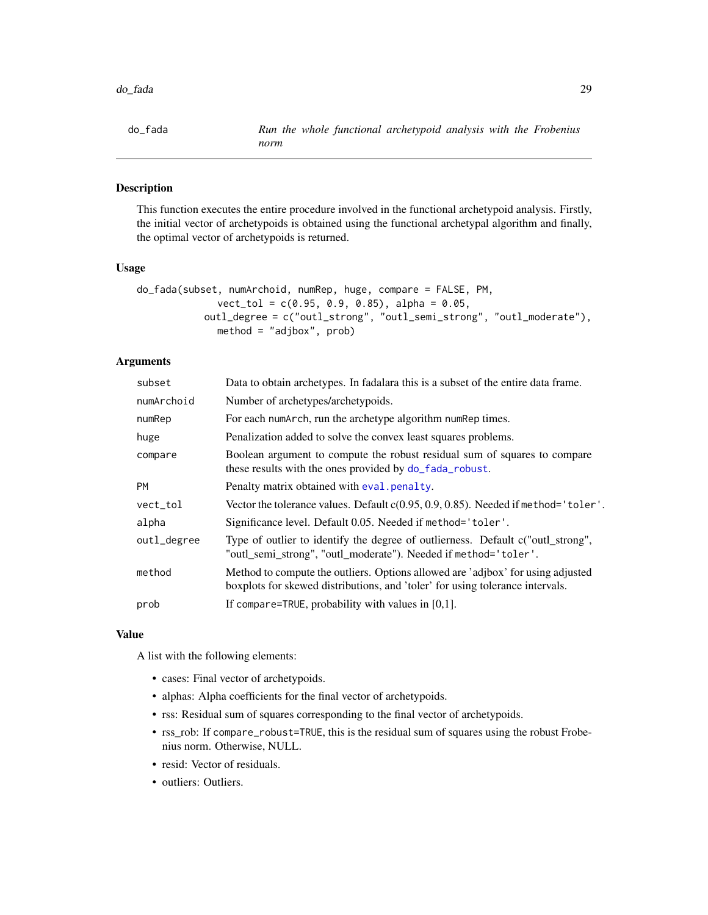<span id="page-28-0"></span>

## Description

This function executes the entire procedure involved in the functional archetypoid analysis. Firstly, the initial vector of archetypoids is obtained using the functional archetypal algorithm and finally, the optimal vector of archetypoids is returned.

## Usage

```
do_fada(subset, numArchoid, numRep, huge, compare = FALSE, PM,
              vect\_tol = c(0.95, 0.9, 0.85), alpha = 0.05,outl_degree = c("outl_strong", "outl_semi_strong", "outl_moderate"),
              method = "adjbox", prob)
```
# Arguments

| subset      | Data to obtain archetypes. In fadalara this is a subset of the entire data frame.                                                                                |
|-------------|------------------------------------------------------------------------------------------------------------------------------------------------------------------|
| numArchoid  | Number of archetypes/archetypoids.                                                                                                                               |
| numRep      | For each numarch, run the archetype algorithm num Rep times.                                                                                                     |
| huge        | Penalization added to solve the convex least squares problems.                                                                                                   |
| compare     | Boolean argument to compute the robust residual sum of squares to compare<br>these results with the ones provided by do_fada_robust.                             |
| <b>PM</b>   | Penalty matrix obtained with eval penalty.                                                                                                                       |
| vect_tol    | Vector the tolerance values. Default c(0.95, 0.9, 0.85). Needed if method='toler'.                                                                               |
| alpha       | Significance level. Default 0.05. Needed if method='toler'.                                                                                                      |
| outl_degree | Type of outlier to identify the degree of outlierness. Default c("outl_strong",<br>"outl_semi_strong", "outl_moderate"). Needed if method='toler'.               |
| method      | Method to compute the outliers. Options allowed are 'adjbox' for using adjusted<br>boxplots for skewed distributions, and 'toler' for using tolerance intervals. |
| prob        | If compare=TRUE, probability with values in $[0,1]$ .                                                                                                            |
|             |                                                                                                                                                                  |

#### Value

A list with the following elements:

- cases: Final vector of archetypoids.
- alphas: Alpha coefficients for the final vector of archetypoids.
- rss: Residual sum of squares corresponding to the final vector of archetypoids.
- rss\_rob: If compare\_robust=TRUE, this is the residual sum of squares using the robust Frobenius norm. Otherwise, NULL.
- resid: Vector of residuals.
- outliers: Outliers.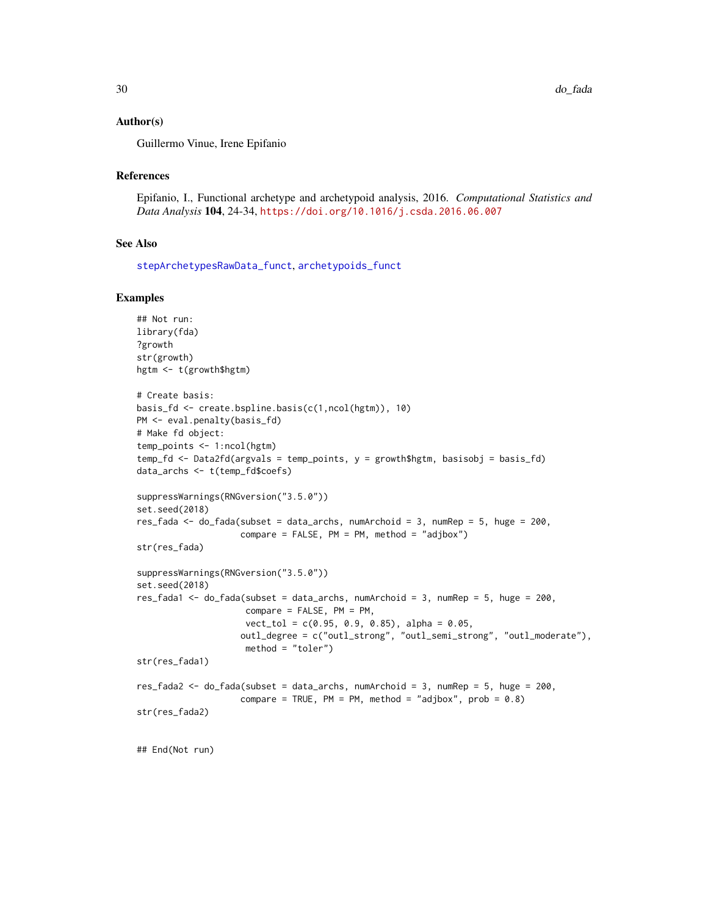## <span id="page-29-0"></span>Author(s)

Guillermo Vinue, Irene Epifanio

## References

Epifanio, I., Functional archetype and archetypoid analysis, 2016. *Computational Statistics and Data Analysis* 104, 24-34, <https://doi.org/10.1016/j.csda.2016.06.007>

#### See Also

[stepArchetypesRawData\\_funct](#page-55-1), [archetypoids\\_funct](#page-7-1)

```
## Not run:
library(fda)
?growth
str(growth)
hgtm <- t(growth$hgtm)
# Create basis:
basis_fd <- create.bspline.basis(c(1,ncol(hgtm)), 10)
PM <- eval.penalty(basis_fd)
# Make fd object:
temp_points <- 1:ncol(hgtm)
temp_fd <- Data2fd(argvals = temp_points, y = growth$hgtm, basisobj = basis_fd)
data_archs <- t(temp_fd$coefs)
suppressWarnings(RNGversion("3.5.0"))
set.seed(2018)
res_fada <- do_fada(subset = data_archs, numArchoid = 3, numRep = 5, huge = 200,
                    compare = FALSE, PM = PM, method = "adjbox")
str(res_fada)
suppressWarnings(RNGversion("3.5.0"))
set.seed(2018)
res_fada1 <- do_fada(subset = data_archs, numArchoid = 3, numRep = 5, huge = 200,
                     compare = FALSE, PM = PM,
                     vect_tol = c(0.95, 0.9, 0.85), alpha = 0.05,
                    outl_degree = c("outl_strong", "outl_semi_strong", "outl_moderate"),
                     method = "toler")
str(res_fada1)
res_fada2 <- do_fada(subset = data_archs, numArchoid = 3, numRep = 5, huge = 200,
                    compare = TRUE, PM = PM, method = "adjbox", prob = 0.8)
str(res_fada2)
## End(Not run)
```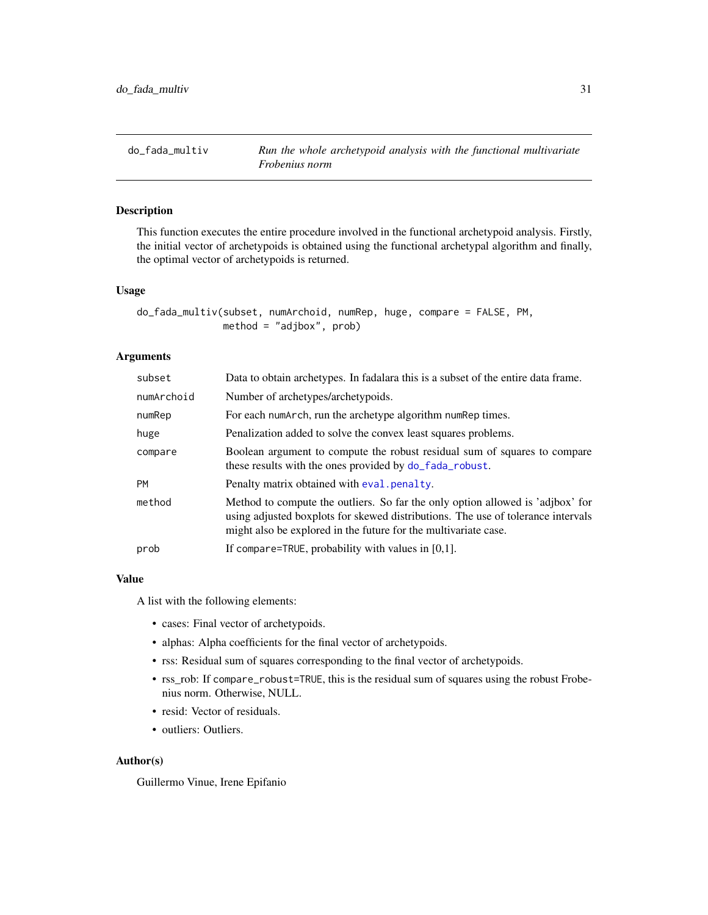<span id="page-30-0"></span>

# Description

This function executes the entire procedure involved in the functional archetypoid analysis. Firstly, the initial vector of archetypoids is obtained using the functional archetypal algorithm and finally, the optimal vector of archetypoids is returned.

## Usage

```
do_fada_multiv(subset, numArchoid, numRep, huge, compare = FALSE, PM,
              method = "adibox", prob)
```
# Arguments

| subset     | Data to obtain archetypes. In fadalara this is a subset of the entire data frame.                                                                                                                                                     |
|------------|---------------------------------------------------------------------------------------------------------------------------------------------------------------------------------------------------------------------------------------|
| numArchoid | Number of archetypes/archetypoids.                                                                                                                                                                                                    |
| numRep     | For each numarch, run the archetype algorithm num Rep times.                                                                                                                                                                          |
| huge       | Penalization added to solve the convex least squares problems.                                                                                                                                                                        |
| compare    | Boolean argument to compute the robust residual sum of squares to compare<br>these results with the ones provided by do_fada_robust.                                                                                                  |
| <b>PM</b>  | Penalty matrix obtained with eval, penalty.                                                                                                                                                                                           |
| method     | Method to compute the outliers. So far the only option allowed is 'adjbox' for<br>using adjusted boxplots for skewed distributions. The use of tolerance intervals<br>might also be explored in the future for the multivariate case. |
| prob       | If compare=TRUE, probability with values in $[0,1]$ .                                                                                                                                                                                 |

## Value

A list with the following elements:

- cases: Final vector of archetypoids.
- alphas: Alpha coefficients for the final vector of archetypoids.
- rss: Residual sum of squares corresponding to the final vector of archetypoids.
- rss\_rob: If compare\_robust=TRUE, this is the residual sum of squares using the robust Frobenius norm. Otherwise, NULL.
- resid: Vector of residuals.
- outliers: Outliers.

## Author(s)

Guillermo Vinue, Irene Epifanio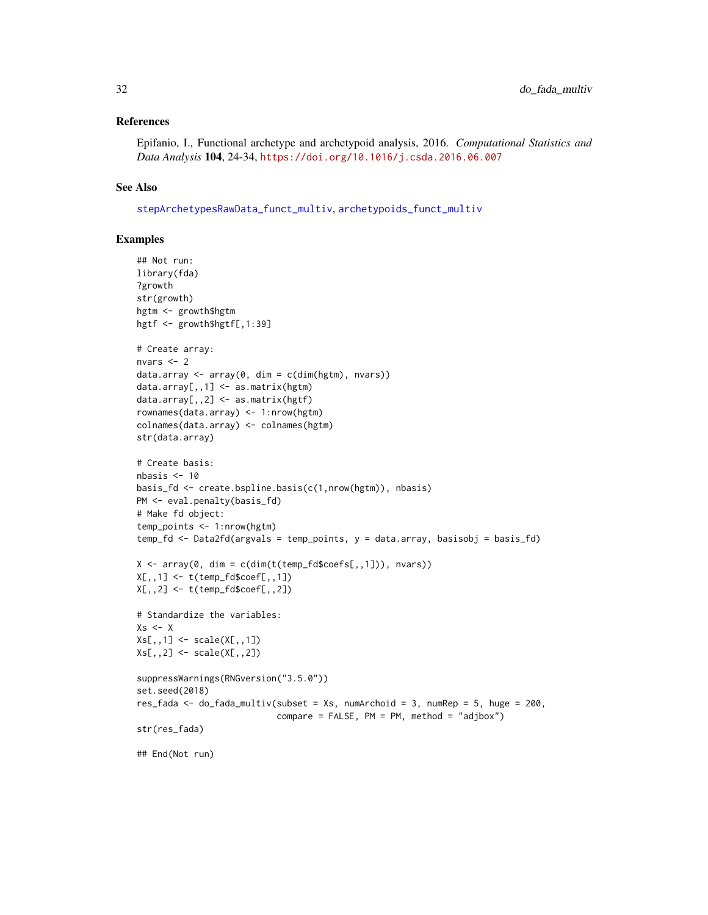## <span id="page-31-0"></span>References

Epifanio, I., Functional archetype and archetypoid analysis, 2016. *Computational Statistics and Data Analysis* 104, 24-34, <https://doi.org/10.1016/j.csda.2016.06.007>

## See Also

[stepArchetypesRawData\\_funct\\_multiv](#page-56-1), [archetypoids\\_funct\\_multiv](#page-8-1)

```
## Not run:
library(fda)
?growth
str(growth)
hgtm <- growth$hgtm
hgtf <- growth$hgtf[,1:39]
# Create array:
nvars <- 2
data.array <- array(0, dim = c(dim(hgtm), nvars))
data.array[,,1] <- as.matrix(hgtm)
data.array[,,2] <- as.matrix(hgtf)
rownames(data.array) <- 1:nrow(hgtm)
colnames(data.array) <- colnames(hgtm)
str(data.array)
# Create basis:
nbasis <- 10
basis_fd <- create.bspline.basis(c(1,nrow(hgtm)), nbasis)
PM <- eval.penalty(basis_fd)
# Make fd object:
temp_points <- 1:nrow(hgtm)
temp_fd <- Data2fd(argvals = temp_points, y = data.array, basisobj = basis_fd)
X \leftarrow \text{array}(\emptyset, \text{dim} = \text{c}(\text{dim}(t(\text{temp}_f \text{d}\text{%coeffs}[0,1])), nvars))
X[,,1] <- t(temp_fd$coef[,,1])
X[,,2] <- t(temp_fd$coef[,,2])
# Standardize the variables:
Xs < - XXs[,,1] <- scale(X[,,1])
Xs[,, 2] <- scale(X[,, 2])suppressWarnings(RNGversion("3.5.0"))
set.seed(2018)
res_fada <- do_fada_multiv(subset = Xs, numArchoid = 3, numRep = 5, huge = 200,
                             compare = FALSE, PM = PM, method = "adjbox")str(res_fada)
## End(Not run)
```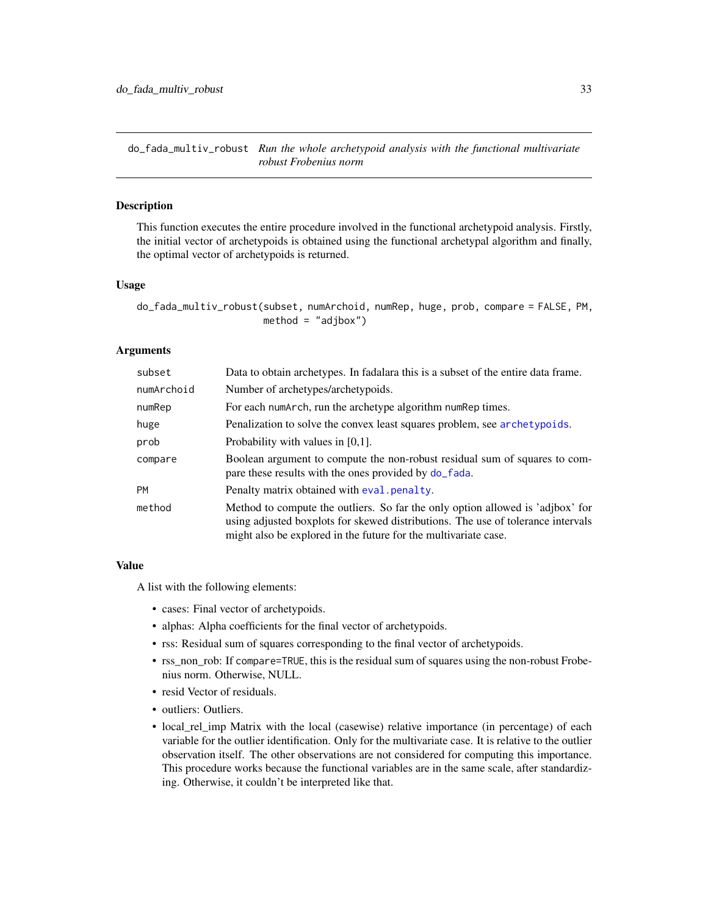<span id="page-32-0"></span>do\_fada\_multiv\_robust *Run the whole archetypoid analysis with the functional multivariate robust Frobenius norm*

#### Description

This function executes the entire procedure involved in the functional archetypoid analysis. Firstly, the initial vector of archetypoids is obtained using the functional archetypal algorithm and finally, the optimal vector of archetypoids is returned.

# Usage

```
do_fada_multiv_robust(subset, numArchoid, numRep, huge, prob, compare = FALSE, PM,
                      method = "adjbox")
```
## Arguments

| subset     | Data to obtain archetypes. In fadalara this is a subset of the entire data frame.                                                                                                                                                     |
|------------|---------------------------------------------------------------------------------------------------------------------------------------------------------------------------------------------------------------------------------------|
| numArchoid | Number of archetypes/archetypoids.                                                                                                                                                                                                    |
| numRep     | For each numarch, run the archetype algorithm num Rep times.                                                                                                                                                                          |
| huge       | Penalization to solve the convex least squares problem, see archetypoids.                                                                                                                                                             |
| prob       | Probability with values in $[0,1]$ .                                                                                                                                                                                                  |
| compare    | Boolean argument to compute the non-robust residual sum of squares to com-<br>pare these results with the ones provided by do_fada.                                                                                                   |
| <b>PM</b>  | Penalty matrix obtained with eval penalty.                                                                                                                                                                                            |
| method     | Method to compute the outliers. So far the only option allowed is 'adjbox' for<br>using adjusted boxplots for skewed distributions. The use of tolerance intervals<br>might also be explored in the future for the multivariate case. |

# Value

A list with the following elements:

- cases: Final vector of archetypoids.
- alphas: Alpha coefficients for the final vector of archetypoids.
- rss: Residual sum of squares corresponding to the final vector of archetypoids.
- rss\_non\_rob: If compare=TRUE, this is the residual sum of squares using the non-robust Frobenius norm. Otherwise, NULL.
- resid Vector of residuals.
- outliers: Outliers.
- local\_rel\_imp Matrix with the local (casewise) relative importance (in percentage) of each variable for the outlier identification. Only for the multivariate case. It is relative to the outlier observation itself. The other observations are not considered for computing this importance. This procedure works because the functional variables are in the same scale, after standardizing. Otherwise, it couldn't be interpreted like that.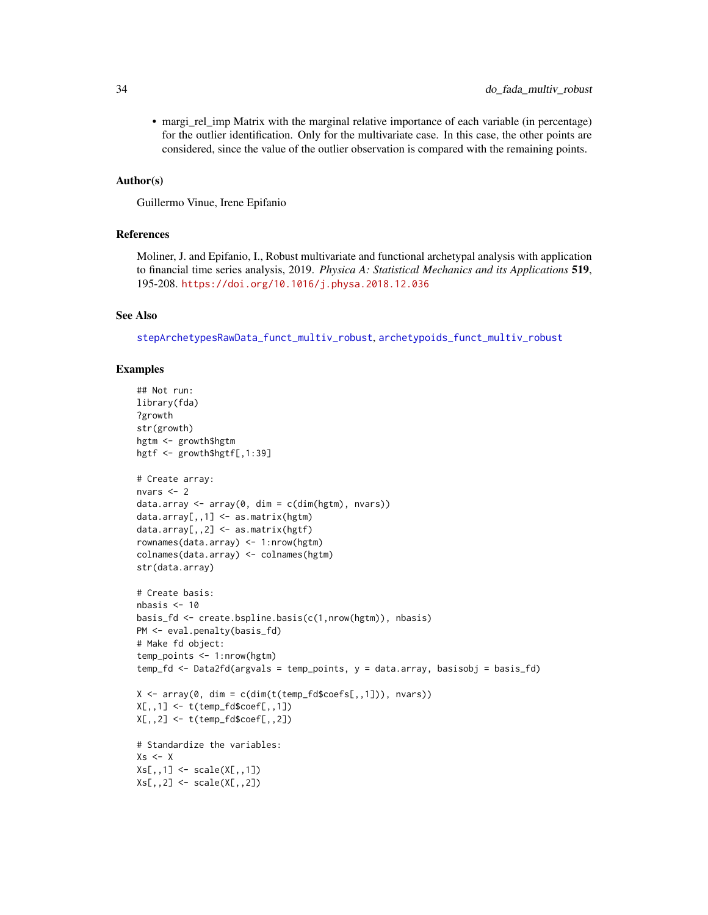<span id="page-33-0"></span>• margi\_rel\_imp Matrix with the marginal relative importance of each variable (in percentage) for the outlier identification. Only for the multivariate case. In this case, the other points are considered, since the value of the outlier observation is compared with the remaining points.

## Author(s)

Guillermo Vinue, Irene Epifanio

## References

Moliner, J. and Epifanio, I., Robust multivariate and functional archetypal analysis with application to financial time series analysis, 2019. *Physica A: Statistical Mechanics and its Applications* 519, 195-208. <https://doi.org/10.1016/j.physa.2018.12.036>

#### See Also

[stepArchetypesRawData\\_funct\\_multiv\\_robust](#page-58-1), [archetypoids\\_funct\\_multiv\\_robust](#page-10-1)

```
## Not run:
library(fda)
?growth
str(growth)
hgtm <- growth$hgtm
hgtf <- growth$hgtf[,1:39]
# Create array:
nvars <- 2
data.array <- array(0, dim = c(dim(hgtm), nvars))
data.array[,,1] <- as.matrix(hgtm)
data.array[,,2] <- as.matrix(hgtf)
rownames(data.array) <- 1:nrow(hgtm)
colnames(data.array) <- colnames(hgtm)
str(data.array)
# Create basis:
nbasis < -10basis_fd <- create.bspline.basis(c(1,nrow(hgtm)), nbasis)
PM <- eval.penalty(basis_fd)
# Make fd object:
temp_points <- 1:nrow(hgtm)
temp_fd <- Data2fd(argvals = temp_points, y = data.array, basisobj = basis_fd)
X \le -\arctan(0, \dim = \text{cdim}(t(\text{temp_fd}\secfs[, 1])), nvars))
X[,, 1] <- t(temp_fd$coef[,,1])
X[,, 2] <- t(temp_fd$coef[,, 2])
# Standardize the variables:
Xs \leftarrow XXs[,,1] <- scale(X[,,1])Xs[,, 2] <- scale(X[,, 2])
```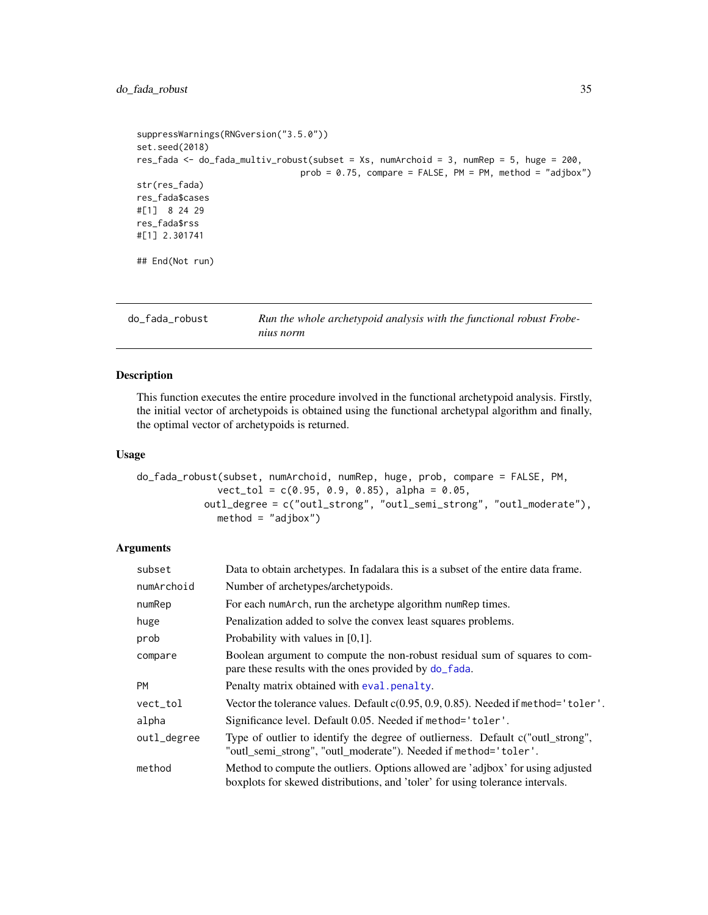# <span id="page-34-0"></span>do\_fada\_robust 35

```
suppressWarnings(RNGversion("3.5.0"))
set.seed(2018)
res_fada <- do_fada_multiv_robust(subset = Xs, numArchoid = 3, numRep = 5, huge = 200,
                                prob = 0.75, compare = FALSE, PM = PM, method = "adjbox")
str(res_fada)
res_fada$cases
#[1] 8 24 29
res_fada$rss
#[1] 2.301741
## End(Not run)
```
<span id="page-34-1"></span>do\_fada\_robust *Run the whole archetypoid analysis with the functional robust Frobenius norm*

# Description

This function executes the entire procedure involved in the functional archetypoid analysis. Firstly, the initial vector of archetypoids is obtained using the functional archetypal algorithm and finally, the optimal vector of archetypoids is returned.

## Usage

```
do_fada_robust(subset, numArchoid, numRep, huge, prob, compare = FALSE, PM,
              vect\_tol = c(0.95, 0.9, 0.85), alpha = 0.05,
           outl_degree = c("outl_strong", "outl_semi_strong", "outl_moderate"),
              method = "adjbox")
```
## Arguments

| subset      | Data to obtain archetypes. In fadalara this is a subset of the entire data frame.                                                                                |
|-------------|------------------------------------------------------------------------------------------------------------------------------------------------------------------|
| numArchoid  | Number of archetypes/archetypoids.                                                                                                                               |
| numRep      | For each numarch, run the archetype algorithm num Rep times.                                                                                                     |
| huge        | Penalization added to solve the convex least squares problems.                                                                                                   |
| prob        | Probability with values in $[0,1]$ .                                                                                                                             |
| compare     | Boolean argument to compute the non-robust residual sum of squares to com-<br>pare these results with the ones provided by do_fada.                              |
| <b>PM</b>   | Penalty matrix obtained with eval penalty.                                                                                                                       |
| vect_tol    | Vector the tolerance values. Default c(0.95, 0.9, 0.85). Needed if method='toler'.                                                                               |
| alpha       | Significance level. Default 0.05. Needed if method= 'toler'.                                                                                                     |
| outl_degree | Type of outlier to identify the degree of outlierness. Default c("outl_strong",<br>"outl_semi_strong", "outl_moderate"). Needed if method='toler'.               |
| method      | Method to compute the outliers. Options allowed are 'adjbox' for using adjusted<br>boxplots for skewed distributions, and 'toler' for using tolerance intervals. |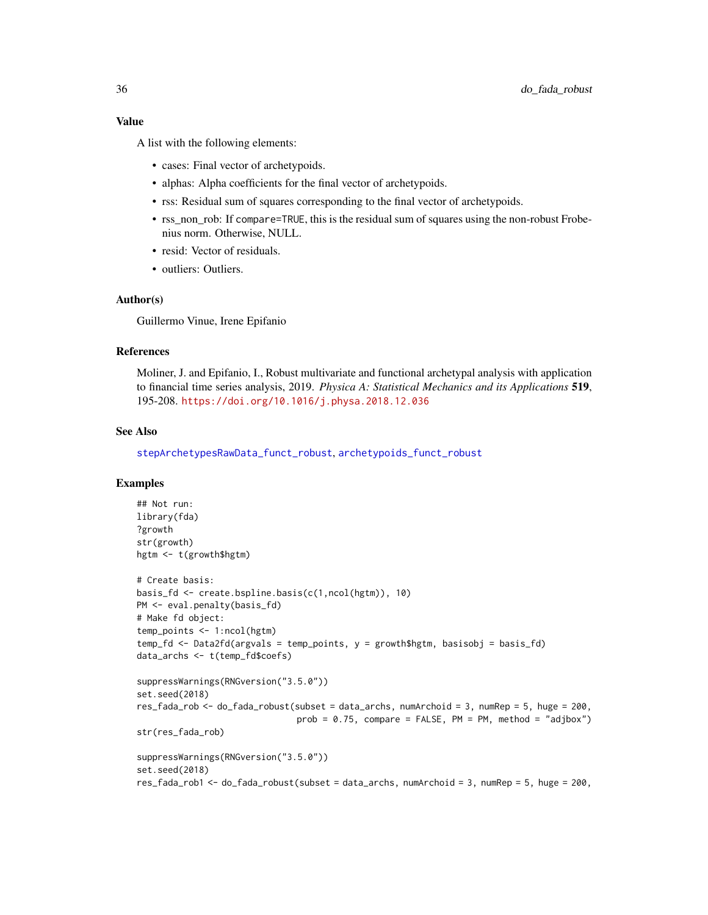## <span id="page-35-0"></span>Value

A list with the following elements:

- cases: Final vector of archetypoids.
- alphas: Alpha coefficients for the final vector of archetypoids.
- rss: Residual sum of squares corresponding to the final vector of archetypoids.
- rss\_non\_rob: If compare=TRUE, this is the residual sum of squares using the non-robust Frobenius norm. Otherwise, NULL.
- resid: Vector of residuals.
- outliers: Outliers.

## Author(s)

Guillermo Vinue, Irene Epifanio

# References

Moliner, J. and Epifanio, I., Robust multivariate and functional archetypal analysis with application to financial time series analysis, 2019. *Physica A: Statistical Mechanics and its Applications* 519, 195-208. <https://doi.org/10.1016/j.physa.2018.12.036>

# See Also

[stepArchetypesRawData\\_funct\\_robust](#page-60-1), [archetypoids\\_funct\\_robust](#page-12-1)

```
## Not run:
library(fda)
?growth
str(growth)
hgtm <- t(growth$hgtm)
# Create basis:
basis_fd <- create.bspline.basis(c(1,ncol(hgtm)), 10)
PM <- eval.penalty(basis_fd)
# Make fd object:
temp_points <- 1:ncol(hgtm)
temp_fd <- Data2fd(argvals = temp_points, y = growth$hgtm, basisobj = basis_fd)
data_archs <- t(temp_fd$coefs)
suppressWarnings(RNGversion("3.5.0"))
set.seed(2018)
res_fada_rob <- do_fada_robust(subset = data_archs, numArchoid = 3, numRep = 5, huge = 200,
                               prob = 0.75, compare = FALSE, PM = PM, method = "adjbox")
str(res_fada_rob)
suppressWarnings(RNGversion("3.5.0"))
set.seed(2018)
res_fada_rob1 <- do_fada_robust(subset = data_archs, numArchoid = 3, numRep = 5, huge = 200,
```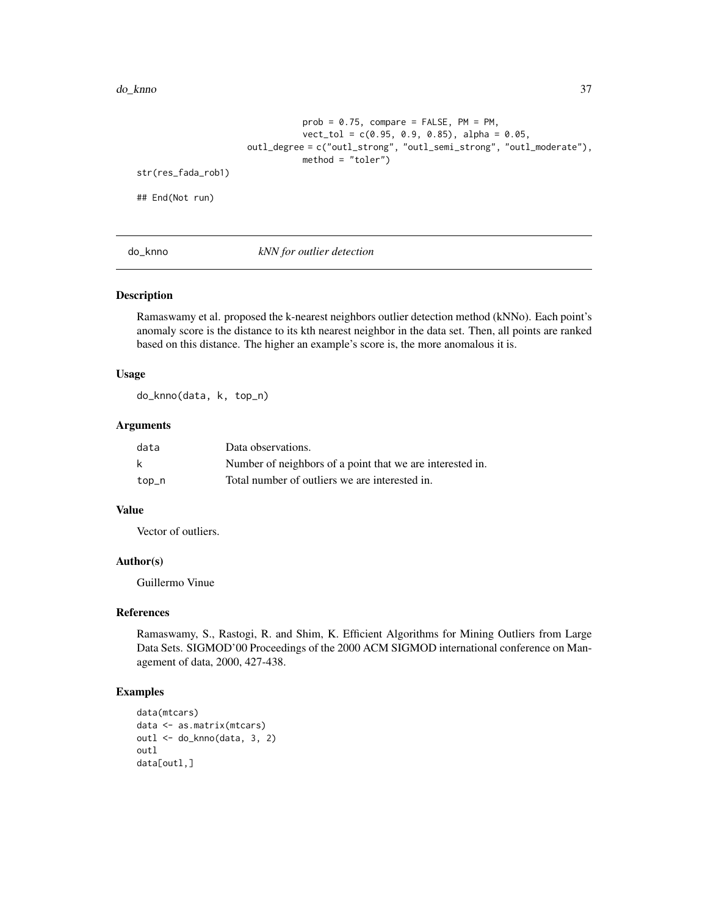#### <span id="page-36-0"></span>do\_knno 37

```
prob = 0.75, compare = FALSE, PM = PM,
                                vect\_tol = c(0.95, 0.9, 0.85), alpha = 0.05,outl_degree = c("outl_strong", "outl_semi_strong", "outl_moderate"),
                                method = "toler")str(res_fada_rob1)
## End(Not run)
```
do\_knno *kNN for outlier detection*

## Description

Ramaswamy et al. proposed the k-nearest neighbors outlier detection method (kNNo). Each point's anomaly score is the distance to its kth nearest neighbor in the data set. Then, all points are ranked based on this distance. The higher an example's score is, the more anomalous it is.

## Usage

do\_knno(data, k, top\_n)

# Arguments

| data  | Data observations.                                        |
|-------|-----------------------------------------------------------|
| - k   | Number of neighbors of a point that we are interested in. |
| top_n | Total number of outliers we are interested in.            |

# Value

Vector of outliers.

#### Author(s)

Guillermo Vinue

#### References

Ramaswamy, S., Rastogi, R. and Shim, K. Efficient Algorithms for Mining Outliers from Large Data Sets. SIGMOD'00 Proceedings of the 2000 ACM SIGMOD international conference on Management of data, 2000, 427-438.

```
data(mtcars)
data <- as.matrix(mtcars)
outl <- do_knno(data, 3, 2)
outl
data[outl,]
```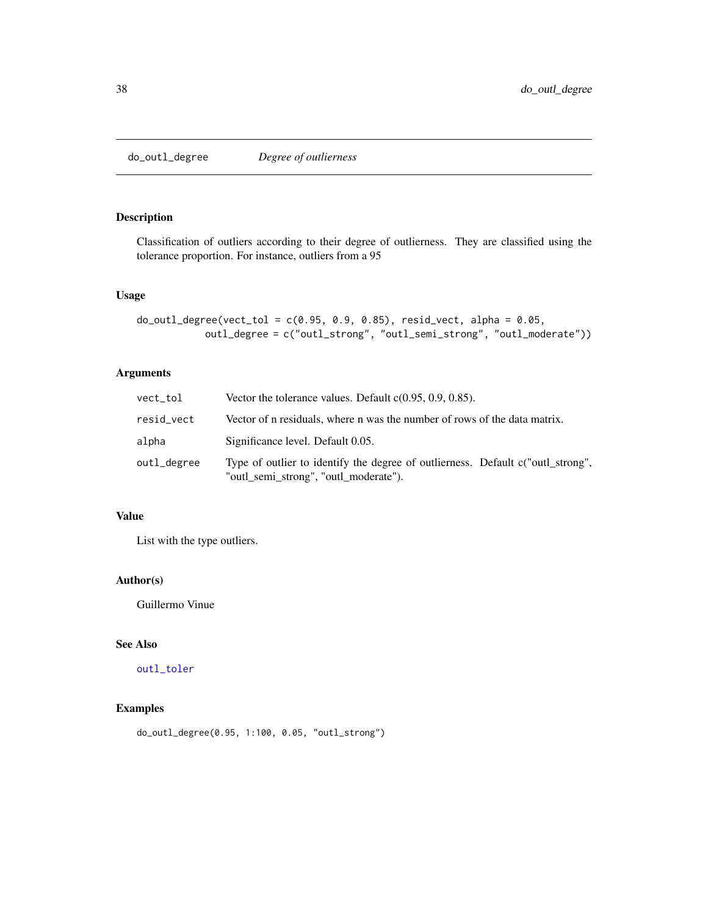<span id="page-37-1"></span><span id="page-37-0"></span>do\_outl\_degree *Degree of outlierness*

## Description

Classification of outliers according to their degree of outlierness. They are classified using the tolerance proportion. For instance, outliers from a 95

#### Usage

```
do\_out1\_degree(vect\_tol = c(0.95, 0.9, 0.85), resid\_vect, alpha = 0.05,outl_degree = c("outl_strong", "outl_semi_strong", "outl_moderate"))
```
# Arguments

| vect_tol    | Vector the tolerance values. Default $c(0.95, 0.9, 0.85)$ .                                                              |
|-------------|--------------------------------------------------------------------------------------------------------------------------|
| resid_vect  | Vector of n residuals, where n was the number of rows of the data matrix.                                                |
| alpha       | Significance level. Default 0.05.                                                                                        |
| outl_degree | Type of outlier to identify the degree of outlierness. Default c("outl_strong",<br>"outl_semi_strong", "outl_moderate"). |

# Value

List with the type outliers.

## Author(s)

Guillermo Vinue

# See Also

[outl\\_toler](#page-54-1)

# Examples

do\_outl\_degree(0.95, 1:100, 0.05, "outl\_strong")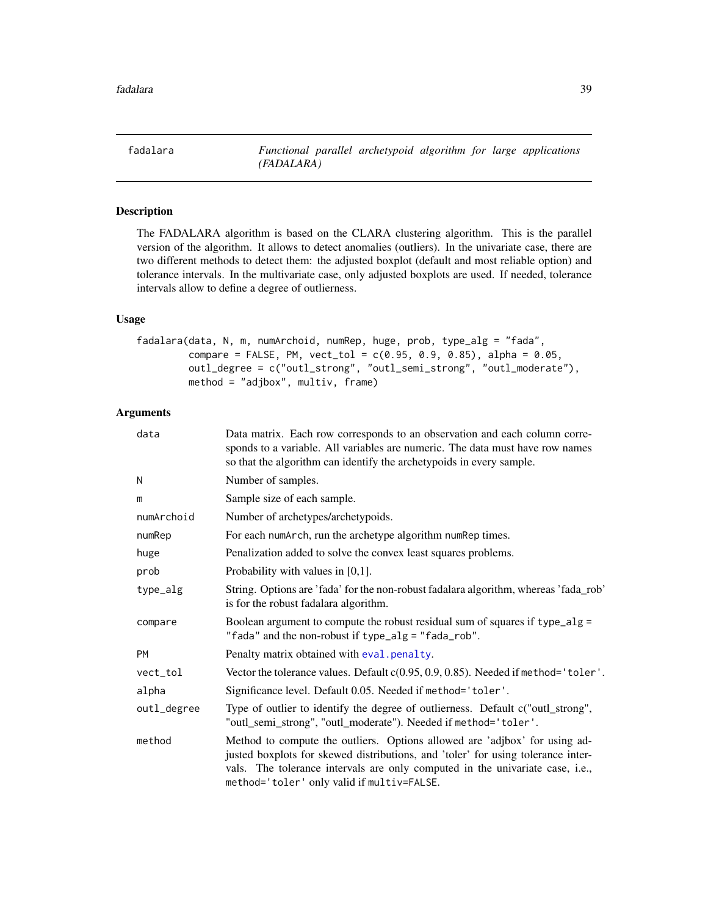<span id="page-38-1"></span><span id="page-38-0"></span>fadalara *Functional parallel archetypoid algorithm for large applications (FADALARA)*

# Description

The FADALARA algorithm is based on the CLARA clustering algorithm. This is the parallel version of the algorithm. It allows to detect anomalies (outliers). In the univariate case, there are two different methods to detect them: the adjusted boxplot (default and most reliable option) and tolerance intervals. In the multivariate case, only adjusted boxplots are used. If needed, tolerance intervals allow to define a degree of outlierness.

# Usage

fadalara(data, N, m, numArchoid, numRep, huge, prob, type\_alg = "fada",  $compare = FALSE, PM, vect_to1 = c(0.95, 0.9, 0.85), alpha = 0.05,$ outl\_degree = c("outl\_strong", "outl\_semi\_strong", "outl\_moderate"), method = "adjbox", multiv, frame)

# Arguments

| data        | Data matrix. Each row corresponds to an observation and each column corre-<br>sponds to a variable. All variables are numeric. The data must have row names<br>so that the algorithm can identify the archetypoids in every sample.                                                           |
|-------------|-----------------------------------------------------------------------------------------------------------------------------------------------------------------------------------------------------------------------------------------------------------------------------------------------|
| N           | Number of samples.                                                                                                                                                                                                                                                                            |
| m           | Sample size of each sample.                                                                                                                                                                                                                                                                   |
| numArchoid  | Number of archetypes/archetypoids.                                                                                                                                                                                                                                                            |
| numRep      | For each numarch, run the archetype algorithm num Rep times.                                                                                                                                                                                                                                  |
| huge        | Penalization added to solve the convex least squares problems.                                                                                                                                                                                                                                |
| prob        | Probability with values in $[0,1]$ .                                                                                                                                                                                                                                                          |
| type_alg    | String. Options are 'fada' for the non-robust fadalara algorithm, whereas 'fada_rob'<br>is for the robust fadalara algorithm.                                                                                                                                                                 |
| compare     | Boolean argument to compute the robust residual sum of squares if type_alg =<br>"fada" and the non-robust if type_alg = "fada_rob".                                                                                                                                                           |
| PM          | Penalty matrix obtained with eval.penalty.                                                                                                                                                                                                                                                    |
| vect_tol    | Vector the tolerance values. Default c(0.95, 0.9, 0.85). Needed if method='toler'.                                                                                                                                                                                                            |
| alpha       | Significance level. Default 0.05. Needed if method='toler'.                                                                                                                                                                                                                                   |
| outl_degree | Type of outlier to identify the degree of outlierness. Default c("outl_strong",<br>"outl_semi_strong", "outl_moderate"). Needed if method='toler'.                                                                                                                                            |
| method      | Method to compute the outliers. Options allowed are 'adjbox' for using ad-<br>justed boxplots for skewed distributions, and 'toler' for using tolerance inter-<br>vals. The tolerance intervals are only computed in the univariate case, i.e.,<br>method='toler' only valid if multiv=FALSE. |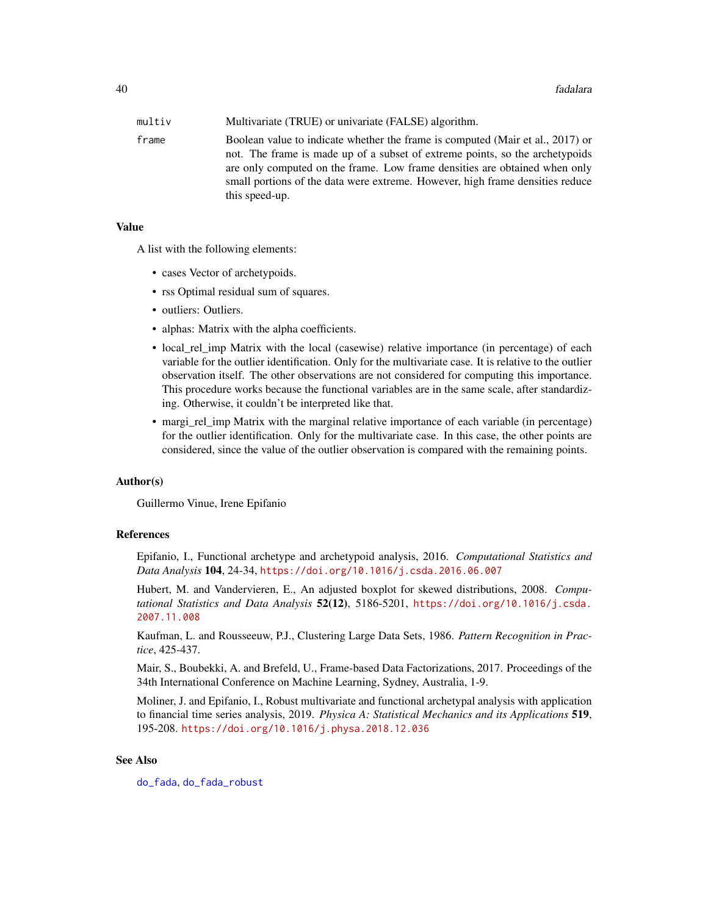<span id="page-39-0"></span>

| multiv | Multivariate (TRUE) or univariate (FALSE) algorithm.                                                                                                                                                                                                                                                                                            |
|--------|-------------------------------------------------------------------------------------------------------------------------------------------------------------------------------------------------------------------------------------------------------------------------------------------------------------------------------------------------|
| frame  | Boolean value to indicate whether the frame is computed (Mair et al., 2017) or<br>not. The frame is made up of a subset of extreme points, so the archetypoids<br>are only computed on the frame. Low frame densities are obtained when only<br>small portions of the data were extreme. However, high frame densities reduce<br>this speed-up. |

## Value

A list with the following elements:

- cases Vector of archetypoids.
- rss Optimal residual sum of squares.
- outliers: Outliers.
- alphas: Matrix with the alpha coefficients.
- local\_rel\_imp Matrix with the local (casewise) relative importance (in percentage) of each variable for the outlier identification. Only for the multivariate case. It is relative to the outlier observation itself. The other observations are not considered for computing this importance. This procedure works because the functional variables are in the same scale, after standardizing. Otherwise, it couldn't be interpreted like that.
- margi\_rel\_imp Matrix with the marginal relative importance of each variable (in percentage) for the outlier identification. Only for the multivariate case. In this case, the other points are considered, since the value of the outlier observation is compared with the remaining points.

#### Author(s)

Guillermo Vinue, Irene Epifanio

#### References

Epifanio, I., Functional archetype and archetypoid analysis, 2016. *Computational Statistics and Data Analysis* 104, 24-34, <https://doi.org/10.1016/j.csda.2016.06.007>

Hubert, M. and Vandervieren, E., An adjusted boxplot for skewed distributions, 2008. *Computational Statistics and Data Analysis* 52(12), 5186-5201, [https://doi.org/10.1016/j.csda.](https://doi.org/10.1016/j.csda.2007.11.008) [2007.11.008](https://doi.org/10.1016/j.csda.2007.11.008)

Kaufman, L. and Rousseeuw, P.J., Clustering Large Data Sets, 1986. *Pattern Recognition in Practice*, 425-437.

Mair, S., Boubekki, A. and Brefeld, U., Frame-based Data Factorizations, 2017. Proceedings of the 34th International Conference on Machine Learning, Sydney, Australia, 1-9.

Moliner, J. and Epifanio, I., Robust multivariate and functional archetypal analysis with application to financial time series analysis, 2019. *Physica A: Statistical Mechanics and its Applications* 519, 195-208. <https://doi.org/10.1016/j.physa.2018.12.036>

## See Also

[do\\_fada](#page-27-1), [do\\_fada\\_robust](#page-34-1)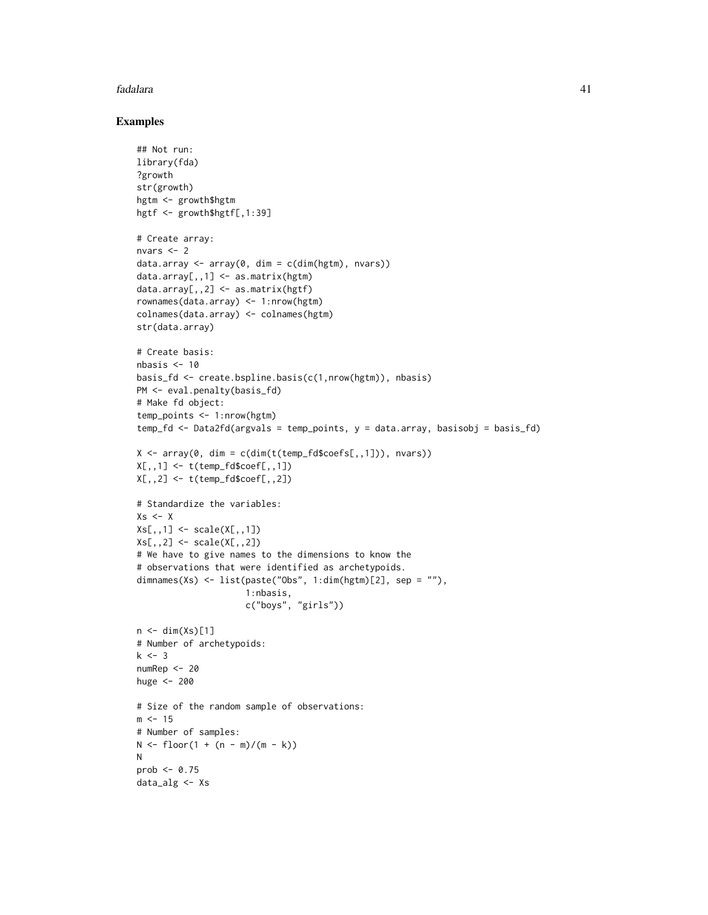#### fadalara 41

```
## Not run:
library(fda)
?growth
str(growth)
hgtm <- growth$hgtm
hgtf <- growth$hgtf[,1:39]
# Create array:
nvars <-2data.array <- array(0, dim = c(dim(hgtm), nvars))
data.array[,,1] <- as.matrix(hgtm)
data.array[,, 2] \leq as.matrix(hgtf)
rownames(data.array) <- 1:nrow(hgtm)
colnames(data.array) <- colnames(hgtm)
str(data.array)
# Create basis:
nbasis <-10basis_fd <- create.bspline.basis(c(1,nrow(hgtm)), nbasis)
PM <- eval.penalty(basis_fd)
# Make fd object:
temp_points <- 1:nrow(hgtm)
temp_fd <- Data2fd(argvals = temp_points, y = data.array, basisobj = basis_fd)
X \leq -\arctan(0, \dim = \text{cdim}(t(\text{temp_fd}\$coeff, 1])), nvars))
X[,, 1] <- t(temp_fd$coef[,,1])
X[,, 2] <- t(temp_fd$coef[,,2])
# Standardize the variables:
Xs \leftarrow XXs[,,1] <- scale(X[,,1])
Xs[,, 2] <- scale(X[,, 2])# We have to give names to the dimensions to know the
# observations that were identified as archetypoids.
dimnames(Xs) <- list(paste("Obs", 1:dim(hgtm)[2], sep = ""),
                      1:nbasis,
                      c("boys", "girls"))
n \leftarrow \text{dim}(Xs)[1]# Number of archetypoids:
k < -3numRep <- 20
huge <- 200
# Size of the random sample of observations:
m < -15# Number of samples:
N \le f \text{loor}(1 + (n - m)/(m - k))N
prob \leq 0.75data_alg <- Xs
```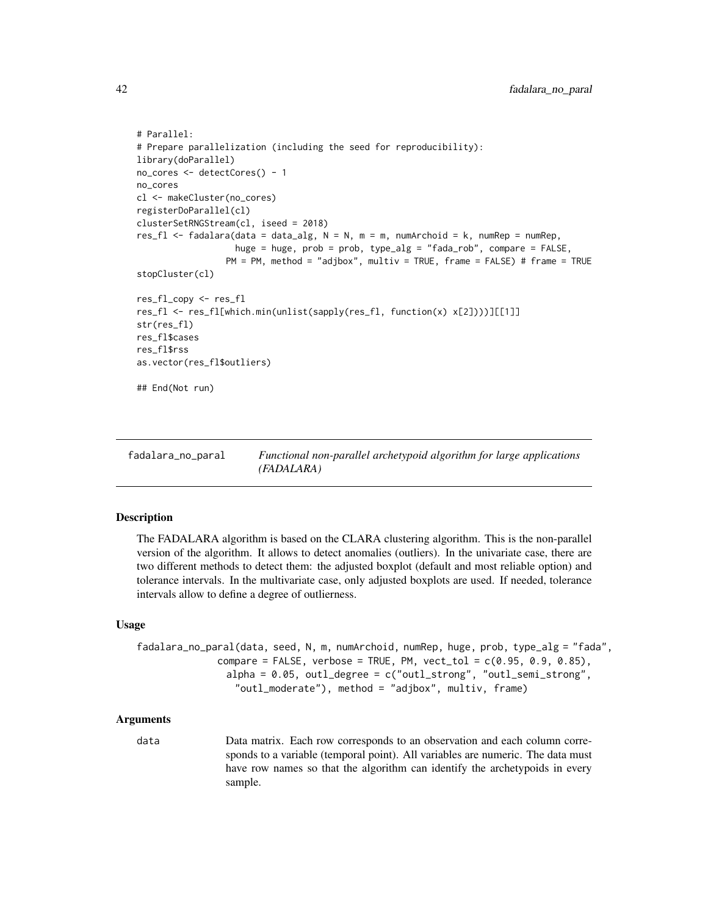```
# Parallel:
# Prepare parallelization (including the seed for reproducibility):
library(doParallel)
no_cores <- detectCores() - 1
no_cores
cl <- makeCluster(no_cores)
registerDoParallel(cl)
clusterSetRNGStream(cl, iseed = 2018)
res_fl <- fadalara(data = data_alg, N = N, m = m, numArchoid = k, numRep = numRep,
                   huge = huge, prob = prob, type_alg = "fada_rob", compare = FALSE,
                 PM = PM, method = "adjbox", multiv = TRUE, frame = FALSE) # frame = TRUE
stopCluster(cl)
res_fl_copy <- res_fl
res_fl <- res_fl[which.min(unlist(sapply(res_fl, function(x) x[2])))][[1]]
str(res_fl)
res_fl$cases
res_fl$rss
as.vector(res_fl$outliers)
## End(Not run)
```
fadalara\_no\_paral *Functional non-parallel archetypoid algorithm for large applications (FADALARA)*

## Description

The FADALARA algorithm is based on the CLARA clustering algorithm. This is the non-parallel version of the algorithm. It allows to detect anomalies (outliers). In the univariate case, there are two different methods to detect them: the adjusted boxplot (default and most reliable option) and tolerance intervals. In the multivariate case, only adjusted boxplots are used. If needed, tolerance intervals allow to define a degree of outlierness.

## Usage

```
fadalara_no_paral(data, seed, N, m, numArchoid, numRep, huge, prob, type_alg = "fada",
              compare = FALSE, verbose = TRUE, PM, vect_tol = c(0.95, 0.9, 0.85),
                alpha = 0.05, outl_degree = c("outl_strong", "outl_semi_strong",
                 "outl_moderate"), method = "adjbox", multiv, frame)
```
#### Arguments

data Data matrix. Each row corresponds to an observation and each column corresponds to a variable (temporal point). All variables are numeric. The data must have row names so that the algorithm can identify the archetypoids in every sample.

<span id="page-41-0"></span>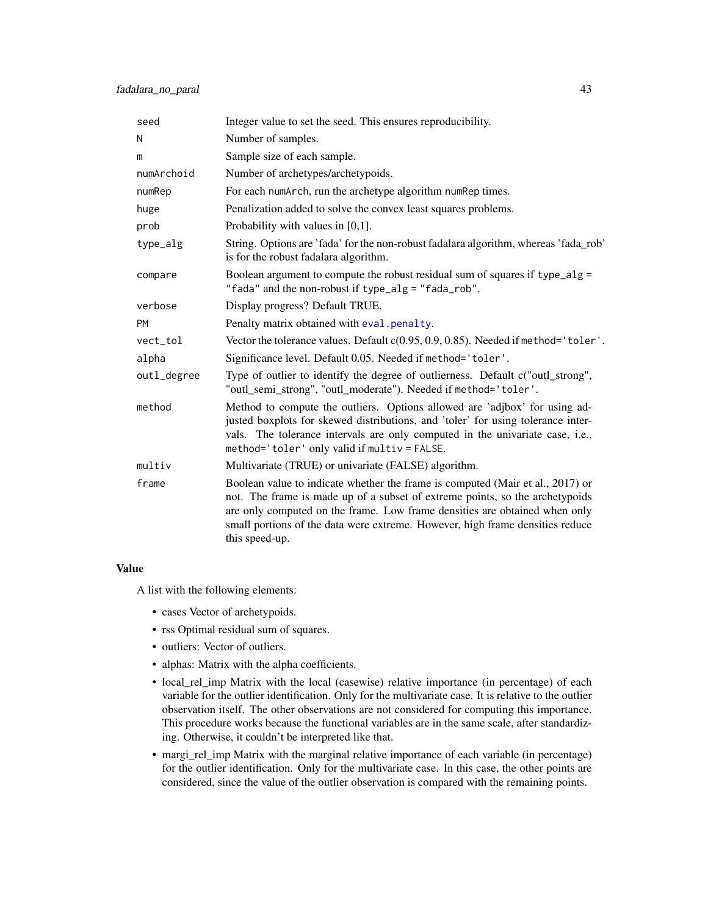<span id="page-42-0"></span>

| seed        | Integer value to set the seed. This ensures reproducibility.                                                                                                                                                                                                                                                                                    |
|-------------|-------------------------------------------------------------------------------------------------------------------------------------------------------------------------------------------------------------------------------------------------------------------------------------------------------------------------------------------------|
| N           | Number of samples.                                                                                                                                                                                                                                                                                                                              |
| m           | Sample size of each sample.                                                                                                                                                                                                                                                                                                                     |
| numArchoid  | Number of archetypes/archetypoids.                                                                                                                                                                                                                                                                                                              |
| numRep      | For each numArch, run the archetype algorithm numRep times.                                                                                                                                                                                                                                                                                     |
| huge        | Penalization added to solve the convex least squares problems.                                                                                                                                                                                                                                                                                  |
| prob        | Probability with values in $[0,1]$ .                                                                                                                                                                                                                                                                                                            |
| type_alg    | String. Options are 'fada' for the non-robust fadalara algorithm, whereas 'fada_rob'<br>is for the robust fadalara algorithm.                                                                                                                                                                                                                   |
| compare     | Boolean argument to compute the robust residual sum of squares if type_alg =<br>"fada" and the non-robust if type_alg = "fada_rob".                                                                                                                                                                                                             |
| verbose     | Display progress? Default TRUE.                                                                                                                                                                                                                                                                                                                 |
| <b>PM</b>   | Penalty matrix obtained with eval.penalty.                                                                                                                                                                                                                                                                                                      |
| vect_tol    | Vector the tolerance values. Default c(0.95, 0.9, 0.85). Needed if method='toler'.                                                                                                                                                                                                                                                              |
| alpha       | Significance level. Default 0.05. Needed if method='toler'.                                                                                                                                                                                                                                                                                     |
| outl_degree | Type of outlier to identify the degree of outlierness. Default c("outl_strong",<br>"outl_semi_strong", "outl_moderate"). Needed if method='toler'.                                                                                                                                                                                              |
| method      | Method to compute the outliers. Options allowed are 'adjbox' for using ad-<br>justed boxplots for skewed distributions, and 'toler' for using tolerance inter-<br>vals. The tolerance intervals are only computed in the univariate case, i.e.,<br>method='toler' only valid if multiv = FALSE.                                                 |
| multiv      | Multivariate (TRUE) or univariate (FALSE) algorithm.                                                                                                                                                                                                                                                                                            |
| frame       | Boolean value to indicate whether the frame is computed (Mair et al., 2017) or<br>not. The frame is made up of a subset of extreme points, so the archetypoids<br>are only computed on the frame. Low frame densities are obtained when only<br>small portions of the data were extreme. However, high frame densities reduce<br>this speed-up. |

### Value

A list with the following elements:

- cases Vector of archetypoids.
- rss Optimal residual sum of squares.
- outliers: Vector of outliers.
- alphas: Matrix with the alpha coefficients.
- local\_rel\_imp Matrix with the local (casewise) relative importance (in percentage) of each variable for the outlier identification. Only for the multivariate case. It is relative to the outlier observation itself. The other observations are not considered for computing this importance. This procedure works because the functional variables are in the same scale, after standardizing. Otherwise, it couldn't be interpreted like that.
- margi\_rel\_imp Matrix with the marginal relative importance of each variable (in percentage) for the outlier identification. Only for the multivariate case. In this case, the other points are considered, since the value of the outlier observation is compared with the remaining points.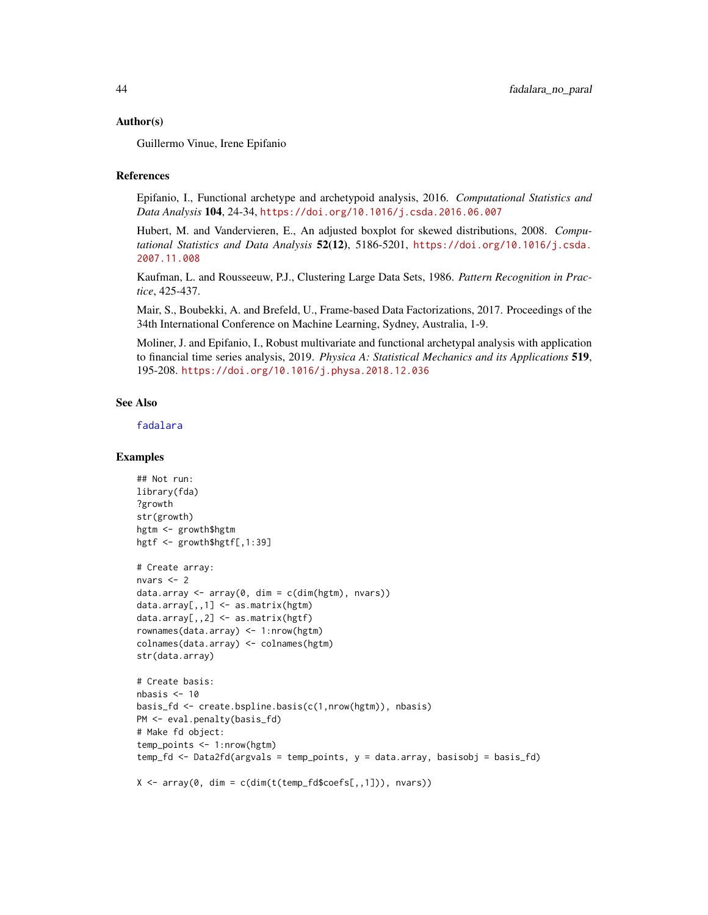## <span id="page-43-0"></span>Author(s)

Guillermo Vinue, Irene Epifanio

## References

Epifanio, I., Functional archetype and archetypoid analysis, 2016. *Computational Statistics and Data Analysis* 104, 24-34, <https://doi.org/10.1016/j.csda.2016.06.007>

Hubert, M. and Vandervieren, E., An adjusted boxplot for skewed distributions, 2008. *Computational Statistics and Data Analysis* 52(12), 5186-5201, [https://doi.org/10.1016/j.csda.](https://doi.org/10.1016/j.csda.2007.11.008) [2007.11.008](https://doi.org/10.1016/j.csda.2007.11.008)

Kaufman, L. and Rousseeuw, P.J., Clustering Large Data Sets, 1986. *Pattern Recognition in Practice*, 425-437.

Mair, S., Boubekki, A. and Brefeld, U., Frame-based Data Factorizations, 2017. Proceedings of the 34th International Conference on Machine Learning, Sydney, Australia, 1-9.

Moliner, J. and Epifanio, I., Robust multivariate and functional archetypal analysis with application to financial time series analysis, 2019. *Physica A: Statistical Mechanics and its Applications* 519, 195-208. <https://doi.org/10.1016/j.physa.2018.12.036>

## See Also

[fadalara](#page-38-1)

```
## Not run:
library(fda)
?growth
str(growth)
hgtm <- growth$hgtm
hgtf <- growth$hgtf[,1:39]
# Create array:
nvars <- 2
data.array \leq array(0, dim = c(dim(hgtm), nvars))
data.array[,,1] <- as.matrix(hgtm)
data.array[,,2] <- as.matrix(hgtf)
rownames(data.array) <- 1:nrow(hgtm)
colnames(data.array) <- colnames(hgtm)
str(data.array)
# Create basis:
nbasis \leq -10basis_fd <- create.bspline.basis(c(1,nrow(hgtm)), nbasis)
PM <- eval.penalty(basis_fd)
# Make fd object:
temp_points <- 1:nrow(hgtm)
temp_fd <- Data2fd(argvals = temp_points, y = data.array, basisobj = basis_fd)
X \le -\arctan(0, \dim = \text{cdim}(t(\text{temp_fd}\secfs[, 1])), nvars))
```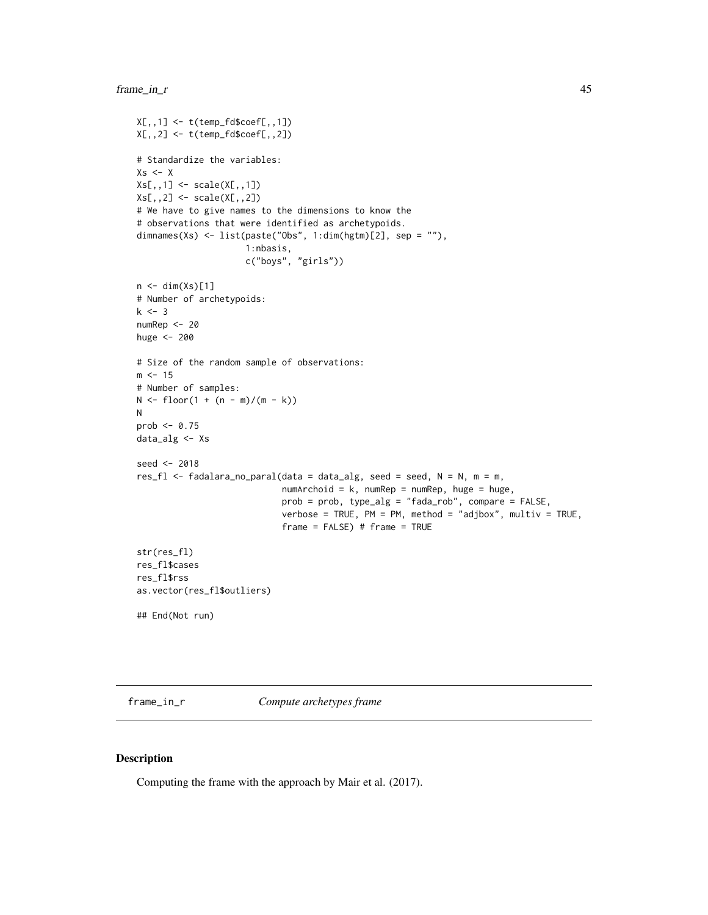```
X[,,1] <- t(temp_fd$coef[,,1])
X[,, 2] <- t(temp_fd$coef[,,2])
# Standardize the variables:
Xs < - XXs[,,1] <- scale(X[,,1])Xs[,, 2] <- scale(X[,, 2])# We have to give names to the dimensions to know the
# observations that were identified as archetypoids.
dimnames(Xs) <- list(paste("Obs", 1:dim(hgtm)[2], sep = ""),
                     1:nbasis,
                      c("boys", "girls"))
n \leftarrow \text{dim}(Xs)[1]# Number of archetypoids:
k \le -3numRep <- 20
huge <- 200
# Size of the random sample of observations:
m < -15# Number of samples:
N \leq f \text{loor}(1 + (n - m)/(m - k))N
prob \leq -0.75data_alg <- Xs
seed <- 2018
res_fl <- fadalara_no_paral(data = data_alg, seed = seed, N = N, m = m,
                             numArchoid = k, numRep = numRep, huge = huge,
                             prob = prob, type_alg = "fada_rob", compare = FALSE,
                             verbose = TRUE, PM = PM, method = "adjbox", multiv = TRUE,
                             frame = FALSE) # frame = TRUEstr(res_fl)
res_fl$cases
res_fl$rss
as.vector(res_fl$outliers)
## End(Not run)
```
frame\_in\_r *Compute archetypes frame*

#### Description

Computing the frame with the approach by Mair et al. (2017).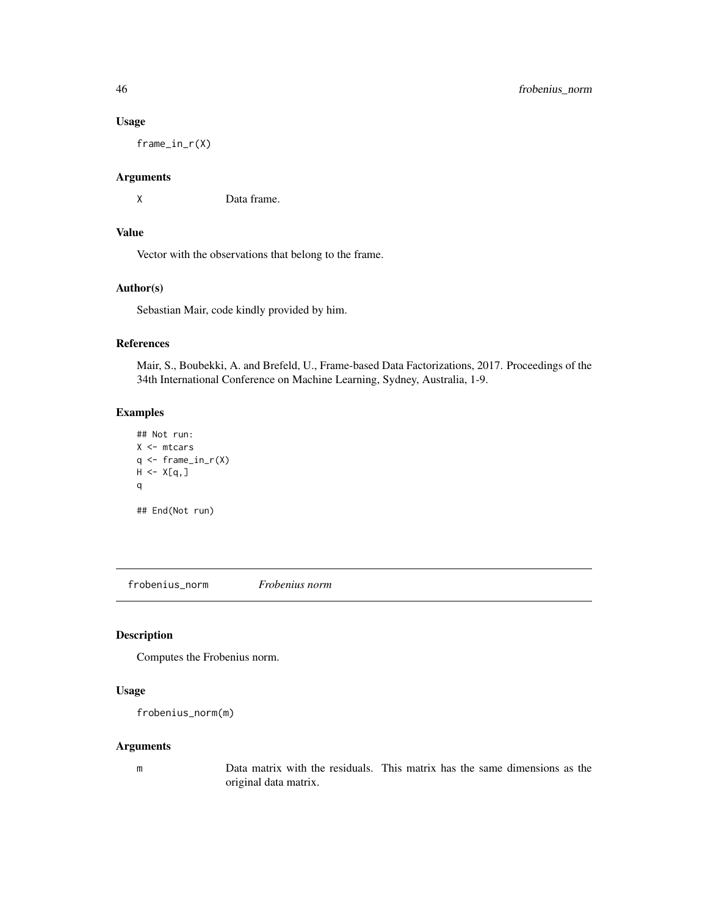## Usage

frame\_in\_r(X)

## Arguments

X Data frame.

# Value

Vector with the observations that belong to the frame.

# Author(s)

Sebastian Mair, code kindly provided by him.

## References

Mair, S., Boubekki, A. and Brefeld, U., Frame-based Data Factorizations, 2017. Proceedings of the 34th International Conference on Machine Learning, Sydney, Australia, 1-9.

# Examples

```
## Not run:
X <- mtcars
q \leftarrow \text{frame_in}_r(X)H < - X[q, ]q
## End(Not run)
```
frobenius\_norm *Frobenius norm*

# Description

Computes the Frobenius norm.

# Usage

```
frobenius_norm(m)
```
# Arguments

m Data matrix with the residuals. This matrix has the same dimensions as the original data matrix.

<span id="page-45-0"></span>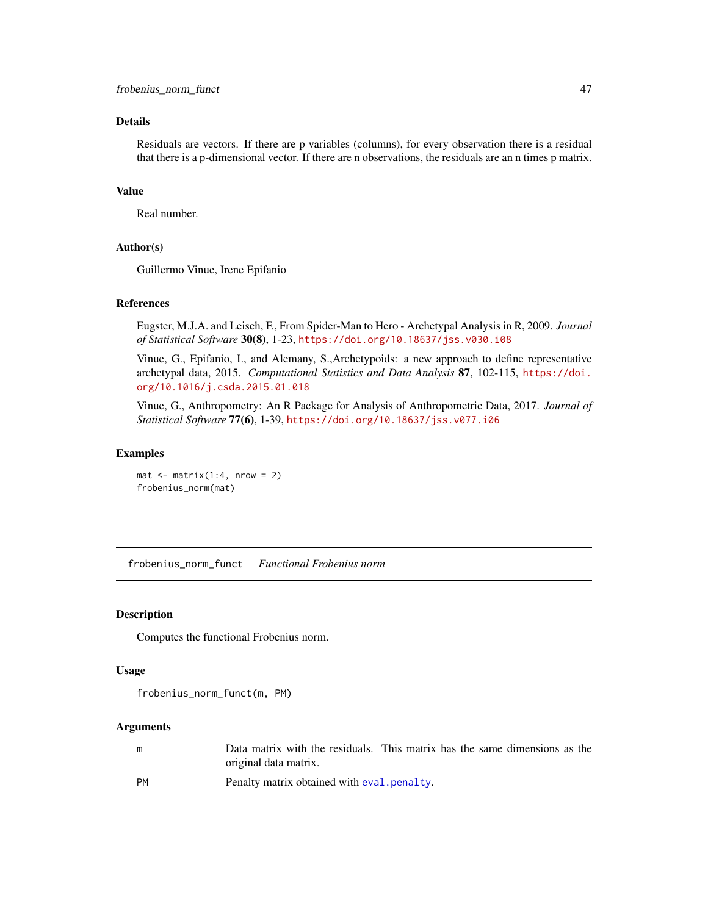# <span id="page-46-0"></span>Details

Residuals are vectors. If there are p variables (columns), for every observation there is a residual that there is a p-dimensional vector. If there are n observations, the residuals are an n times p matrix.

## Value

Real number.

# Author(s)

Guillermo Vinue, Irene Epifanio

# References

Eugster, M.J.A. and Leisch, F., From Spider-Man to Hero - Archetypal Analysis in R, 2009. *Journal of Statistical Software* 30(8), 1-23, <https://doi.org/10.18637/jss.v030.i08>

Vinue, G., Epifanio, I., and Alemany, S.,Archetypoids: a new approach to define representative archetypal data, 2015. *Computational Statistics and Data Analysis* 87, 102-115, [https://doi.](https://doi.org/10.1016/j.csda.2015.01.018) [org/10.1016/j.csda.2015.01.018](https://doi.org/10.1016/j.csda.2015.01.018)

Vinue, G., Anthropometry: An R Package for Analysis of Anthropometric Data, 2017. *Journal of Statistical Software* 77(6), 1-39, <https://doi.org/10.18637/jss.v077.i06>

#### Examples

 $mat < - matrix(1:4, nrow = 2)$ frobenius\_norm(mat)

frobenius\_norm\_funct *Functional Frobenius norm*

#### Description

Computes the functional Frobenius norm.

## Usage

frobenius\_norm\_funct(m, PM)

## Arguments

| m         | Data matrix with the residuals. This matrix has the same dimensions as the |
|-----------|----------------------------------------------------------------------------|
|           | original data matrix.                                                      |
| <b>PM</b> | Penalty matrix obtained with eval. penalty.                                |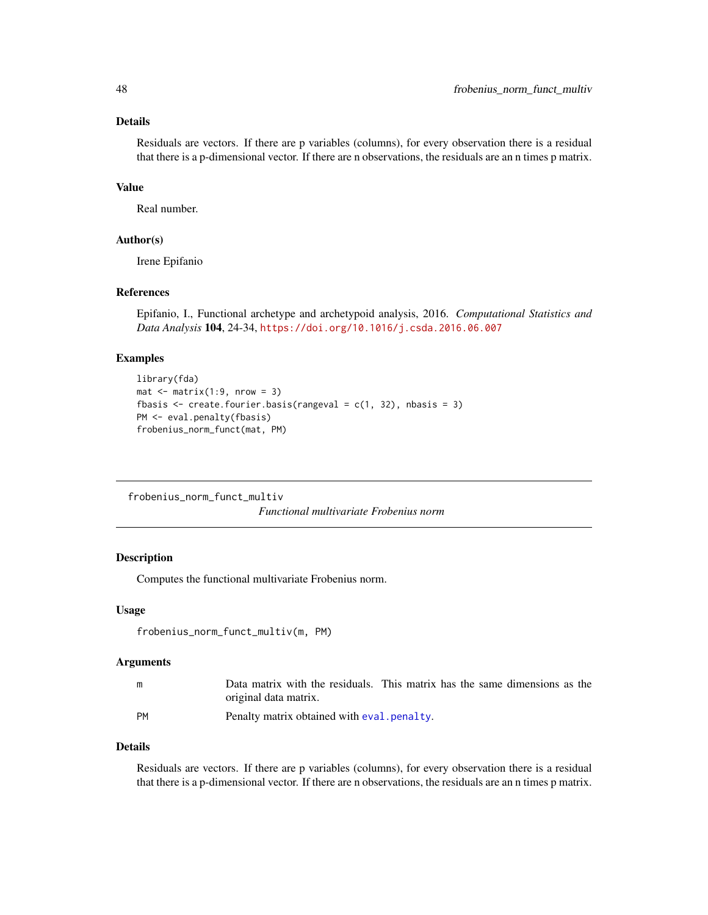# <span id="page-47-0"></span>Details

Residuals are vectors. If there are p variables (columns), for every observation there is a residual that there is a p-dimensional vector. If there are n observations, the residuals are an n times p matrix.

# Value

Real number.

## Author(s)

Irene Epifanio

# References

Epifanio, I., Functional archetype and archetypoid analysis, 2016. *Computational Statistics and Data Analysis* 104, 24-34, <https://doi.org/10.1016/j.csda.2016.06.007>

## Examples

```
library(fda)
mat < - matrix(1:9, nrow = 3)fbasis \leq create.fourier.basis(rangeval = c(1, 32), nbasis = 3)
PM <- eval.penalty(fbasis)
frobenius_norm_funct(mat, PM)
```
frobenius\_norm\_funct\_multiv

*Functional multivariate Frobenius norm*

## Description

Computes the functional multivariate Frobenius norm.

# Usage

```
frobenius_norm_funct_multiv(m, PM)
```
#### Arguments

| m  | Data matrix with the residuals. This matrix has the same dimensions as the |  |
|----|----------------------------------------------------------------------------|--|
|    | original data matrix.                                                      |  |
| PM | Penalty matrix obtained with eval, penalty.                                |  |

#### Details

Residuals are vectors. If there are p variables (columns), for every observation there is a residual that there is a p-dimensional vector. If there are n observations, the residuals are an n times p matrix.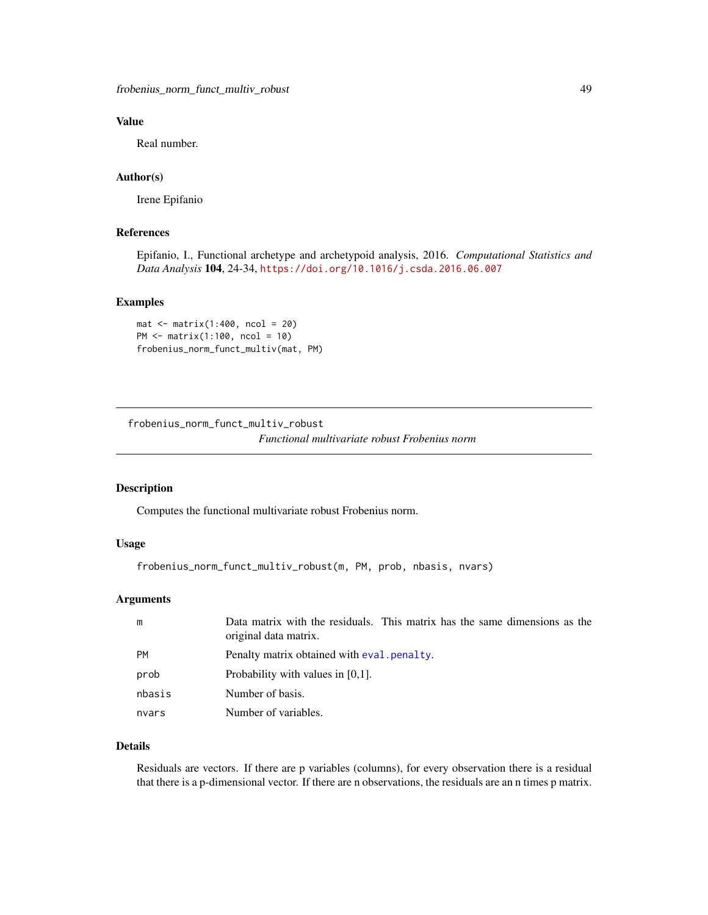<span id="page-48-0"></span>frobenius\_norm\_funct\_multiv\_robust 49

# Value

Real number.

# Author(s)

Irene Epifanio

# References

Epifanio, I., Functional archetype and archetypoid analysis, 2016. *Computational Statistics and Data Analysis* 104, 24-34, <https://doi.org/10.1016/j.csda.2016.06.007>

#### Examples

```
mat < - matrix(1:400, ncol = 20)PM <- matrix(1:100, ncol = 10)
frobenius_norm_funct_multiv(mat, PM)
```
frobenius\_norm\_funct\_multiv\_robust *Functional multivariate robust Frobenius norm*

# Description

Computes the functional multivariate robust Frobenius norm.

## Usage

```
frobenius_norm_funct_multiv_robust(m, PM, prob, nbasis, nvars)
```
# Arguments

| m         | Data matrix with the residuals. This matrix has the same dimensions as the<br>original data matrix. |
|-----------|-----------------------------------------------------------------------------------------------------|
| <b>PM</b> | Penalty matrix obtained with eval penalty.                                                          |
| prob      | Probability with values in $[0,1]$ .                                                                |
| nbasis    | Number of basis.                                                                                    |
| nvars     | Number of variables.                                                                                |

# Details

Residuals are vectors. If there are p variables (columns), for every observation there is a residual that there is a p-dimensional vector. If there are n observations, the residuals are an n times p matrix.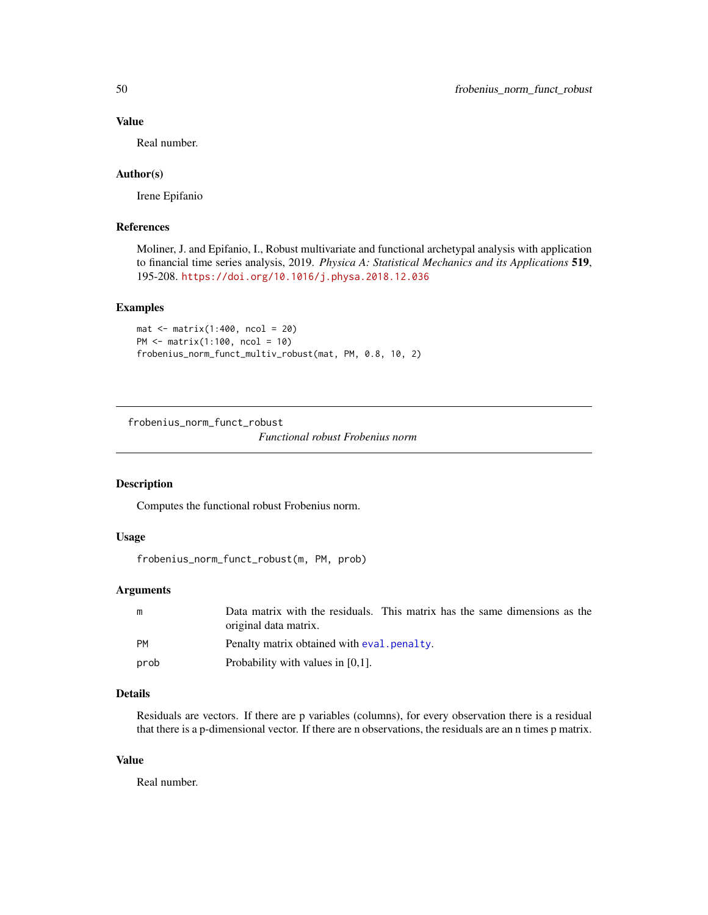## Value

Real number.

## Author(s)

Irene Epifanio

# References

Moliner, J. and Epifanio, I., Robust multivariate and functional archetypal analysis with application to financial time series analysis, 2019. *Physica A: Statistical Mechanics and its Applications* 519, 195-208. <https://doi.org/10.1016/j.physa.2018.12.036>

#### Examples

```
mat < -matrix(1:400, ncol = 20)PM <- matrix(1:100, ncol = 10)
frobenius_norm_funct_multiv_robust(mat, PM, 0.8, 10, 2)
```
frobenius\_norm\_funct\_robust

*Functional robust Frobenius norm*

# Description

Computes the functional robust Frobenius norm.

# Usage

frobenius\_norm\_funct\_robust(m, PM, prob)

# Arguments

| m         | Data matrix with the residuals. This matrix has the same dimensions as the<br>original data matrix. |
|-----------|-----------------------------------------------------------------------------------------------------|
| <b>PM</b> | Penalty matrix obtained with eval, penalty.                                                         |
| prob      | Probability with values in $[0,1]$ .                                                                |

# Details

Residuals are vectors. If there are p variables (columns), for every observation there is a residual that there is a p-dimensional vector. If there are n observations, the residuals are an n times p matrix.

## Value

Real number.

<span id="page-49-0"></span>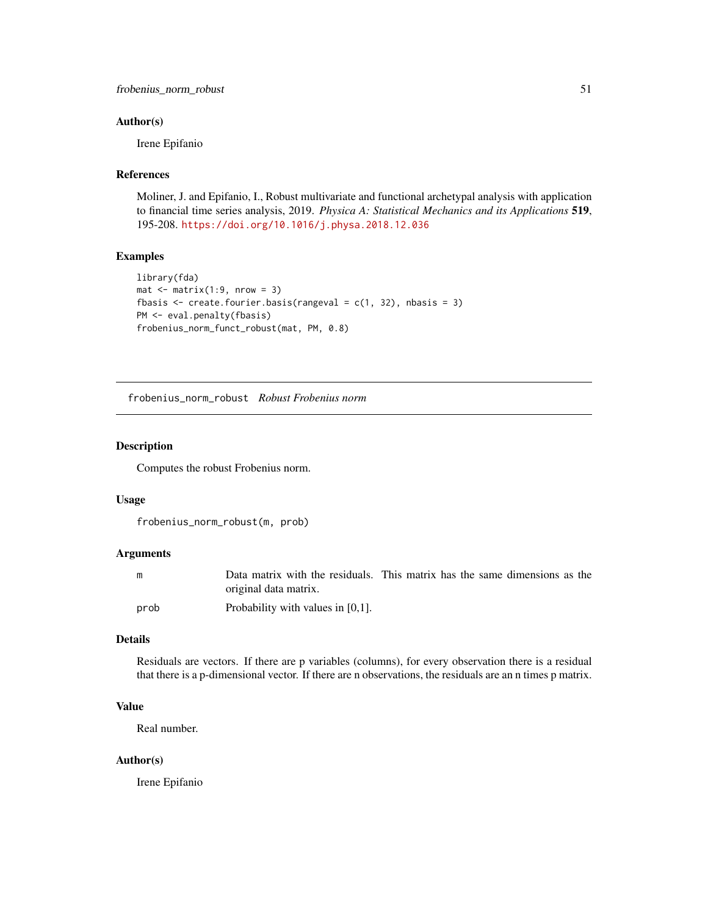## <span id="page-50-0"></span>Author(s)

Irene Epifanio

# References

Moliner, J. and Epifanio, I., Robust multivariate and functional archetypal analysis with application to financial time series analysis, 2019. *Physica A: Statistical Mechanics and its Applications* 519, 195-208. <https://doi.org/10.1016/j.physa.2018.12.036>

# Examples

```
library(fda)
mat < - matrix(1:9, nrow = 3)fbasis \leq create.fourier.basis(rangeval = c(1, 32), nbasis = 3)
PM <- eval.penalty(fbasis)
frobenius_norm_funct_robust(mat, PM, 0.8)
```
frobenius\_norm\_robust *Robust Frobenius norm*

## Description

Computes the robust Frobenius norm.

## Usage

```
frobenius_norm_robust(m, prob)
```
# Arguments

| m    | Data matrix with the residuals. This matrix has the same dimensions as the |  |  |  |  |
|------|----------------------------------------------------------------------------|--|--|--|--|
|      | original data matrix.                                                      |  |  |  |  |
| prob | Probability with values in $[0,1]$ .                                       |  |  |  |  |

# Details

Residuals are vectors. If there are p variables (columns), for every observation there is a residual that there is a p-dimensional vector. If there are n observations, the residuals are an n times p matrix.

# Value

Real number.

## Author(s)

Irene Epifanio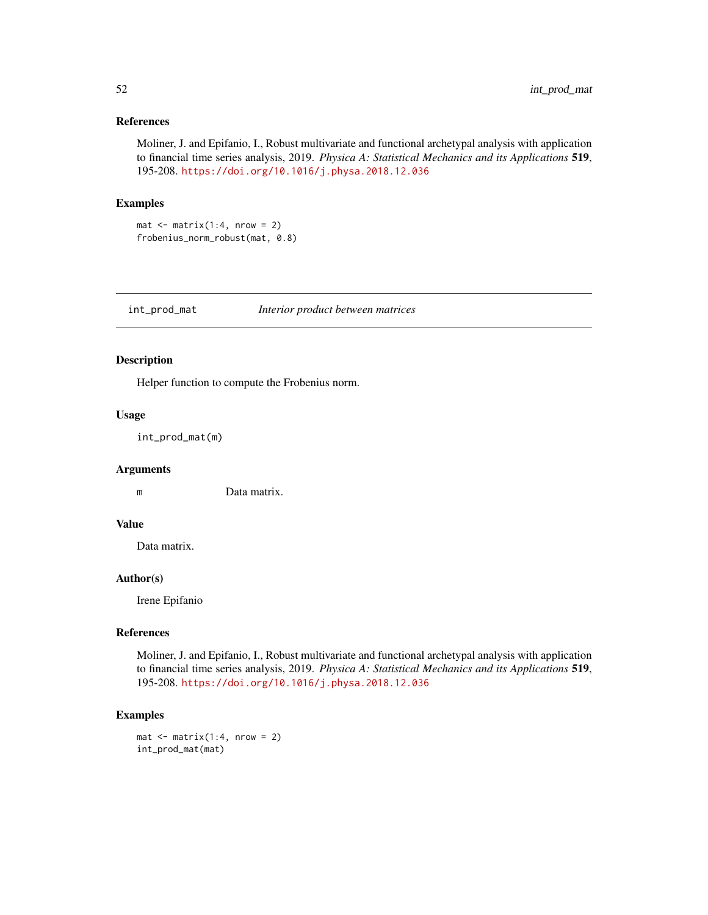## <span id="page-51-0"></span>References

Moliner, J. and Epifanio, I., Robust multivariate and functional archetypal analysis with application to financial time series analysis, 2019. *Physica A: Statistical Mechanics and its Applications* 519, 195-208. <https://doi.org/10.1016/j.physa.2018.12.036>

# Examples

 $mat < - matrix(1:4, nrow = 2)$ frobenius\_norm\_robust(mat, 0.8)

int\_prod\_mat *Interior product between matrices*

## Description

Helper function to compute the Frobenius norm.

## Usage

```
int_prod_mat(m)
```
# Arguments

m Data matrix.

# Value

Data matrix.

# Author(s)

Irene Epifanio

# References

Moliner, J. and Epifanio, I., Robust multivariate and functional archetypal analysis with application to financial time series analysis, 2019. *Physica A: Statistical Mechanics and its Applications* 519, 195-208. <https://doi.org/10.1016/j.physa.2018.12.036>

# Examples

 $mat < - matrix(1:4, nrow = 2)$ int\_prod\_mat(mat)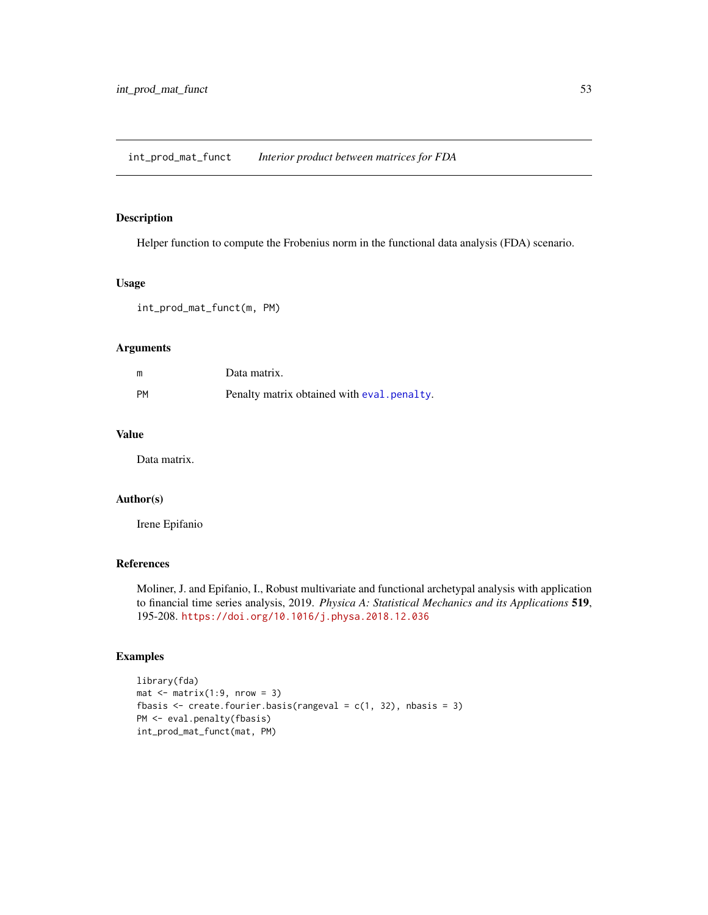# <span id="page-52-0"></span>Description

Helper function to compute the Frobenius norm in the functional data analysis (FDA) scenario.

## Usage

int\_prod\_mat\_funct(m, PM)

## Arguments

| m         | Data matrix.                               |
|-----------|--------------------------------------------|
| <b>PM</b> | Penalty matrix obtained with eval penalty. |

# Value

Data matrix.

#### Author(s)

Irene Epifanio

# References

Moliner, J. and Epifanio, I., Robust multivariate and functional archetypal analysis with application to financial time series analysis, 2019. *Physica A: Statistical Mechanics and its Applications* 519, 195-208. <https://doi.org/10.1016/j.physa.2018.12.036>

```
library(fda)
mat < - matrix(1:9, nrow = 3)fbasis \leq create.fourier.basis(rangeval = c(1, 32), nbasis = 3)
PM <- eval.penalty(fbasis)
int_prod_mat_funct(mat, PM)
```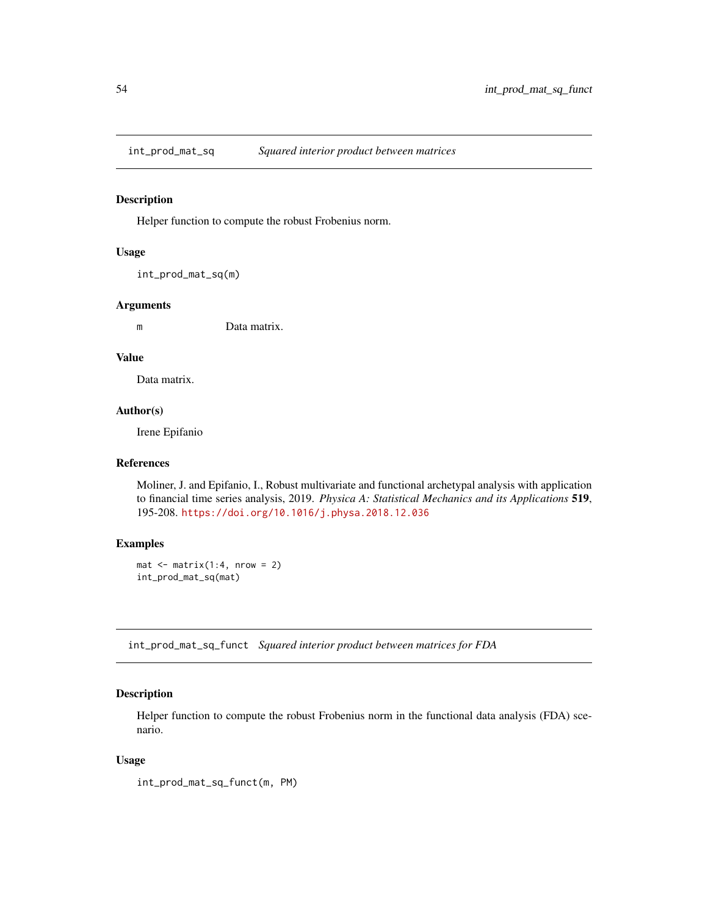<span id="page-53-0"></span>

#### Description

Helper function to compute the robust Frobenius norm.

#### Usage

int\_prod\_mat\_sq(m)

# Arguments

m Data matrix.

# Value

Data matrix.

## Author(s)

Irene Epifanio

# References

Moliner, J. and Epifanio, I., Robust multivariate and functional archetypal analysis with application to financial time series analysis, 2019. *Physica A: Statistical Mechanics and its Applications* 519, 195-208. <https://doi.org/10.1016/j.physa.2018.12.036>

# Examples

```
mat < - matrix(1:4, nrow = 2)int_prod_mat_sq(mat)
```
int\_prod\_mat\_sq\_funct *Squared interior product between matrices for FDA*

# Description

Helper function to compute the robust Frobenius norm in the functional data analysis (FDA) scenario.

## Usage

int\_prod\_mat\_sq\_funct(m, PM)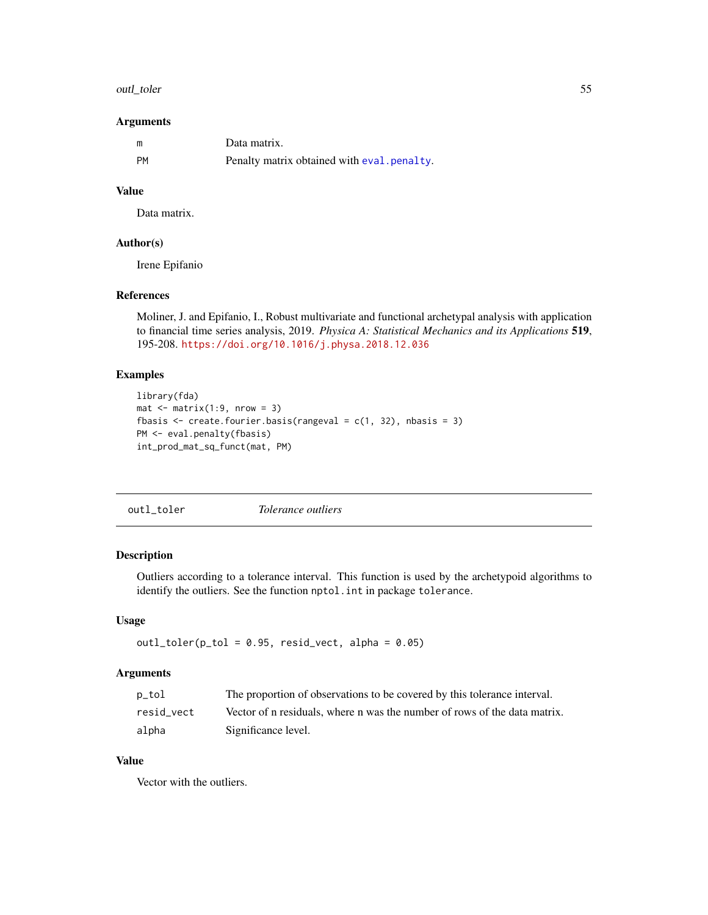#### <span id="page-54-0"></span>outl\_toler 55

## Arguments

|    | Data matrix.                               |
|----|--------------------------------------------|
| PM | Penalty matrix obtained with eval penalty. |

# Value

Data matrix.

## Author(s)

Irene Epifanio

## References

Moliner, J. and Epifanio, I., Robust multivariate and functional archetypal analysis with application to financial time series analysis, 2019. *Physica A: Statistical Mechanics and its Applications* 519, 195-208. <https://doi.org/10.1016/j.physa.2018.12.036>

# Examples

```
library(fda)
mat \leq matrix(1:9, nrow = 3)
fbasis \leq create.fourier.basis(rangeval = c(1, 32), nbasis = 3)
PM <- eval.penalty(fbasis)
int_prod_mat_sq_funct(mat, PM)
```
<span id="page-54-1"></span>outl\_toler *Tolerance outliers*

# Description

Outliers according to a tolerance interval. This function is used by the archetypoid algorithms to identify the outliers. See the function nptol. int in package tolerance.

#### Usage

```
outl\_toler(p\_tol = 0.95, resid\_vect, alpha = 0.05)
```
# Arguments

| p_tol      | The proportion of observations to be covered by this tolerance interval.  |
|------------|---------------------------------------------------------------------------|
| resid vect | Vector of n residuals, where n was the number of rows of the data matrix. |
| alpha      | Significance level.                                                       |

# Value

Vector with the outliers.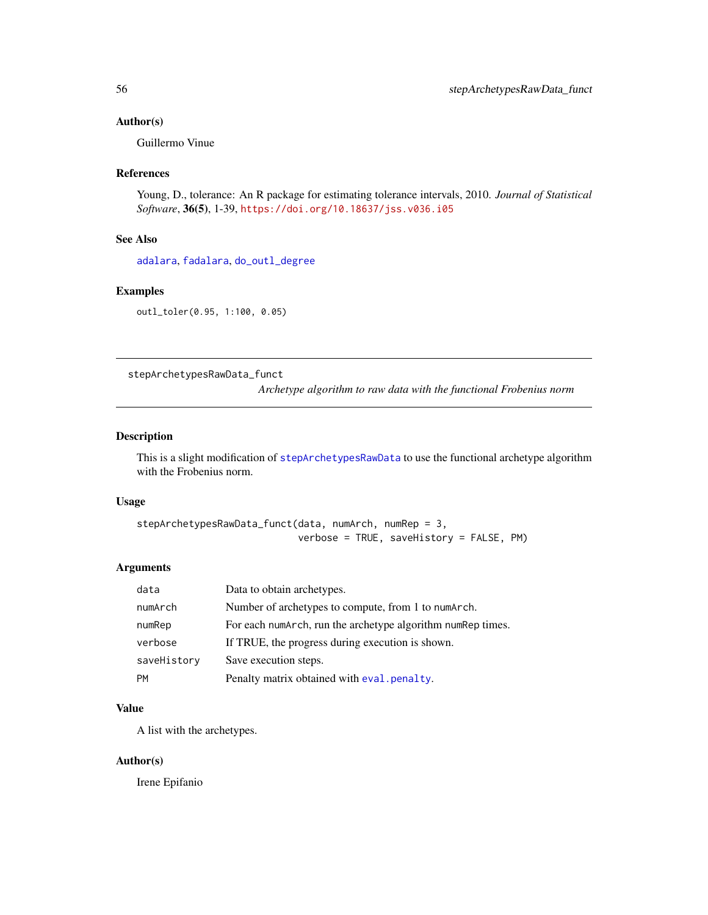## <span id="page-55-0"></span>Author(s)

Guillermo Vinue

# References

Young, D., tolerance: An R package for estimating tolerance intervals, 2010. *Journal of Statistical Software*, 36(5), 1-39, <https://doi.org/10.18637/jss.v036.i05>

# See Also

[adalara](#page-1-1), [fadalara](#page-38-1), [do\\_outl\\_degree](#page-37-1)

## Examples

outl\_toler(0.95, 1:100, 0.05)

<span id="page-55-1"></span>stepArchetypesRawData\_funct

*Archetype algorithm to raw data with the functional Frobenius norm*

## Description

This is a slight modification of [stepArchetypesRawData](#page-0-0) to use the functional archetype algorithm with the Frobenius norm.

#### Usage

```
stepArchetypesRawData_funct(data, numArch, numRep = 3,
                            verbose = TRUE, saveHistory = FALSE, PM)
```
# Arguments

| data        | Data to obtain archetypes.                                  |
|-------------|-------------------------------------------------------------|
| numArch     | Number of archetypes to compute, from 1 to numArch.         |
| numRep      | For each numarch, run the archetype algorithm numRep times. |
| verbose     | If TRUE, the progress during execution is shown.            |
| saveHistory | Save execution steps.                                       |
| <b>PM</b>   | Penalty matrix obtained with eval . penalty.                |

# Value

A list with the archetypes.

## Author(s)

Irene Epifanio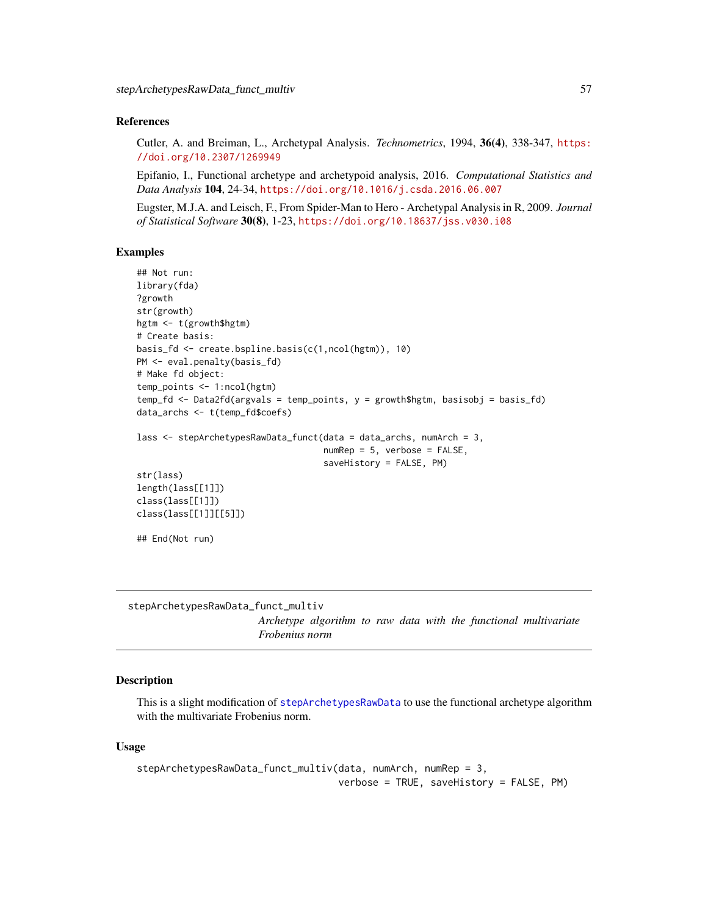### <span id="page-56-0"></span>References

Cutler, A. and Breiman, L., Archetypal Analysis. *Technometrics*, 1994, 36(4), 338-347, [https:](https://doi.org/10.2307/1269949) [//doi.org/10.2307/1269949](https://doi.org/10.2307/1269949)

Epifanio, I., Functional archetype and archetypoid analysis, 2016. *Computational Statistics and Data Analysis* 104, 24-34, <https://doi.org/10.1016/j.csda.2016.06.007>

Eugster, M.J.A. and Leisch, F., From Spider-Man to Hero - Archetypal Analysis in R, 2009. *Journal of Statistical Software* 30(8), 1-23, <https://doi.org/10.18637/jss.v030.i08>

#### Examples

```
## Not run:
library(fda)
?growth
str(growth)
hgtm <- t(growth$hgtm)
# Create basis:
basis_fd <- create.bspline.basis(c(1,ncol(hgtm)), 10)
PM <- eval.penalty(basis_fd)
# Make fd object:
temp_points <- 1:ncol(hgtm)
temp_fd <- Data2fd(argvals = temp_points, y = growth$hgtm, basisobj = basis_fd)
data_archs <- t(temp_fd$coefs)
lass <- stepArchetypesRawData_funct(data = data_archs, numArch = 3,
                                    numRep = 5, verbose = FALSE,
                                     saveHistory = FALSE, PM)
str(lass)
length(lass[[1]])
class(lass[[1]])
class(lass[[1]][[5]])
## End(Not run)
```
<span id="page-56-1"></span>stepArchetypesRawData\_funct\_multiv

*Archetype algorithm to raw data with the functional multivariate Frobenius norm*

## Description

This is a slight modification of [stepArchetypesRawData](#page-0-0) to use the functional archetype algorithm with the multivariate Frobenius norm.

#### Usage

```
stepArchetypesRawData_funct_multiv(data, numArch, numRep = 3,
                                  verbose = TRUE, saveHistory = FALSE, PM)
```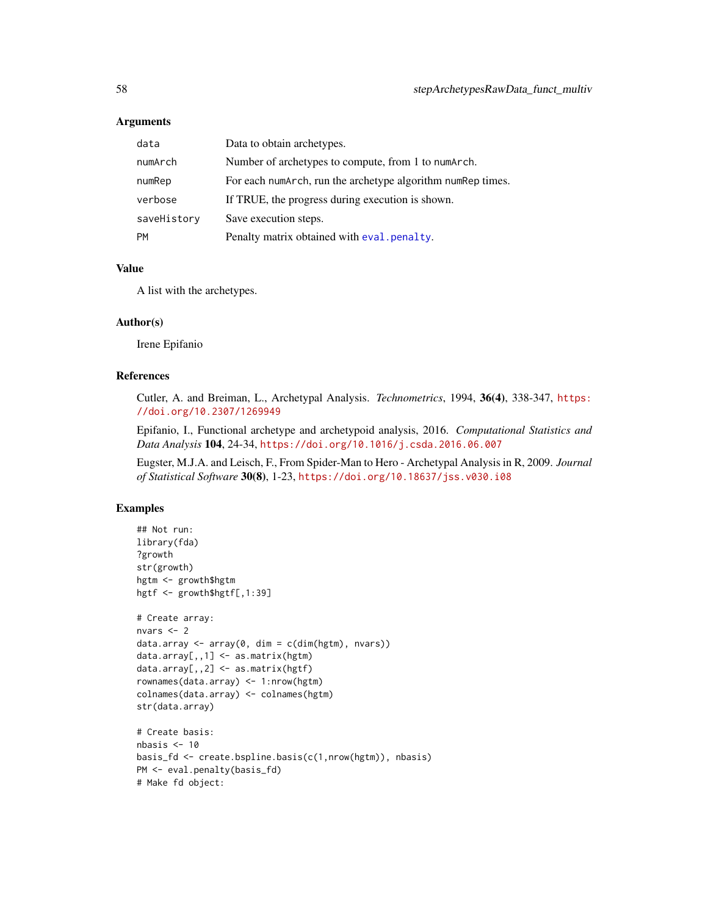## <span id="page-57-0"></span>Arguments

| data        | Data to obtain archetypes.                                  |
|-------------|-------------------------------------------------------------|
| numArch     | Number of archetypes to compute, from 1 to numArch.         |
| numRep      | For each numArch, run the archetype algorithm numRep times. |
| verbose     | If TRUE, the progress during execution is shown.            |
| saveHistory | Save execution steps.                                       |
| <b>PM</b>   | Penalty matrix obtained with eval penalty.                  |

#### Value

A list with the archetypes.

## Author(s)

Irene Epifanio

# References

Cutler, A. and Breiman, L., Archetypal Analysis. *Technometrics*, 1994, 36(4), 338-347, [https:](https://doi.org/10.2307/1269949) [//doi.org/10.2307/1269949](https://doi.org/10.2307/1269949)

Epifanio, I., Functional archetype and archetypoid analysis, 2016. *Computational Statistics and Data Analysis* 104, 24-34, <https://doi.org/10.1016/j.csda.2016.06.007>

Eugster, M.J.A. and Leisch, F., From Spider-Man to Hero - Archetypal Analysis in R, 2009. *Journal of Statistical Software* 30(8), 1-23, <https://doi.org/10.18637/jss.v030.i08>

```
## Not run:
library(fda)
?growth
str(growth)
hgtm <- growth$hgtm
hgtf <- growth$hgtf[,1:39]
# Create array:
nvars <- 2
data.array \leq array(0, dim = c(dim(hgtm), nvars))
data.array[,, 1] \leq -as_matrix(hgtm)data.array[,,2] <- as.matrix(hgtf)
rownames(data.array) <- 1:nrow(hgtm)
colnames(data.array) <- colnames(hgtm)
str(data.array)
# Create basis:
nbasis < -10basis_fd <- create.bspline.basis(c(1,nrow(hgtm)), nbasis)
PM <- eval.penalty(basis_fd)
# Make fd object:
```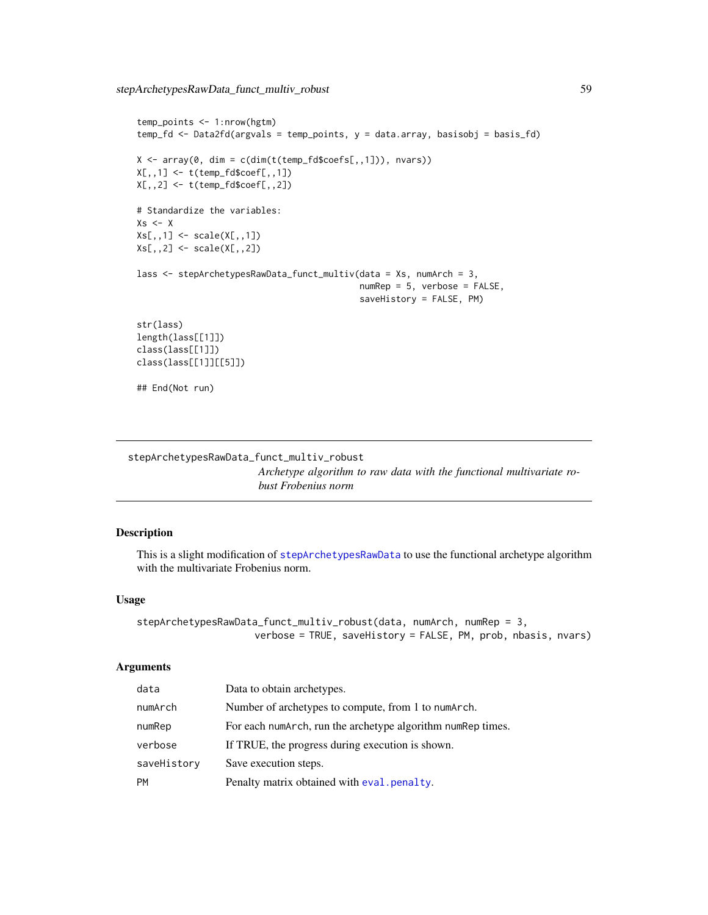```
temp_points <- 1:nrow(hgtm)
temp_fd <- Data2fd(argvals = temp_points, y = data.array, basisobj = basis_fd)
X \leq \arctan(\theta, \text{dim} = \text{cdim}(t(\text{temp_fd}\$coeffs[, 1])), nvars))
X[,, 1] <- t(temp_fd$coef[,,1])
X[,,2] <- t(temp_fd$coef[,,2])
# Standardize the variables:
Xs < - XXs[,,1] <- scale(X[,,1])
Xs[,,2] <- scale(X[,,2])lass <- stepArchetypesRawData_funct_multiv(data = Xs, numArch = 3,
                                              numRep = 5, verbose = FALSE,
                                              saveHistory = FALSE, PM)
str(lass)
length(lass[[1]])
class(lass[[1]])
class(lass[[1]][[5]])
## End(Not run)
```
<span id="page-58-1"></span>stepArchetypesRawData\_funct\_multiv\_robust *Archetype algorithm to raw data with the functional multivariate robust Frobenius norm*

# Description

This is a slight modification of [stepArchetypesRawData](#page-0-0) to use the functional archetype algorithm with the multivariate Frobenius norm.

## Usage

```
stepArchetypesRawData_funct_multiv_robust(data, numArch, numRep = 3,
                    verbose = TRUE, saveHistory = FALSE, PM, prob, nbasis, nvars)
```
## Arguments

| data        | Data to obtain archetypes.                                   |
|-------------|--------------------------------------------------------------|
| numArch     | Number of archetypes to compute, from 1 to numarch.          |
| numRep      | For each numarch, run the archetype algorithm num Rep times. |
| verbose     | If TRUE, the progress during execution is shown.             |
| saveHistory | Save execution steps.                                        |
| <b>PM</b>   | Penalty matrix obtained with eval.penalty.                   |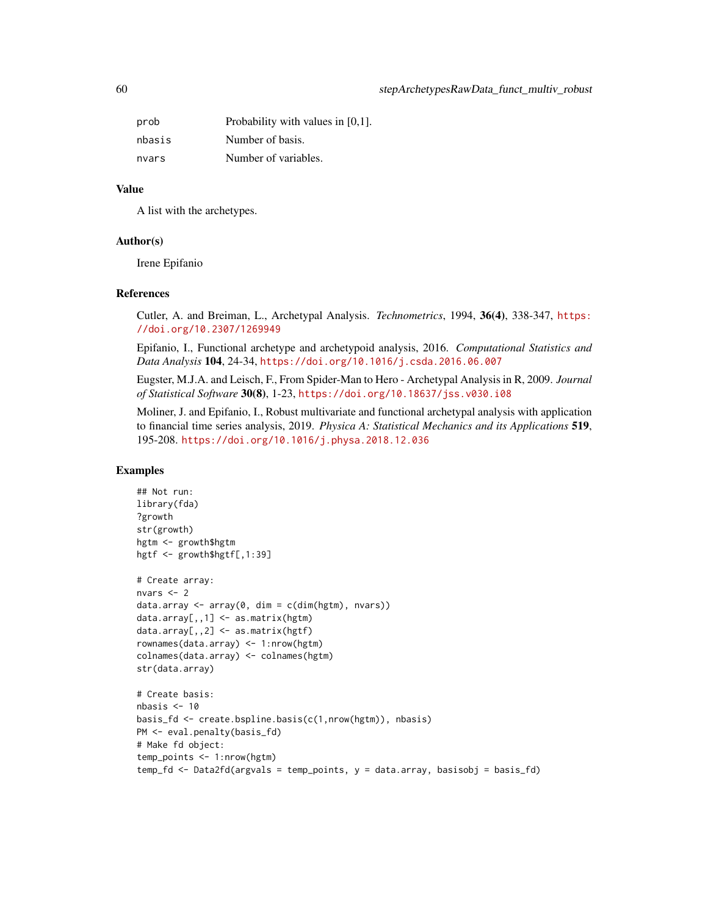| prob   | Probability with values in $[0,1]$ . |
|--------|--------------------------------------|
| nbasis | Number of basis.                     |
| nvars  | Number of variables.                 |

# Value

A list with the archetypes.

## Author(s)

Irene Epifanio

# References

Cutler, A. and Breiman, L., Archetypal Analysis. *Technometrics*, 1994, 36(4), 338-347, [https:](https://doi.org/10.2307/1269949) [//doi.org/10.2307/1269949](https://doi.org/10.2307/1269949)

Epifanio, I., Functional archetype and archetypoid analysis, 2016. *Computational Statistics and Data Analysis* 104, 24-34, <https://doi.org/10.1016/j.csda.2016.06.007>

Eugster, M.J.A. and Leisch, F., From Spider-Man to Hero - Archetypal Analysis in R, 2009. *Journal of Statistical Software* 30(8), 1-23, <https://doi.org/10.18637/jss.v030.i08>

Moliner, J. and Epifanio, I., Robust multivariate and functional archetypal analysis with application to financial time series analysis, 2019. *Physica A: Statistical Mechanics and its Applications* 519, 195-208. <https://doi.org/10.1016/j.physa.2018.12.036>

```
## Not run:
library(fda)
?growth
str(growth)
hgtm <- growth$hgtm
hgtf <- growth$hgtf[,1:39]
# Create array:
nvars <- 2
data.array <- array(0, dim = c(dim(hgtm), nvars))
data.array[,, 1] \leq -as_matrix(hgtm)data.array[,,2] <- as.matrix(hgtf)
rownames(data.array) <- 1:nrow(hgtm)
colnames(data.array) <- colnames(hgtm)
str(data.array)
# Create basis:
nbasis < -10basis_fd <- create.bspline.basis(c(1,nrow(hgtm)), nbasis)
PM <- eval.penalty(basis_fd)
# Make fd object:
temp_points <- 1:nrow(hgtm)
temp_fd <- Data2fd(argvals = temp_points, y = data.array, basisobj = basis_fd)
```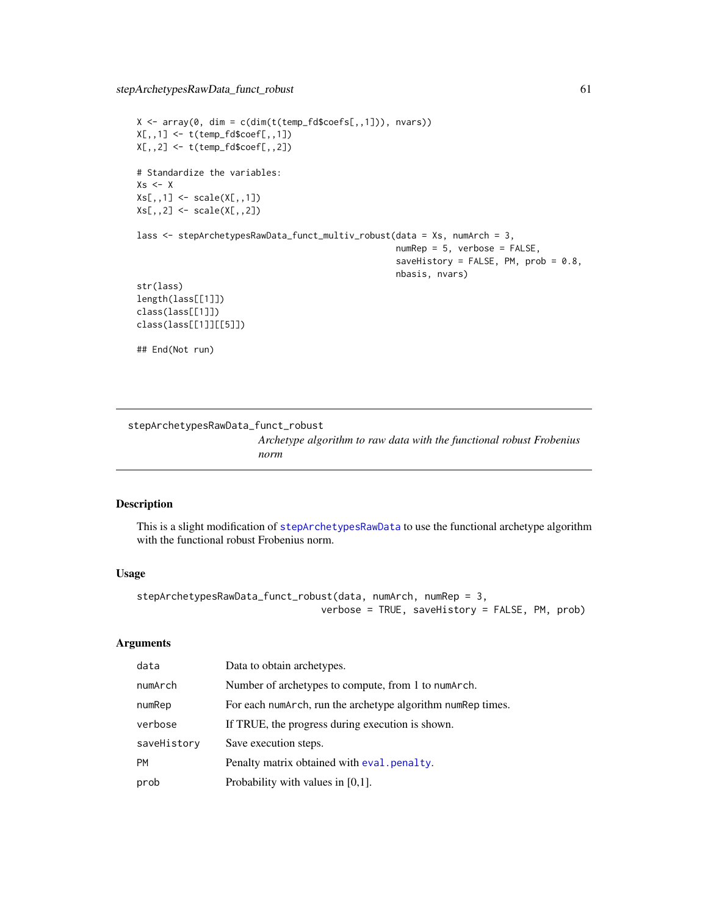```
X \leq -\arctan(0, \dim = \text{c}(\dim(\text{t}(\text{temp}_f \text{d} \text{%}) \text{Cone}) \text{Cone}), nvars))
X[,, 1] <- t(temp_fd$coef[,,1])
X[,,2] <- t(temp_fd$coef[,,2])
# Standardize the variables:
Xs < - XXs[,,1] <- scale(X[,,1])
Xs[,,2] <- scale(X[,,2])lass <- stepArchetypesRawData_funct_multiv_robust(data = Xs, numArch = 3,
                                                         numRep = 5, verbose = FALSE,
                                                         saveHistory = FALSE, PM, prob = 0.8,
                                                         nbasis, nvars)
str(lass)
length(lass[[1]])
class(lass[[1]])
class(lass[[1]][[5]])
## End(Not run)
```

```
stepArchetypesRawData_funct_robust
                         Archetype algorithm to raw data with the functional robust Frobenius
                         norm
```
# Description

This is a slight modification of [stepArchetypesRawData](#page-0-0) to use the functional archetype algorithm with the functional robust Frobenius norm.

## Usage

```
stepArchetypesRawData_funct_robust(data, numArch, numRep = 3,
                                verbose = TRUE, saveHistory = FALSE, PM, prob)
```
#### Arguments

| data        | Data to obtain archetypes.                                  |
|-------------|-------------------------------------------------------------|
| numArch     | Number of archetypes to compute, from 1 to numarch.         |
| numRep      | For each numArch, run the archetype algorithm numRep times. |
| verbose     | If TRUE, the progress during execution is shown.            |
| saveHistory | Save execution steps.                                       |
| <b>PM</b>   | Penalty matrix obtained with eval penalty.                  |
| prob        | Probability with values in $[0,1]$ .                        |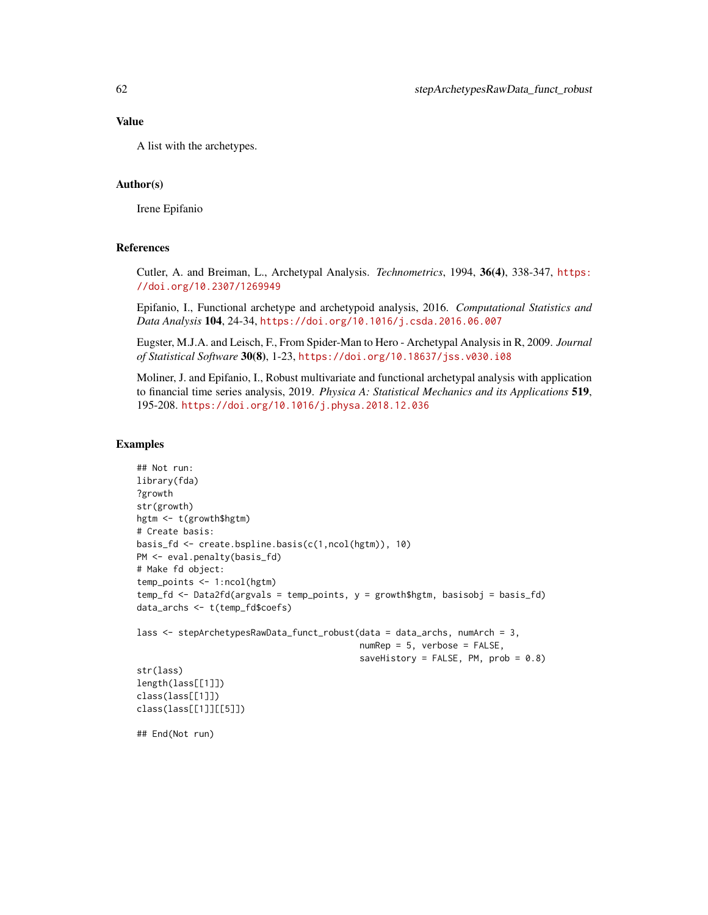## Value

A list with the archetypes.

# Author(s)

Irene Epifanio

# References

Cutler, A. and Breiman, L., Archetypal Analysis. *Technometrics*, 1994, 36(4), 338-347, [https:](https://doi.org/10.2307/1269949) [//doi.org/10.2307/1269949](https://doi.org/10.2307/1269949)

Epifanio, I., Functional archetype and archetypoid analysis, 2016. *Computational Statistics and Data Analysis* 104, 24-34, <https://doi.org/10.1016/j.csda.2016.06.007>

Eugster, M.J.A. and Leisch, F., From Spider-Man to Hero - Archetypal Analysis in R, 2009. *Journal of Statistical Software* 30(8), 1-23, <https://doi.org/10.18637/jss.v030.i08>

Moliner, J. and Epifanio, I., Robust multivariate and functional archetypal analysis with application to financial time series analysis, 2019. *Physica A: Statistical Mechanics and its Applications* 519, 195-208. <https://doi.org/10.1016/j.physa.2018.12.036>

# Examples

```
## Not run:
library(fda)
?growth
str(growth)
hgtm <- t(growth$hgtm)
# Create basis:
basis_fd <- create.bspline.basis(c(1,ncol(hgtm)), 10)
PM <- eval.penalty(basis_fd)
# Make fd object:
temp_points <- 1:ncol(hgtm)
temp_fd <- Data2fd(argvals = temp_points, y = growth$hgtm, basisobj = basis_fd)
data_archs <- t(temp_fd$coefs)
lass <- stepArchetypesRawData_funct_robust(data = data_archs, numArch = 3,
                                           numRep = 5, verbose = FALSE,
                                           saveHistory = FALSE, PM, prob = 0.8)str(lass)
length(lass[[1]])
class(lass[[1]])
class(lass[[1]][[5]])
```
## End(Not run)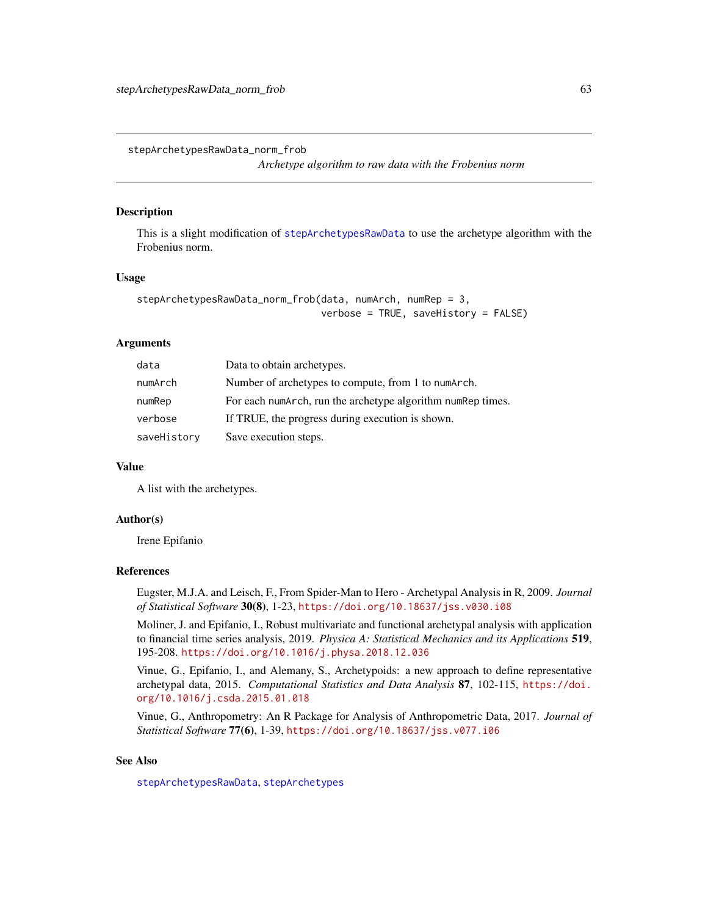<span id="page-62-1"></span><span id="page-62-0"></span>stepArchetypesRawData\_norm\_frob

*Archetype algorithm to raw data with the Frobenius norm*

#### Description

This is a slight modification of [stepArchetypesRawData](#page-0-0) to use the archetype algorithm with the Frobenius norm.

#### Usage

```
stepArchetypesRawData_norm_frob(data, numArch, numRep = 3,
                                verbose = TRUE, saveHistory = FALSE)
```
# Arguments

| data        | Data to obtain archetypes.                                   |
|-------------|--------------------------------------------------------------|
| numArch     | Number of archetypes to compute, from 1 to numarch.          |
| numRep      | For each numarch, run the archetype algorithm num Rep times. |
| verbose     | If TRUE, the progress during execution is shown.             |
| saveHistory | Save execution steps.                                        |

#### Value

A list with the archetypes.

## Author(s)

Irene Epifanio

## References

Eugster, M.J.A. and Leisch, F., From Spider-Man to Hero - Archetypal Analysis in R, 2009. *Journal of Statistical Software* 30(8), 1-23, <https://doi.org/10.18637/jss.v030.i08>

Moliner, J. and Epifanio, I., Robust multivariate and functional archetypal analysis with application to financial time series analysis, 2019. *Physica A: Statistical Mechanics and its Applications* 519, 195-208. <https://doi.org/10.1016/j.physa.2018.12.036>

Vinue, G., Epifanio, I., and Alemany, S., Archetypoids: a new approach to define representative archetypal data, 2015. *Computational Statistics and Data Analysis* 87, 102-115, [https://doi.](https://doi.org/10.1016/j.csda.2015.01.018) [org/10.1016/j.csda.2015.01.018](https://doi.org/10.1016/j.csda.2015.01.018)

Vinue, G., Anthropometry: An R Package for Analysis of Anthropometric Data, 2017. *Journal of Statistical Software* 77(6), 1-39, <https://doi.org/10.18637/jss.v077.i06>

# See Also

[stepArchetypesRawData](#page-0-0), [stepArchetypes](#page-0-0)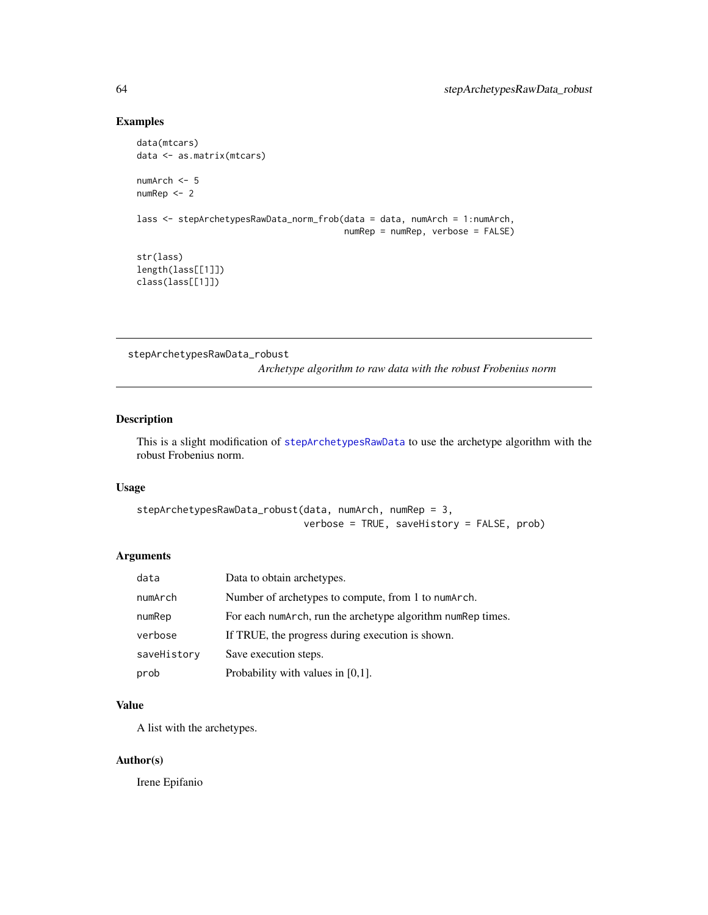# Examples

```
data(mtcars)
data <- as.matrix(mtcars)
numArch <- 5
numRep <- 2
lass <- stepArchetypesRawData_norm_frob(data = data, numArch = 1:numArch,
                                        numRep = numRep, verbose = FALSE)
str(lass)
length(lass[[1]])
class(lass[[1]])
```
<span id="page-63-1"></span>stepArchetypesRawData\_robust

*Archetype algorithm to raw data with the robust Frobenius norm*

# Description

This is a slight modification of [stepArchetypesRawData](#page-0-0) to use the archetype algorithm with the robust Frobenius norm.

## Usage

```
stepArchetypesRawData_robust(data, numArch, numRep = 3,
                             verbose = TRUE, saveHistory = FALSE, prob)
```
# Arguments

| data        | Data to obtain archetypes.                                   |
|-------------|--------------------------------------------------------------|
| numArch     | Number of archetypes to compute, from 1 to numArch.          |
| numRep      | For each numarch, run the archetype algorithm num Rep times. |
| verbose     | If TRUE, the progress during execution is shown.             |
| saveHistory | Save execution steps.                                        |
| prob        | Probability with values in $[0,1]$ .                         |

# Value

A list with the archetypes.

# Author(s)

Irene Epifanio

<span id="page-63-0"></span>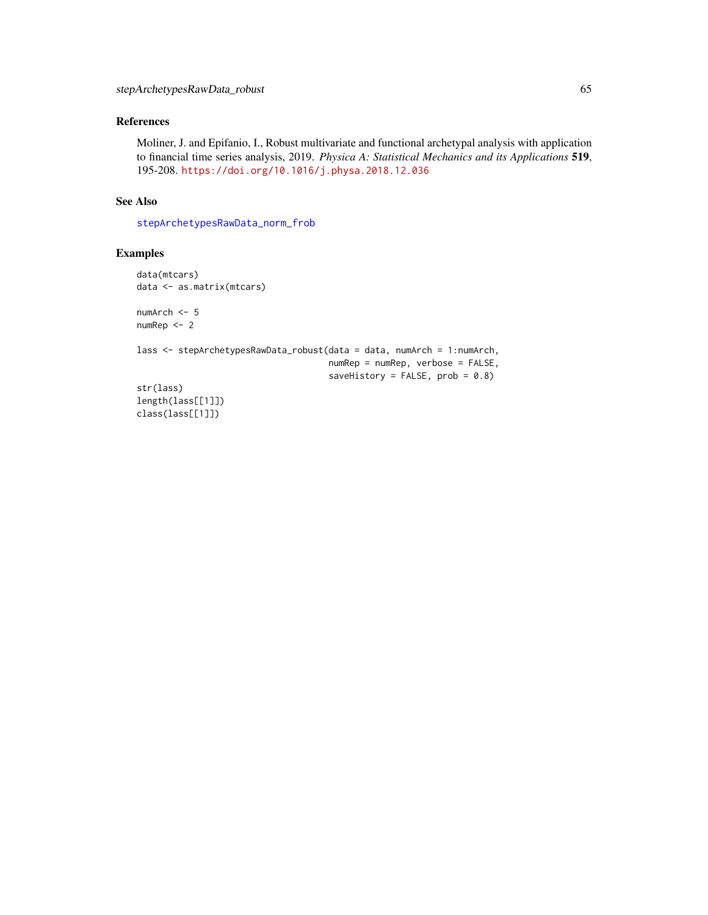# <span id="page-64-0"></span>References

Moliner, J. and Epifanio, I., Robust multivariate and functional archetypal analysis with application to financial time series analysis, 2019. *Physica A: Statistical Mechanics and its Applications* 519, 195-208. <https://doi.org/10.1016/j.physa.2018.12.036>

## See Also

[stepArchetypesRawData\\_norm\\_frob](#page-62-1)

```
data(mtcars)
data <- as.matrix(mtcars)
numArch <- 5
numRep <- 2
lass <- stepArchetypesRawData_robust(data = data, numArch = 1:numArch,
                                     numRep = numRep, verbose = FALSE,
                                     saveHistory = FALSE, prob = 0.8)str(lass)
length(lass[[1]])
class(lass[[1]])
```